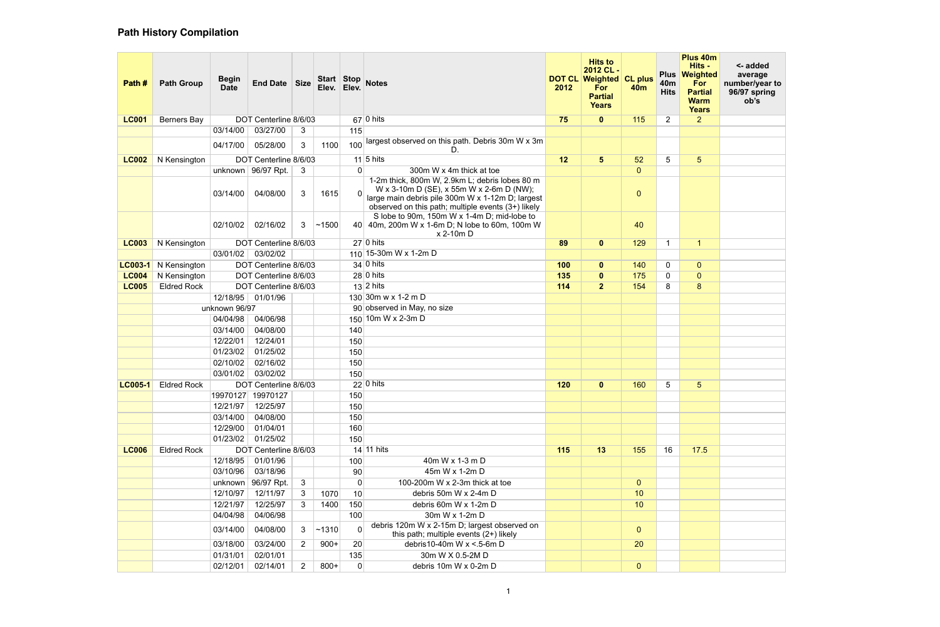| Path #         | <b>Path Group</b>  | <b>Begin</b><br><b>Date</b> | End Date Size                              |                | Elev.  | Elev.        | Start Stop Notes                                                                                                                                                                                     | 2012 | <b>Hits to</b><br>2012 CL-<br><b>DOT CL Weighted CL plus</b><br><b>For</b><br><b>Partial</b><br><b>Years</b> | 40 <sub>m</sub> | 40 <sub>m</sub><br><b>Hits</b> | Plus 40m<br>Hits -<br>Plus Weighted<br>For<br><b>Partial</b><br><b>Warm</b><br><b>Years</b> | <- added<br>average<br>number/year to<br>96/97 spring<br>ob's |
|----------------|--------------------|-----------------------------|--------------------------------------------|----------------|--------|--------------|------------------------------------------------------------------------------------------------------------------------------------------------------------------------------------------------------|------|--------------------------------------------------------------------------------------------------------------|-----------------|--------------------------------|---------------------------------------------------------------------------------------------|---------------------------------------------------------------|
| <b>LC001</b>   | Berners Bay        |                             | DOT Centerline 8/6/03                      |                |        |              | $67$ 0 hits                                                                                                                                                                                          | 75   | $\mathbf{0}$                                                                                                 | 115             | $\overline{2}$                 | 2 <sup>1</sup>                                                                              |                                                               |
|                |                    | 03/14/00                    | 03/27/00                                   | 3              |        | 115          |                                                                                                                                                                                                      |      |                                                                                                              |                 |                                |                                                                                             |                                                               |
|                |                    | 04/17/00                    | 05/28/00                                   | 3 <sup>1</sup> | 1100   | 100          | largest observed on this path. Debris 30m W x 3m<br>D.                                                                                                                                               |      |                                                                                                              |                 |                                |                                                                                             |                                                               |
| <b>LC002</b>   | N Kensington       |                             | DOT Centerline 8/6/03                      |                |        |              | 11 5 hits                                                                                                                                                                                            | 12   | 5 <sup>5</sup>                                                                                               | 52              | 5                              | 5 <sup>5</sup>                                                                              |                                                               |
|                |                    |                             | unknown   $96/97$ Rpt.                     | 3              |        | 0            | 300m W x 4m thick at toe                                                                                                                                                                             |      |                                                                                                              | $\overline{0}$  |                                |                                                                                             |                                                               |
|                |                    | 03/14/00                    | 04/08/00                                   | 3              | 1615   | $\Omega$     | 1-2m thick, 800m W, 2.9km L; debris lobes 80 m<br>W x 3-10m D (SE), x 55m W x 2-6m D (NW);<br>large main debris pile 300m W x 1-12m D; largest<br>observed on this path; multiple events (3+) likely |      |                                                                                                              | $\mathbf{0}$    |                                |                                                                                             |                                                               |
|                |                    | 02/10/02                    | 02/16/02                                   | 3              | ~1500  |              | S lobe to 90m, 150m W x 1-4m D; mid-lobe to<br>40 40m, 200m W x 1-6m D; N lobe to 60m, 100m W<br>x 2-10m D                                                                                           |      |                                                                                                              | 40              |                                |                                                                                             |                                                               |
| <b>LC003</b>   | N Kensington       |                             | DOT Centerline 8/6/03                      |                |        |              | $27 0$ hits                                                                                                                                                                                          | 89   | $\mathbf{0}$                                                                                                 | 129             | -1                             | $\mathbf{1}$                                                                                |                                                               |
|                |                    | 03/01/02                    | 03/02/02                                   |                |        |              | 110 15-30m W x 1-2m D                                                                                                                                                                                |      |                                                                                                              |                 |                                |                                                                                             |                                                               |
| $LC003-1$      | N Kensington       |                             | DOT Centerline 8/6/03                      |                |        |              | $34 0$ hits                                                                                                                                                                                          | 100  | $\mathbf{0}$                                                                                                 | 140             | $\mathbf 0$                    | $\overline{0}$                                                                              |                                                               |
| <b>LC004</b>   | N Kensington       |                             | DOT Centerline 8/6/03                      |                |        |              | 28 0 hits                                                                                                                                                                                            | 135  | $\mathbf{0}$                                                                                                 | 175             | 0                              | $\overline{0}$                                                                              |                                                               |
| <b>LC005</b>   | <b>Eldred Rock</b> |                             | DOT Centerline 8/6/03                      |                |        |              | $13$ 2 hits                                                                                                                                                                                          | 114  | 2 <sup>1</sup>                                                                                               | 154             | 8                              | 8                                                                                           |                                                               |
|                |                    |                             | 12/18/95 01/01/96                          |                |        |              | 130 30m w x 1-2 m D                                                                                                                                                                                  |      |                                                                                                              |                 |                                |                                                                                             |                                                               |
|                |                    | unknown 96/97               |                                            |                |        |              | 90 observed in May, no size                                                                                                                                                                          |      |                                                                                                              |                 |                                |                                                                                             |                                                               |
|                |                    | 04/04/98                    | 04/06/98                                   |                |        |              | 150 10m W x 2-3m D                                                                                                                                                                                   |      |                                                                                                              |                 |                                |                                                                                             |                                                               |
|                |                    | 03/14/00                    | 04/08/00                                   |                |        | 140          |                                                                                                                                                                                                      |      |                                                                                                              |                 |                                |                                                                                             |                                                               |
|                |                    | 12/22/01                    | 12/24/01                                   |                |        | 150          |                                                                                                                                                                                                      |      |                                                                                                              |                 |                                |                                                                                             |                                                               |
|                |                    | 01/23/02                    | 01/25/02                                   |                |        | 150          |                                                                                                                                                                                                      |      |                                                                                                              |                 |                                |                                                                                             |                                                               |
|                |                    | 02/10/02                    | 02/16/02                                   |                |        | 150          |                                                                                                                                                                                                      |      |                                                                                                              |                 |                                |                                                                                             |                                                               |
|                |                    | 03/01/02                    | 03/02/02                                   |                |        | 150          | $22 0 \text{ hits}$                                                                                                                                                                                  |      |                                                                                                              |                 |                                |                                                                                             |                                                               |
| <b>LC005-1</b> | <b>Eldred Rock</b> |                             | DOT Centerline 8/6/03<br>19970127 19970127 |                |        | 150          |                                                                                                                                                                                                      | 120  | $\mathbf{0}$                                                                                                 | 160             | 5                              | 5                                                                                           |                                                               |
|                |                    | 12/21/97                    | 12/25/97                                   |                |        | 150          |                                                                                                                                                                                                      |      |                                                                                                              |                 |                                |                                                                                             |                                                               |
|                |                    | 03/14/00                    | 04/08/00                                   |                |        | 150          |                                                                                                                                                                                                      |      |                                                                                                              |                 |                                |                                                                                             |                                                               |
|                |                    | 12/29/00                    | 01/04/01                                   |                |        | 160          |                                                                                                                                                                                                      |      |                                                                                                              |                 |                                |                                                                                             |                                                               |
|                |                    | 01/23/02                    | 01/25/02                                   |                |        | 150          |                                                                                                                                                                                                      |      |                                                                                                              |                 |                                |                                                                                             |                                                               |
| <b>LC006</b>   | <b>Eldred Rock</b> |                             | DOT Centerline 8/6/03                      |                |        |              | 14 11 hits                                                                                                                                                                                           | 115  | 13                                                                                                           | 155             | 16                             | 17.5                                                                                        |                                                               |
|                |                    | 12/18/95                    | 01/01/96                                   |                |        | 100          | 40m W x 1-3 m D                                                                                                                                                                                      |      |                                                                                                              |                 |                                |                                                                                             |                                                               |
|                |                    | 03/10/96                    | 03/18/96                                   |                |        | 90           | 45m W x 1-2m D                                                                                                                                                                                       |      |                                                                                                              |                 |                                |                                                                                             |                                                               |
|                |                    | unknown                     | 96/97 Rpt.                                 | 3 <sup>1</sup> |        | $\mathbf 0$  | 100-200m W x 2-3m thick at toe                                                                                                                                                                       |      |                                                                                                              | $\overline{0}$  |                                |                                                                                             |                                                               |
|                |                    | 12/10/97                    | 12/11/97                                   | 3              | 1070   | 10           | debris 50m W x 2-4m D                                                                                                                                                                                |      |                                                                                                              | 10              |                                |                                                                                             |                                                               |
|                |                    | 12/21/97                    | 12/25/97                                   | 3              | 1400   | 150          | debris 60m W x 1-2m D                                                                                                                                                                                |      |                                                                                                              | 10              |                                |                                                                                             |                                                               |
|                |                    | 04/04/98                    | 04/06/98                                   |                |        | 100          | 30m W x 1-2m D                                                                                                                                                                                       |      |                                                                                                              |                 |                                |                                                                                             |                                                               |
|                |                    | 03/14/00                    | 04/08/00                                   | 3              | ~1310  | $\mathbf{0}$ | debris 120m W x 2-15m D; largest observed on<br>this path; multiple events (2+) likely                                                                                                               |      |                                                                                                              | $\overline{0}$  |                                |                                                                                             |                                                               |
|                |                    | 03/18/00                    | 03/24/00                                   | $\overline{2}$ | $900+$ | 20           | debris10-40m W x <.5-6m D                                                                                                                                                                            |      |                                                                                                              | 20              |                                |                                                                                             |                                                               |
|                |                    | 01/31/01                    | 02/01/01                                   |                |        | 135          | 30m W X 0.5-2M D                                                                                                                                                                                     |      |                                                                                                              |                 |                                |                                                                                             |                                                               |
|                |                    | 02/12/01                    | 02/14/01                                   | $\overline{2}$ | $800+$ | $\mathbf 0$  | debris 10m W x 0-2m D                                                                                                                                                                                |      |                                                                                                              | $\overline{0}$  |                                |                                                                                             |                                                               |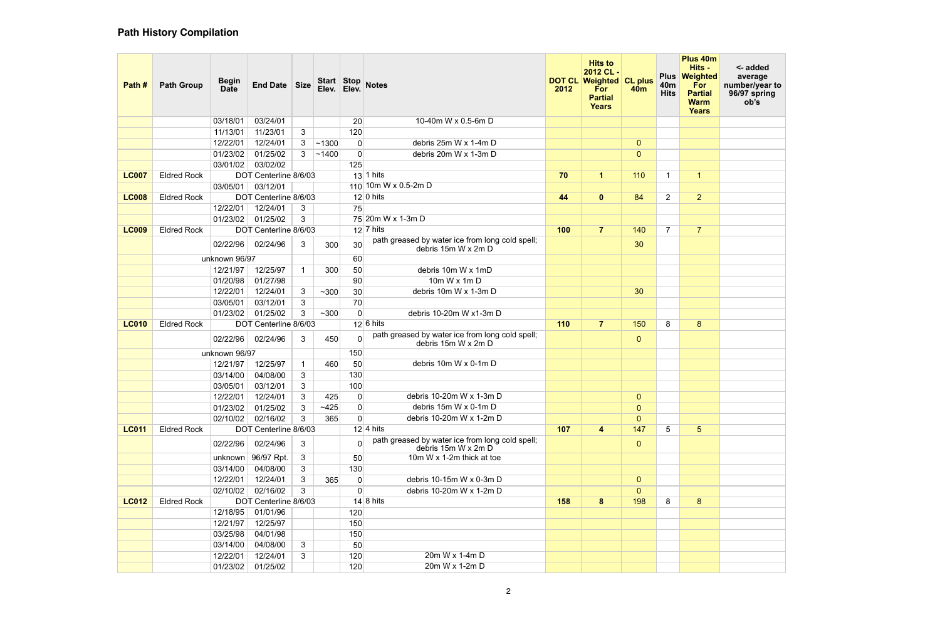| Path #       | <b>Path Group</b>  | <b>Begin</b><br><b>Date</b> | End Date Size                     |                | Elev.        | Elev.                         | Start Stop Notes                                                                             | 2012 | <b>Hits to</b><br>2012 CL-<br>DOT CL Weighted CL plus<br>For<br><b>Partial</b><br><b>Years</b> | <b>40m</b>            | <b>Plus</b><br>40 <sub>m</sub><br><b>Hits</b> | Plus 40m<br>Hits -<br>Weighted<br>For<br><b>Partial</b><br><b>Warm</b><br><b>Years</b> | <- added<br>average<br>number/year to<br>96/97 spring<br>ob's |
|--------------|--------------------|-----------------------------|-----------------------------------|----------------|--------------|-------------------------------|----------------------------------------------------------------------------------------------|------|------------------------------------------------------------------------------------------------|-----------------------|-----------------------------------------------|----------------------------------------------------------------------------------------|---------------------------------------------------------------|
|              |                    | 03/18/01                    | 03/24/01                          |                |              | 20                            | 10-40m W x 0.5-6m D                                                                          |      |                                                                                                |                       |                                               |                                                                                        |                                                               |
|              |                    | 11/13/01                    | 11/23/01                          | 3              |              | 120                           |                                                                                              |      |                                                                                                |                       |                                               |                                                                                        |                                                               |
|              |                    | 12/22/01                    | 12/24/01                          | 3              | ~1300        | $\mathbf 0$                   | debris 25m W x 1-4m D                                                                        |      |                                                                                                | $\mathbf{0}$          |                                               |                                                                                        |                                                               |
|              |                    | 01/23/02                    | 01/25/02                          | 3              | ~1400        | $\mathbf 0$                   | debris 20m W x 1-3m D                                                                        |      |                                                                                                | $\overline{0}$        |                                               |                                                                                        |                                                               |
|              |                    | 03/01/02                    | 03/02/02                          |                |              | 125                           | $13$ 1 hits                                                                                  |      |                                                                                                |                       | - 1                                           |                                                                                        |                                                               |
| <b>LC007</b> | <b>Eldred Rock</b> |                             | DOT Centerline 8/6/03<br>03/12/01 |                |              |                               | 110 10m W x 0.5-2m D                                                                         | 70   | $\mathbf 1$                                                                                    | 110                   |                                               | $\mathbf{1}$                                                                           |                                                               |
| <b>LC008</b> | <b>Eldred Rock</b> | 03/05/01                    | DOT Centerline 8/6/03             |                |              |                               | $12 0 \text{ hits}$                                                                          | 44   | $\mathbf{0}$                                                                                   | 84                    | $\overline{2}$                                | 2 <sup>1</sup>                                                                         |                                                               |
|              |                    | 12/22/01                    | 12/24/01                          | 3              |              | 75                            |                                                                                              |      |                                                                                                |                       |                                               |                                                                                        |                                                               |
|              |                    | 01/23/02                    | 01/25/02                          | 3              |              |                               | 75 20m W x 1-3m D                                                                            |      |                                                                                                |                       |                                               |                                                                                        |                                                               |
| <b>LC009</b> | <b>Eldred Rock</b> |                             | DOT Centerline 8/6/03             |                |              |                               | $12 7 \text{ hits}$                                                                          | 100  | 7 <sup>1</sup>                                                                                 | 140                   | $\overline{7}$                                | 7 <sup>1</sup>                                                                         |                                                               |
|              |                    | 02/22/96                    | 02/24/96                          | 3              | 300          | 30                            | path greased by water ice from long cold spell;<br>debris 15m W x 2m D<br>debris 10m W x 1mD |      |                                                                                                | 30                    |                                               |                                                                                        |                                                               |
|              |                    | unknown 96/97               |                                   |                |              | 60                            |                                                                                              |      |                                                                                                |                       |                                               |                                                                                        |                                                               |
|              |                    | 12/21/97                    | 12/25/97                          |                | 300          | 50                            |                                                                                              |      |                                                                                                |                       |                                               |                                                                                        |                                                               |
|              |                    | 01/20/98                    | 01/27/98                          |                |              | 90                            | 10m W x 1m D                                                                                 |      |                                                                                                |                       |                                               |                                                                                        |                                                               |
|              |                    | 12/22/01                    | 12/24/01                          | $\mathbf{3}$   | $~1$ - 300   | 30                            | debris 10m W x 1-3m D                                                                        |      |                                                                                                | 30                    |                                               |                                                                                        |                                                               |
|              |                    | 03/05/01                    | 03/12/01                          | 3              |              | 70                            |                                                                                              |      |                                                                                                |                       |                                               |                                                                                        |                                                               |
|              |                    | 01/23/02                    | 01/25/02                          | 3              | $~1$ - 300   | $\mathbf 0$                   | debris 10-20m W x1-3m D                                                                      |      |                                                                                                |                       |                                               |                                                                                        |                                                               |
| <b>LC010</b> | <b>Eldred Rock</b> |                             | DOT Centerline 8/6/03             |                |              |                               | $12 6 \text{ hits}$                                                                          | 110  | 7 <sup>1</sup>                                                                                 | 150                   | 8                                             | 8                                                                                      |                                                               |
|              |                    | 02/22/96                    | 02/24/96                          | 3              | 450          | $\mathbf{0}$                  | path greased by water ice from long cold spell;<br>debris 15m W x 2m D                       |      |                                                                                                | $\mathbf{0}$          |                                               |                                                                                        |                                                               |
|              |                    | unknown 96/97               |                                   |                |              | 150                           |                                                                                              |      |                                                                                                |                       |                                               |                                                                                        |                                                               |
|              |                    | 12/21/97                    | 12/25/97                          |                | 460          | 50                            | debris 10m W x 0-1m D                                                                        |      |                                                                                                |                       |                                               |                                                                                        |                                                               |
|              |                    | 03/14/00                    | 04/08/00                          | 3              |              | 130                           |                                                                                              |      |                                                                                                |                       |                                               |                                                                                        |                                                               |
|              |                    | 03/05/01                    | 03/12/01                          | 3              |              | 100                           |                                                                                              |      |                                                                                                |                       |                                               |                                                                                        |                                                               |
|              |                    | 12/22/01                    | 12/24/01                          | $\mathbf{3}$   | 425          | $\mathbf 0$                   | debris 10-20m W x 1-3m D                                                                     |      |                                                                                                | $\overline{0}$        |                                               |                                                                                        |                                                               |
|              |                    | 01/23/02                    | 01/25/02                          | 3<br>3         | ~1425<br>365 | $\overline{0}$<br>$\mathbf 0$ | debris 15m W x 0-1m D<br>debris 10-20m W x 1-2m D                                            |      |                                                                                                | $\overline{0}$        |                                               |                                                                                        |                                                               |
| <b>LC011</b> | <b>Eldred Rock</b> | 02/10/02                    | 02/16/02<br>DOT Centerline 8/6/03 |                |              |                               | $12 \mid 4 \text{ hits}$                                                                     | 107  | $\overline{\mathbf{4}}$                                                                        | $\overline{0}$<br>147 | 5                                             | 5 <sup>5</sup>                                                                         |                                                               |
|              |                    | 02/22/96                    | 02/24/96                          | 3              |              | $\mathbf{0}$                  | path greased by water ice from long cold spell;<br>debris 15m W x 2m D                       |      |                                                                                                | $\mathbf{0}$          |                                               |                                                                                        |                                                               |
|              |                    | unknown                     | 96/97 Rpt.                        | 3 <sup>1</sup> |              | 50                            | 10m W x 1-2m thick at toe                                                                    |      |                                                                                                |                       |                                               |                                                                                        |                                                               |
|              |                    | 03/14/00                    | 04/08/00                          | 3 <sup>1</sup> |              | 130                           |                                                                                              |      |                                                                                                |                       |                                               |                                                                                        |                                                               |
|              |                    | 12/22/01                    | 12/24/01                          | $\mathbf{3}$   | 365          | $\mathbf 0$                   | debris 10-15m W x 0-3m D                                                                     |      |                                                                                                | $\overline{0}$        |                                               |                                                                                        |                                                               |
|              |                    | 02/10/02                    | 02/16/02                          | 3              |              | $\mathbf 0$                   | debris 10-20m W x 1-2m D                                                                     |      |                                                                                                | $\overline{0}$        |                                               |                                                                                        |                                                               |
| <b>LC012</b> | <b>Eldred Rock</b> |                             | DOT Centerline 8/6/03             |                |              |                               | $14 8 \text{ hits}$                                                                          | 158  | 8                                                                                              | 198                   | 8                                             | 8                                                                                      |                                                               |
|              |                    | 12/18/95                    | 01/01/96                          |                |              | 120                           |                                                                                              |      |                                                                                                |                       |                                               |                                                                                        |                                                               |
|              |                    | 12/21/97                    | 12/25/97                          |                |              | 150                           |                                                                                              |      |                                                                                                |                       |                                               |                                                                                        |                                                               |
|              |                    | 03/25/98                    | 04/01/98                          |                |              | 150                           |                                                                                              |      |                                                                                                |                       |                                               |                                                                                        |                                                               |
|              |                    | 03/14/00                    | 04/08/00                          | 3 <sup>1</sup> |              | 50                            |                                                                                              |      |                                                                                                |                       |                                               |                                                                                        |                                                               |
|              |                    | 12/22/01                    | 12/24/01                          | 3 <sup>1</sup> |              | 120                           | 20m W x 1-4m D                                                                               |      |                                                                                                |                       |                                               |                                                                                        |                                                               |
|              |                    | 01/23/02                    | 01/25/02                          |                |              | 120                           | 20m W x 1-2m D                                                                               |      |                                                                                                |                       |                                               |                                                                                        |                                                               |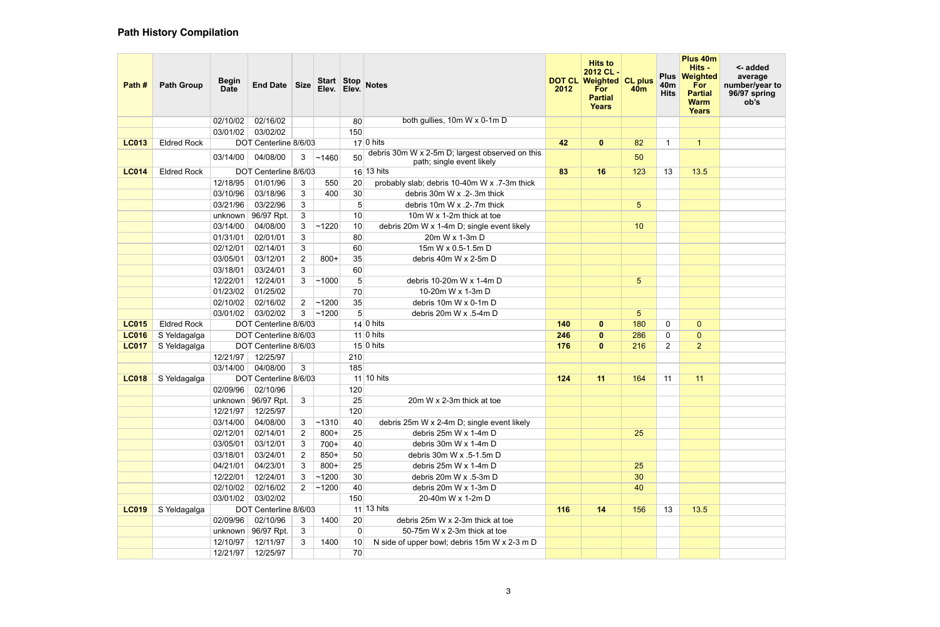| Path #       | <b>Path Group</b>  | <b>Begin</b><br><b>Date</b> | <b>End Date</b>        | <b>Size</b>    | Start Stop<br>Elev. | Elev.           | <b>Notes</b>                                                                 | <b>DOT CL</b><br>2012 | <b>Hits to</b><br>2012 CL-<br><b>Weighted CL plus</b><br>For<br><b>Partial</b><br><b>Years</b> | 40 <sub>m</sub> | <b>Plus</b><br>40 <sub>m</sub><br><b>Hits</b> | Plus 40m<br>Hits -<br>Weighted<br>For<br><b>Partial</b><br><b>Warm</b><br><b>Years</b> | <- added<br>average<br>number/year to<br>96/97 spring<br>ob's |
|--------------|--------------------|-----------------------------|------------------------|----------------|---------------------|-----------------|------------------------------------------------------------------------------|-----------------------|------------------------------------------------------------------------------------------------|-----------------|-----------------------------------------------|----------------------------------------------------------------------------------------|---------------------------------------------------------------|
|              |                    | 02/10/02                    | 02/16/02               |                |                     | 80              | both gullies, 10m W x 0-1m D                                                 |                       |                                                                                                |                 |                                               |                                                                                        |                                                               |
|              |                    | 03/01/02                    | 03/02/02               |                |                     | 150             |                                                                              |                       |                                                                                                |                 |                                               |                                                                                        |                                                               |
| <b>LC013</b> | <b>Eldred Rock</b> |                             | DOT Centerline 8/6/03  |                |                     |                 | $17 0$ hits                                                                  | 42                    | $\mathbf{0}$                                                                                   | 82              | -1                                            | $\mathbf{1}$                                                                           |                                                               |
|              |                    | 03/14/00                    | 04/08/00               | 3              | ~1460               | 50              | debris 30m W x 2-5m D; largest observed on this<br>path; single event likely |                       |                                                                                                | 50              |                                               |                                                                                        |                                                               |
| <b>LC014</b> | <b>Eldred Rock</b> |                             | DOT Centerline 8/6/03  |                |                     |                 | $16$ 13 hits                                                                 | 83                    | 16                                                                                             | 123             | 13                                            | 13.5                                                                                   |                                                               |
|              |                    | 12/18/95                    | 01/01/96               | 3              | 550                 | 20              | probably slab; debris 10-40m W x .7-3m thick                                 |                       |                                                                                                |                 |                                               |                                                                                        |                                                               |
|              |                    | 03/10/96                    | 03/18/96               | 3              | 400                 | 30              | debris 30m W x .2-.3m thick                                                  |                       |                                                                                                |                 |                                               |                                                                                        |                                                               |
|              |                    | 03/21/96                    | 03/22/96               | 3              |                     | 5               | debris 10m W x .2-.7m thick                                                  |                       |                                                                                                | 5 <sup>5</sup>  |                                               |                                                                                        |                                                               |
|              |                    | unknown                     | 96/97 Rpt.             | 3              |                     | 10              | 10m W x 1-2m thick at toe                                                    |                       |                                                                                                |                 |                                               |                                                                                        |                                                               |
|              |                    | 03/14/00                    | 04/08/00               | 3 <sup>1</sup> | ~1220               | 10              | debris 20m W x 1-4m D; single event likely                                   |                       |                                                                                                | 10              |                                               |                                                                                        |                                                               |
|              |                    | 01/31/01                    | 02/01/01               | 3              |                     | 80              | 20m W x 1-3m D                                                               |                       |                                                                                                |                 |                                               |                                                                                        |                                                               |
|              |                    | 02/12/01                    | 02/14/01               | 3              |                     | 60              | 15m W x 0.5-1.5m D                                                           |                       |                                                                                                |                 |                                               |                                                                                        |                                                               |
|              |                    | 03/05/01                    | 03/12/01               | $\overline{2}$ | $800+$              | 35              | debris 40m W x 2-5m D                                                        |                       |                                                                                                |                 |                                               |                                                                                        |                                                               |
|              |                    | 03/18/01                    | 03/24/01               | 3              |                     | 60              |                                                                              |                       |                                                                                                |                 |                                               |                                                                                        |                                                               |
|              |                    | 12/22/01                    | 12/24/01               | 3              | ~1000               | 5               | debris 10-20m W x 1-4m D                                                     |                       |                                                                                                | 5 <sup>5</sup>  |                                               |                                                                                        |                                                               |
|              |                    | 01/23/02                    | 01/25/02               |                |                     | 70              | 10-20m W x 1-3m D                                                            |                       |                                                                                                |                 |                                               |                                                                                        |                                                               |
|              |                    | 02/10/02                    | 02/16/02               | $\overline{2}$ | ~1200               | 35              | debris 10m W x 0-1m D                                                        |                       |                                                                                                |                 |                                               |                                                                                        |                                                               |
|              |                    | 03/01/02                    | 03/02/02               | 3              | ~1200               | 5               | debris 20m W x .5-4m D                                                       |                       |                                                                                                | 5 <sup>5</sup>  |                                               |                                                                                        |                                                               |
| <b>LC015</b> | <b>Eldred Rock</b> |                             | DOT Centerline 8/6/03  |                |                     |                 | $14 0 \text{ hits}$                                                          | 140                   | $\mathbf{0}$                                                                                   | 180             | 0                                             | $\overline{0}$                                                                         |                                                               |
| <b>LC016</b> | S Yeldagalga       |                             | DOT Centerline 8/6/03  |                |                     |                 | 11 0 hits                                                                    | 246                   | $\mathbf{0}$                                                                                   | 286             | 0                                             | $\overline{0}$                                                                         |                                                               |
| <b>LC017</b> | S Yeldagalga       |                             | DOT Centerline 8/6/03  |                |                     |                 | $15 0 \text{ hits}$                                                          | 176                   | $\mathbf{0}$                                                                                   | 216             | $\overline{2}$                                | 2 <sup>1</sup>                                                                         |                                                               |
|              |                    | 12/21/97                    | 12/25/97               |                |                     | 210             |                                                                              |                       |                                                                                                |                 |                                               |                                                                                        |                                                               |
|              |                    | 03/14/00                    | 04/08/00               | 3              |                     | 185             |                                                                              |                       |                                                                                                |                 |                                               |                                                                                        |                                                               |
| <b>LC018</b> | S Yeldagalga       |                             | DOT Centerline 8/6/03  |                |                     |                 | $11$ 10 hits                                                                 | 124                   | 11                                                                                             | 164             | 11                                            | 11                                                                                     |                                                               |
|              |                    | 02/09/96                    | 02/10/96               |                |                     | 120             |                                                                              |                       |                                                                                                |                 |                                               |                                                                                        |                                                               |
|              |                    |                             | unknown   $96/97$ Rpt. | 3 <sup>1</sup> |                     | 25              | 20m W x 2-3m thick at toe                                                    |                       |                                                                                                |                 |                                               |                                                                                        |                                                               |
|              |                    | 12/21/97                    | 12/25/97               |                |                     | 120             |                                                                              |                       |                                                                                                |                 |                                               |                                                                                        |                                                               |
|              |                    | 03/14/00                    | 04/08/00               | 3 <sup>1</sup> | ~1310               | 40              | debris 25m W x 2-4m D; single event likely                                   |                       |                                                                                                |                 |                                               |                                                                                        |                                                               |
|              |                    | 02/12/01                    | 02/14/01               | $\mathbf{2}$   | $800+$              | 25              | debris 25m W x 1-4m D                                                        |                       |                                                                                                | 25              |                                               |                                                                                        |                                                               |
|              |                    | 03/05/01                    | 03/12/01               | 3              | $700+$              | 40              | debris 30m W x 1-4m D                                                        |                       |                                                                                                |                 |                                               |                                                                                        |                                                               |
|              |                    | 03/18/01                    | 03/24/01               | $\mathbf{2}$   | $850+$              | 50              | debris 30m W x .5-1.5m D                                                     |                       |                                                                                                |                 |                                               |                                                                                        |                                                               |
|              |                    | 04/21/01                    | 04/23/01               | $\mathbf{3}$   | $800+$              | 25              | debris 25m W x 1-4m D                                                        |                       |                                                                                                | 25              |                                               |                                                                                        |                                                               |
|              |                    | 12/22/01                    | 12/24/01               | 3              | ~1200               | 30 <sup>°</sup> | debris 20m W x .5-3m D                                                       |                       |                                                                                                | 30              |                                               |                                                                                        |                                                               |
|              |                    | 02/10/02                    | 02/16/02               | $\overline{2}$ | ~1200               | 40              | debris 20m W x 1-3m D                                                        |                       |                                                                                                | 40              |                                               |                                                                                        |                                                               |
|              |                    | 03/01/02                    | 03/02/02               |                |                     | 150             | 20-40m W x 1-2m D                                                            |                       |                                                                                                |                 |                                               |                                                                                        |                                                               |
| <b>LC019</b> | S Yeldagalga       |                             | DOT Centerline 8/6/03  |                |                     |                 | $11$ 13 hits                                                                 | 116                   | 14                                                                                             | 156             | 13                                            | 13.5                                                                                   |                                                               |
|              |                    | 02/09/96                    | 02/10/96               | 3              | 1400                | 20              | debris 25m W x 2-3m thick at toe                                             |                       |                                                                                                |                 |                                               |                                                                                        |                                                               |
|              |                    |                             | unknown   $96/97$ Rpt. | 3              |                     | 0               | 50-75m W x 2-3m thick at toe                                                 |                       |                                                                                                |                 |                                               |                                                                                        |                                                               |
|              |                    | 12/10/97                    | 12/11/97               | 3              | 1400                | 10 <sup>1</sup> | N side of upper bowl; debris 15m W x 2-3 m D                                 |                       |                                                                                                |                 |                                               |                                                                                        |                                                               |
|              |                    | 12/21/97                    | 12/25/97               |                |                     | 70              |                                                                              |                       |                                                                                                |                 |                                               |                                                                                        |                                                               |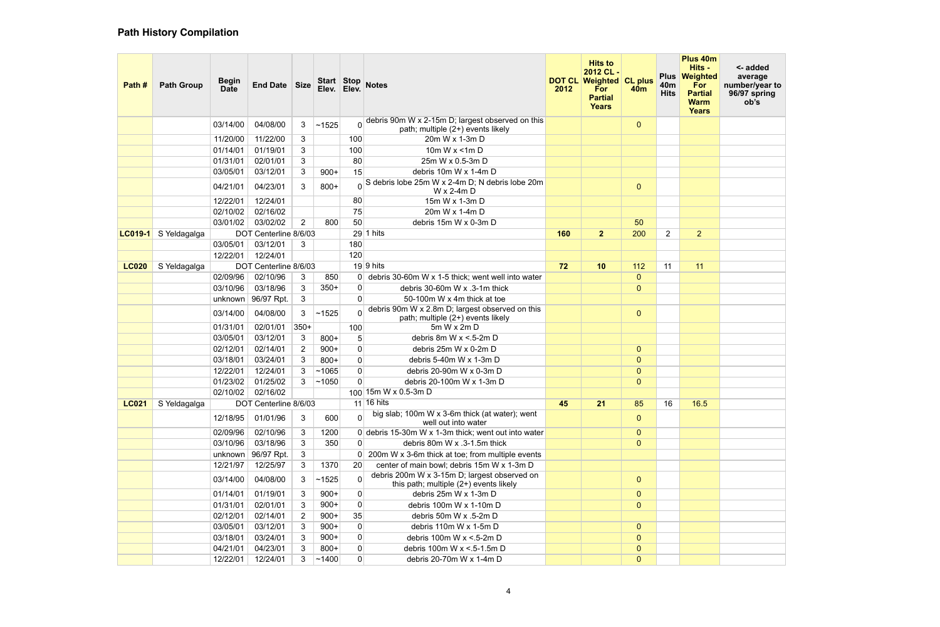| Path #       | <b>Path Group</b> | <b>Begin</b><br><b>Date</b> | End Date Size         |                | Start Stop<br>Elev. | Elev.          | <b>Notes</b>                                                                           | 2012 | <b>Hits to</b><br>2012 CL-<br><b>DOT CL Weighted CL plus</b><br>For<br><b>Partial</b><br><b>Years</b> | <b>40m</b>     | <b>Plus</b><br>40 <sub>m</sub><br><b>Hits</b> | Plus 40m<br>Hits -<br>Weighted<br>For<br><b>Partial</b><br><b>Warm</b><br><b>Years</b> | <- added<br>average<br>number/year to<br>96/97 spring<br>ob's |
|--------------|-------------------|-----------------------------|-----------------------|----------------|---------------------|----------------|----------------------------------------------------------------------------------------|------|-------------------------------------------------------------------------------------------------------|----------------|-----------------------------------------------|----------------------------------------------------------------------------------------|---------------------------------------------------------------|
|              |                   | 03/14/00                    | 04/08/00              | 3              | ~1525               | $\overline{0}$ | debris 90m W x 2-15m D; largest observed on this<br>path; multiple (2+) events likely  |      |                                                                                                       | $\overline{0}$ |                                               |                                                                                        |                                                               |
|              |                   | 11/20/00                    | 11/22/00              | 3              |                     | 100            | 20m W x 1-3m D                                                                         |      |                                                                                                       |                |                                               |                                                                                        |                                                               |
|              |                   | 01/14/01                    | 01/19/01              | 3              |                     | 100            | 10 $m$ W x <1 $m$ D                                                                    |      |                                                                                                       |                |                                               |                                                                                        |                                                               |
|              |                   | 01/31/01                    | 02/01/01              | 3              |                     | 80             | 25m W x 0.5-3m D                                                                       |      |                                                                                                       |                |                                               |                                                                                        |                                                               |
|              |                   | 03/05/01                    | 03/12/01              | 3              | $900+$              | 15             | debris 10m W x 1-4m D                                                                  |      |                                                                                                       |                |                                               |                                                                                        |                                                               |
|              |                   | 04/21/01                    | 04/23/01              | 3              | $800+$              |                | 0 S debris lobe 25m W x 2-4m D; N debris lobe 20m<br>$W \times 2-4m$ D                 |      |                                                                                                       | $\mathbf{0}$   |                                               |                                                                                        |                                                               |
|              |                   | 12/22/01                    | 12/24/01              |                |                     | 80             | 15m W x 1-3m D                                                                         |      |                                                                                                       |                |                                               |                                                                                        |                                                               |
|              |                   | 02/10/02                    | 02/16/02              |                |                     | 75             | 20m W x 1-4m D                                                                         |      |                                                                                                       |                |                                               |                                                                                        |                                                               |
|              |                   | 03/01/02                    | 03/02/02              | $\overline{2}$ | 800                 | 50             | debris 15m W x 0-3m D                                                                  |      |                                                                                                       | 50             |                                               |                                                                                        |                                                               |
| $LC019-1$    | S Yeldagalga      |                             | DOT Centerline 8/6/03 |                |                     |                | $29 1 \text{ hits}$                                                                    | 160  | 2 <sub>2</sub>                                                                                        | 200            | 2                                             | 2 <sup>1</sup>                                                                         |                                                               |
|              |                   | 03/05/01                    | 03/12/01              | 3              |                     | 180            |                                                                                        |      |                                                                                                       |                |                                               |                                                                                        |                                                               |
|              |                   | 12/22/01                    | 12/24/01              |                |                     | 120            |                                                                                        |      |                                                                                                       |                |                                               |                                                                                        |                                                               |
| <b>LC020</b> | S Yeldagalga      |                             | DOT Centerline 8/6/03 |                |                     |                | $19$ 9 hits                                                                            | 72   | 10                                                                                                    | 112            | 11                                            | 11                                                                                     |                                                               |
|              |                   | 02/09/96                    | 02/10/96              | 3              | 850                 | 0              | debris 30-60m W x 1-5 thick; went well into water                                      |      |                                                                                                       | $\mathbf{0}$   |                                               |                                                                                        |                                                               |
|              |                   | 03/10/96                    | 03/18/96              | 3              | $350+$              | $\mathbf 0$    | debris 30-60m W x .3-1m thick                                                          |      |                                                                                                       | $\overline{0}$ |                                               |                                                                                        |                                                               |
|              |                   | unknown                     | 96/97 Rpt.            | 3              |                     | $\overline{0}$ | 50-100m W x 4m thick at toe                                                            |      |                                                                                                       |                |                                               |                                                                                        |                                                               |
|              |                   | 03/14/00                    | 04/08/00              | 3              | ~1525               | $\overline{0}$ | debris 90m W x 2.8m D; largest observed on this<br>path; multiple (2+) events likely   |      |                                                                                                       | $\overline{0}$ |                                               |                                                                                        |                                                               |
|              |                   | 01/31/01                    | 02/01/01              | $350+$         |                     | 100            | $5m$ W x $2m$ D                                                                        |      |                                                                                                       |                |                                               |                                                                                        |                                                               |
|              |                   | 03/05/01                    | 03/12/01              | 3              | $800+$              | 5              | debris 8m W $x < 5-2m$ D                                                               |      |                                                                                                       |                |                                               |                                                                                        |                                                               |
|              |                   | 02/12/01                    | 02/14/01              | $\overline{2}$ | $900+$              | $\mathbf 0$    | debris 25m W x 0-2m D                                                                  |      |                                                                                                       | $\overline{0}$ |                                               |                                                                                        |                                                               |
|              |                   | 03/18/01                    | 03/24/01              | 3              | $800+$              | $\mathbf 0$    | debris 5-40m W x 1-3m D                                                                |      |                                                                                                       | $\mathbf{0}$   |                                               |                                                                                        |                                                               |
|              |                   | 12/22/01                    | 12/24/01              | 3              | ~1065               | 0              | debris 20-90m W x 0-3m D                                                               |      |                                                                                                       | 0              |                                               |                                                                                        |                                                               |
|              |                   | 01/23/02                    | 01/25/02              | 3              | $\sim$ 1050         | 0              | debris 20-100m W x 1-3m D                                                              |      |                                                                                                       | $\overline{0}$ |                                               |                                                                                        |                                                               |
|              |                   | 02/10/02                    | 02/16/02              |                |                     |                | 100 15m W x 0.5-3m D                                                                   |      |                                                                                                       |                |                                               |                                                                                        |                                                               |
| <b>LC021</b> | S Yeldagalga      |                             | DOT Centerline 8/6/03 |                |                     |                | $11$ 16 hits                                                                           | 45   | 21                                                                                                    | 85             | 16                                            | 16.5                                                                                   |                                                               |
|              |                   | 12/18/95                    | 01/01/96              | 3              | 600                 | $\mathbf{0}$   | big slab; 100m W x 3-6m thick (at water); went<br>well out into water                  |      |                                                                                                       | $\mathbf{0}$   |                                               |                                                                                        |                                                               |
|              |                   | 02/09/96                    | 02/10/96              | 3              | 1200                |                | 0 debris 15-30m W x 1-3m thick; went out into water                                    |      |                                                                                                       | $\overline{0}$ |                                               |                                                                                        |                                                               |
|              |                   | 03/10/96                    | 03/18/96              | 3              | 350                 | $\mathbf 0$    | debris 80m W x .3-1.5m thick                                                           |      |                                                                                                       | $\overline{0}$ |                                               |                                                                                        |                                                               |
|              |                   | unknown                     | 96/97 Rpt.            | 3              |                     |                | 200m W x 3-6m thick at toe; from multiple events                                       |      |                                                                                                       |                |                                               |                                                                                        |                                                               |
|              |                   | 12/21/97                    | 12/25/97              | 3              | 1370                | 20             | center of main bowl; debris 15m W x 1-3m D                                             |      |                                                                                                       |                |                                               |                                                                                        |                                                               |
|              |                   | 03/14/00                    | 04/08/00              | 3              | ~1525               | $\mathbf 0$    | debris 200m W x 3-15m D; largest observed on<br>this path; multiple (2+) events likely |      |                                                                                                       | $\overline{0}$ |                                               |                                                                                        |                                                               |
|              |                   | 01/14/01                    | 01/19/01              | 3              | $900+$              | $\mathbf 0$    | debris 25m W x 1-3m D                                                                  |      |                                                                                                       | $\overline{0}$ |                                               |                                                                                        |                                                               |
|              |                   | 01/31/01                    | 02/01/01              | 3              | $900+$              | $\mathbf 0$    | debris 100m W x 1-10m D                                                                |      |                                                                                                       | $\overline{0}$ |                                               |                                                                                        |                                                               |
|              |                   | 02/12/01                    | 02/14/01              | $\mathbf{2}$   | $900+$              | 35             | debris 50m W x .5-2m D                                                                 |      |                                                                                                       |                |                                               |                                                                                        |                                                               |
|              |                   | 03/05/01                    | 03/12/01              | 3              | $900+$              | $\mathbf 0$    | debris 110m W x 1-5m D                                                                 |      |                                                                                                       | $\overline{0}$ |                                               |                                                                                        |                                                               |
|              |                   | 03/18/01                    | 03/24/01              | 3              | $900+$              | $\mathbf 0$    | debris 100m W $x < 5-2m$ D                                                             |      |                                                                                                       | $\overline{0}$ |                                               |                                                                                        |                                                               |
|              |                   | 04/21/01                    | 04/23/01              | 3              | $800+$              | 0              | debris 100m W x <.5-1.5m D                                                             |      |                                                                                                       | $\mathbf{0}$   |                                               |                                                                                        |                                                               |
|              |                   | 12/22/01                    | 12/24/01              | 3.             | ~1400               | $\mathbf 0$    | debris 20-70m W x 1-4m D                                                               |      |                                                                                                       | $\mathbf{0}$   |                                               |                                                                                        |                                                               |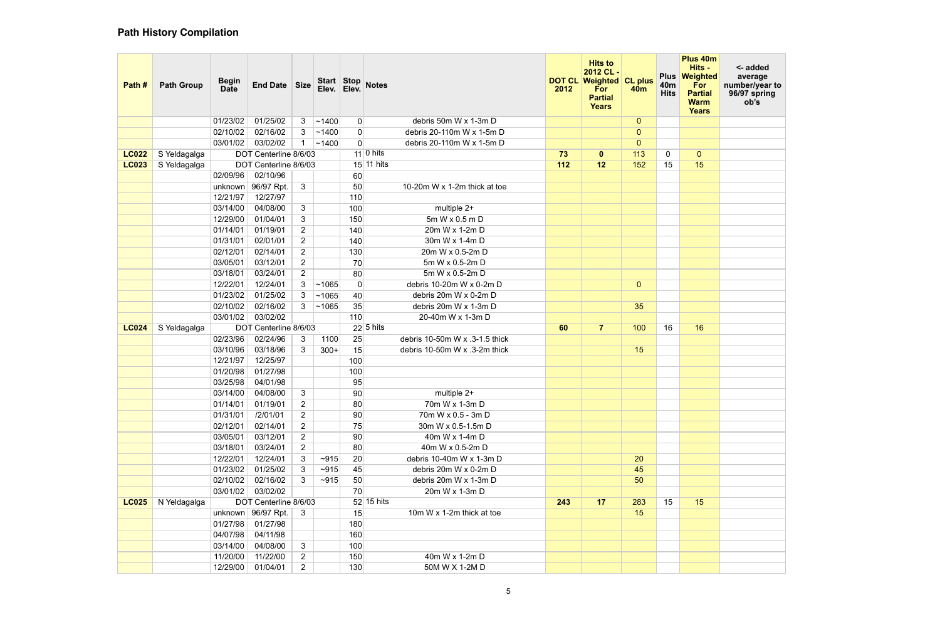| Path #       | <b>Path Group</b> | <b>Begin</b><br><b>Date</b> | End Date Size          |                                  | Elev.     | Elev.          | Start Stop Notes                         | <b>DOT CL</b><br>2012 | <b>Hits to</b><br>2012 CL-<br><b>Weighted CL plus</b><br>For<br><b>Partial</b><br><b>Years</b> | <b>40m</b>     | <b>Plus</b><br>40 <sub>m</sub><br><b>Hits</b> | Plus 40m<br>Hits -<br><b>Weighted</b><br>For<br><b>Partial</b><br><b>Warm</b><br><b>Years</b> | <- added<br>average<br>number/year to<br>96/97 spring<br>ob's |
|--------------|-------------------|-----------------------------|------------------------|----------------------------------|-----------|----------------|------------------------------------------|-----------------------|------------------------------------------------------------------------------------------------|----------------|-----------------------------------------------|-----------------------------------------------------------------------------------------------|---------------------------------------------------------------|
|              |                   | 01/23/02                    | 01/25/02               | 3                                | ~1400     | $\overline{0}$ | debris 50m W x 1-3m D                    |                       |                                                                                                | $\overline{0}$ |                                               |                                                                                               |                                                               |
|              |                   | 02/10/02                    | 02/16/02               | 3                                | ~1400     | $\overline{0}$ | debris 20-110m W x 1-5m D                |                       |                                                                                                | $\overline{0}$ |                                               |                                                                                               |                                                               |
|              |                   | 03/01/02                    | 03/02/02               |                                  | ~1400     | $\overline{0}$ | debris 20-110m W x 1-5m D                |                       |                                                                                                | $\overline{0}$ |                                               |                                                                                               |                                                               |
| <b>LC022</b> | S Yeldagalga      |                             | DOT Centerline 8/6/03  |                                  |           |                | $11$ 0 hits                              | 73                    | $\mathbf{0}$                                                                                   | 113            | 0                                             | $\overline{0}$                                                                                |                                                               |
| <b>LC023</b> | S Yeldagalga      |                             | DOT Centerline 8/6/03  |                                  |           |                | 15 11 hits                               | 112                   | 12                                                                                             | 152            | 15                                            | 15                                                                                            |                                                               |
|              |                   | 02/09/96                    | 02/10/96               |                                  |           | 60             |                                          |                       |                                                                                                |                |                                               |                                                                                               |                                                               |
|              |                   |                             | unknown   96/97 Rpt.   | $\mathbf{3}$                     |           | 50             | 10-20m W x 1-2m thick at toe             |                       |                                                                                                |                |                                               |                                                                                               |                                                               |
|              |                   | 12/21/97                    | 12/27/97               |                                  |           | 110            |                                          |                       |                                                                                                |                |                                               |                                                                                               |                                                               |
|              |                   | 03/14/00                    | 04/08/00               | $\mathbf{3}$                     |           | 100            | multiple 2+                              |                       |                                                                                                |                |                                               |                                                                                               |                                                               |
|              |                   | 12/29/00                    | 01/04/01               | 3                                |           | 150            | 5m W x 0.5 m D                           |                       |                                                                                                |                |                                               |                                                                                               |                                                               |
|              |                   | 01/14/01                    | 01/19/01               | $\overline{2}$                   |           | 140            | 20m W x 1-2m D                           |                       |                                                                                                |                |                                               |                                                                                               |                                                               |
|              |                   | 01/31/01                    | 02/01/01               | $\overline{2}$                   |           | 140            | 30m W x 1-4m D                           |                       |                                                                                                |                |                                               |                                                                                               |                                                               |
|              |                   | 02/12/01                    | 02/14/01               | $\overline{2}$                   |           | 130            | 20m W x 0.5-2m D                         |                       |                                                                                                |                |                                               |                                                                                               |                                                               |
|              |                   | 03/05/01                    | 03/12/01               | $\overline{2}$                   |           | 70             | 5m W x 0.5-2m D                          |                       |                                                                                                |                |                                               |                                                                                               |                                                               |
|              |                   | 03/18/01                    | 03/24/01               | $\overline{2}$                   |           | 80             | 5m W x 0.5-2m D                          |                       |                                                                                                |                |                                               |                                                                                               |                                                               |
|              |                   | 12/22/01                    | 12/24/01               | 3                                | ~1065     | $\mathbf 0$    | debris 10-20m W x 0-2m D                 |                       |                                                                                                | $\overline{0}$ |                                               |                                                                                               |                                                               |
|              |                   | 01/23/02                    | 01/25/02               | 3 <sup>1</sup>                   | ~1065     | 40             | debris 20m W x 0-2m D                    |                       |                                                                                                |                |                                               |                                                                                               |                                                               |
|              |                   | 02/10/02                    | 02/16/02               | 3                                | ~1065     | 35             | debris 20m W x 1-3m D                    |                       |                                                                                                | 35             |                                               |                                                                                               |                                                               |
|              |                   | 03/01/02                    | 03/02/02               |                                  |           | 110            | 20-40m W x 1-3m D<br>$22\sqrt{5}$ hits   |                       |                                                                                                |                |                                               |                                                                                               |                                                               |
| <b>LC024</b> | S Yeldagalga      |                             | DOT Centerline 8/6/03  |                                  |           |                |                                          | 60                    | $\overline{7}$                                                                                 | 100            | 16                                            | 16                                                                                            |                                                               |
|              |                   | 02/23/96                    | 02/24/96               | 3                                | 1100      | 25             | debris 10-50m W x .3-1.5 thick           |                       |                                                                                                |                |                                               |                                                                                               |                                                               |
|              |                   | 03/10/96                    | 03/18/96<br>12/25/97   | 3                                | $300+$    | 15             | debris 10-50m W x .3-2m thick            |                       |                                                                                                | 15             |                                               |                                                                                               |                                                               |
|              |                   | 12/21/97                    |                        |                                  |           | 100<br>100     |                                          |                       |                                                                                                |                |                                               |                                                                                               |                                                               |
|              |                   | 01/20/98<br>03/25/98        | 01/27/98               |                                  |           |                |                                          |                       |                                                                                                |                |                                               |                                                                                               |                                                               |
|              |                   | 03/14/00                    | 04/01/98<br>04/08/00   |                                  |           | 95<br>90       | multiple 2+                              |                       |                                                                                                |                |                                               |                                                                                               |                                                               |
|              |                   | 01/14/01                    | 01/19/01               | $\mathbf{3}$<br>$2^{\circ}$      |           | 80             | 70m W x 1-3m D                           |                       |                                                                                                |                |                                               |                                                                                               |                                                               |
|              |                   | 01/31/01                    |                        |                                  |           |                |                                          |                       |                                                                                                |                |                                               |                                                                                               |                                                               |
|              |                   | 02/12/01                    | /2/01/01<br>02/14/01   | $\overline{2}$<br>$\overline{2}$ |           | 90<br>75       | 70m W x 0.5 - 3m D<br>30m W x 0.5-1.5m D |                       |                                                                                                |                |                                               |                                                                                               |                                                               |
|              |                   | 03/05/01                    | 03/12/01               | $\overline{2}$                   |           | 90             | 40m W x 1-4m D                           |                       |                                                                                                |                |                                               |                                                                                               |                                                               |
|              |                   | 03/18/01                    | 03/24/01               | $\overline{2}$                   |           | 80             | 40m W x 0.5-2m D                         |                       |                                                                                                |                |                                               |                                                                                               |                                                               |
|              |                   | 12/22/01                    | 12/24/01               | 3                                | $~10-915$ | 20             | debris 10-40m W x 1-3m D                 |                       |                                                                                                | 20             |                                               |                                                                                               |                                                               |
|              |                   | 01/23/02                    | 01/25/02               | 3                                | $~10-915$ | 45             | debris 20m W x 0-2m D                    |                       |                                                                                                | 45             |                                               |                                                                                               |                                                               |
|              |                   | 02/10/02                    | 02/16/02               | 3                                | $~10-915$ | 50             | debris 20m W x 1-3m D                    |                       |                                                                                                | 50             |                                               |                                                                                               |                                                               |
|              |                   | 03/01/02                    | 03/02/02               |                                  |           | 70             | 20m W x 1-3m D                           |                       |                                                                                                |                |                                               |                                                                                               |                                                               |
| <b>LC025</b> | N Yeldagalga      |                             | DOT Centerline 8/6/03  |                                  |           |                | 52 15 hits                               | 243                   | 17                                                                                             | 283            | 15                                            | 15                                                                                            |                                                               |
|              |                   |                             | unknown   $96/97$ Rpt. | 3                                |           | 15             | 10m W x 1-2m thick at toe                |                       |                                                                                                | 15             |                                               |                                                                                               |                                                               |
|              |                   | 01/27/98                    | 01/27/98               |                                  |           | 180            |                                          |                       |                                                                                                |                |                                               |                                                                                               |                                                               |
|              |                   | 04/07/98                    | 04/11/98               |                                  |           | 160            |                                          |                       |                                                                                                |                |                                               |                                                                                               |                                                               |
|              |                   | 03/14/00                    | 04/08/00               | $\mathbf{3}$                     |           | 100            |                                          |                       |                                                                                                |                |                                               |                                                                                               |                                                               |
|              |                   | 11/20/00                    | 11/22/00               | $\overline{2}$                   |           | 150            | 40m W x 1-2m D                           |                       |                                                                                                |                |                                               |                                                                                               |                                                               |
|              |                   | 12/29/00                    | 01/04/01               | $\overline{2}$                   |           | 130            | 50M W X 1-2M D                           |                       |                                                                                                |                |                                               |                                                                                               |                                                               |
|              |                   |                             |                        |                                  |           |                |                                          |                       |                                                                                                |                |                                               |                                                                                               |                                                               |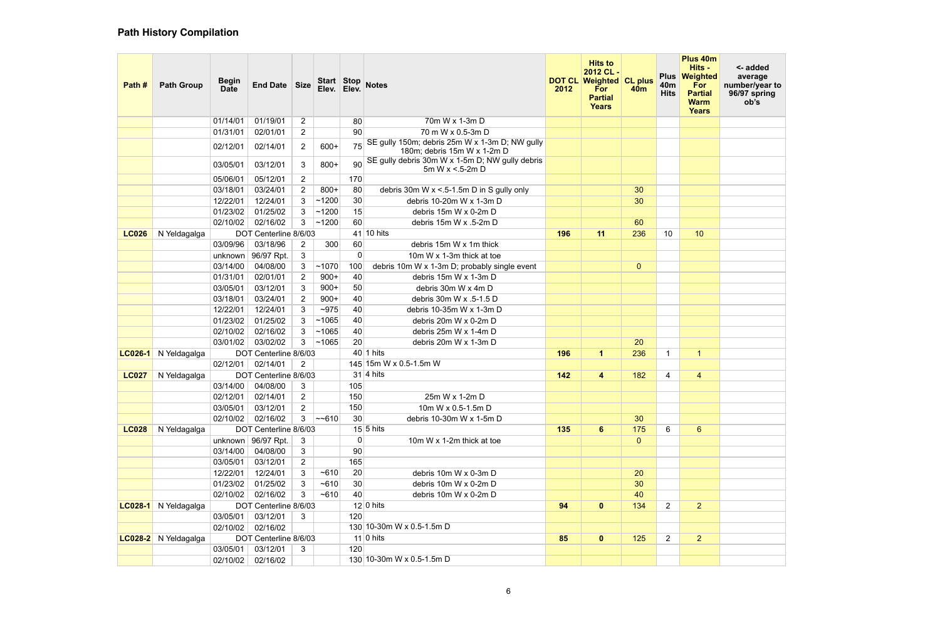| Path#        | <b>Path Group</b>           | <b>Begin</b><br><b>Date</b> | End Date               | <b>Size</b>    | Start Stop<br>Elev. | Elev.       | <b>Notes</b>                                                                  | <b>DOT CL</b><br>2012 | <b>Hits to</b><br>2012 CL-<br><b>Weighted</b><br>For<br><b>Partial</b><br><b>Years</b> | <b>CL plus</b><br><b>40m</b> | <b>Plus</b><br>40 <sub>m</sub><br><b>Hits</b> | Plus 40m<br>Hits -<br>Weighted<br>For<br><b>Partial</b><br><b>Warm</b><br><b>Years</b> | <- added<br>average<br>number/year to<br>96/97 spring<br>ob's |
|--------------|-----------------------------|-----------------------------|------------------------|----------------|---------------------|-------------|-------------------------------------------------------------------------------|-----------------------|----------------------------------------------------------------------------------------|------------------------------|-----------------------------------------------|----------------------------------------------------------------------------------------|---------------------------------------------------------------|
|              |                             | 01/14/01                    | 01/19/01               | $\overline{2}$ |                     | 80          | 70m W x 1-3m D                                                                |                       |                                                                                        |                              |                                               |                                                                                        |                                                               |
|              |                             | 01/31/01                    | 02/01/01               | $\overline{2}$ |                     | 90          | 70 m W x 0.5-3m D                                                             |                       |                                                                                        |                              |                                               |                                                                                        |                                                               |
|              |                             | 02/12/01                    | 02/14/01               | $\overline{2}$ | $600+$              | 75          | SE gully 150m; debris 25m W x 1-3m D; NW gully<br>180m; debris 15m W x 1-2m D |                       |                                                                                        |                              |                                               |                                                                                        |                                                               |
|              |                             | 03/05/01                    | 03/12/01               | 3              | $800+$              | 90          | SE gully debris 30m W x 1-5m D; NW gully debris<br>5m W x <.5-2m D            |                       |                                                                                        |                              |                                               |                                                                                        |                                                               |
|              |                             | 05/06/01                    | 05/12/01               | $\overline{2}$ |                     | 170         |                                                                               |                       |                                                                                        |                              |                                               |                                                                                        |                                                               |
|              |                             | 03/18/01                    | 03/24/01               | 2              | $800+$              | 80          | debris 30m W $x < 5-1.5$ m D in S gully only                                  |                       |                                                                                        | 30                           |                                               |                                                                                        |                                                               |
|              |                             | 12/22/01                    | 12/24/01               | 3              | ~1200               | 30          | debris 10-20m W x 1-3m D                                                      |                       |                                                                                        | 30                           |                                               |                                                                                        |                                                               |
|              |                             | 01/23/02                    | 01/25/02               | 3              | ~1200               | 15          | debris 15m W x 0-2m D                                                         |                       |                                                                                        |                              |                                               |                                                                                        |                                                               |
|              |                             | 02/10/02                    | 02/16/02               | 3              | ~1200               | 60          | debris 15m W x .5-2m D                                                        |                       |                                                                                        | 60                           |                                               |                                                                                        |                                                               |
| <b>LC026</b> | N Yeldagalga                |                             | DOT Centerline 8/6/03  |                |                     |             | $41$ 10 hits                                                                  | 196                   | 11                                                                                     | 236                          | 10                                            | 10 <sup>°</sup>                                                                        |                                                               |
|              |                             | 03/09/96                    | 03/18/96               | $\overline{2}$ | 300                 | 60          | debris 15m W x 1m thick                                                       |                       |                                                                                        |                              |                                               |                                                                                        |                                                               |
|              |                             | unknown                     | 96/97 Rpt.             | 3              |                     | $\mathbf 0$ | 10m W x 1-3m thick at toe                                                     |                       |                                                                                        |                              |                                               |                                                                                        |                                                               |
|              |                             | 03/14/00                    | 04/08/00               | $\mathbf{3}$   | ~1070               | 100         | debris 10m W x 1-3m D; probably single event                                  |                       |                                                                                        | $\overline{0}$               |                                               |                                                                                        |                                                               |
|              |                             | 01/31/01                    | 02/01/01               | $\overline{2}$ | $900+$              | 40          | debris 15m W x 1-3m D                                                         |                       |                                                                                        |                              |                                               |                                                                                        |                                                               |
|              |                             | 03/05/01                    | 03/12/01               | 3              | $900+$              | 50          | debris 30m W x 4m D                                                           |                       |                                                                                        |                              |                                               |                                                                                        |                                                               |
|              |                             | 03/18/01                    | 03/24/01               | 2              | $900+$              | 40          | debris 30m W x .5-1.5 D                                                       |                       |                                                                                        |                              |                                               |                                                                                        |                                                               |
|              |                             | 12/22/01                    | 12/24/01               | 3              | ~1075               | 40          | debris 10-35m W x 1-3m D                                                      |                       |                                                                                        |                              |                                               |                                                                                        |                                                               |
|              |                             | 01/23/02                    | 01/25/02               | 3              | ~1065               | 40          | debris 20m W x 0-2m D                                                         |                       |                                                                                        |                              |                                               |                                                                                        |                                                               |
|              |                             | 02/10/02                    | 02/16/02               | 3              | ~1065               | 40          | debris 25m W x 1-4m D                                                         |                       |                                                                                        |                              |                                               |                                                                                        |                                                               |
|              |                             | 03/01/02                    | 03/02/02               | 3              | ~1065               | 20          | debris 20m W x 1-3m D                                                         |                       |                                                                                        | 20                           |                                               |                                                                                        |                                                               |
|              | <b>LC026-1</b> N Yeldagalga |                             | DOT Centerline 8/6/03  |                |                     |             | $40$ 1 hits                                                                   | 196                   | $\mathbf 1$                                                                            | 236                          | -1                                            | $\mathbf{1}$                                                                           |                                                               |
|              |                             | 02/12/01                    | 02/14/01               | 2              |                     |             | 145 15m W x 0.5-1.5m W                                                        |                       |                                                                                        |                              |                                               |                                                                                        |                                                               |
| <b>LC027</b> | N Yeldagalga                |                             | DOT Centerline 8/6/03  |                |                     |             | $31 4 \text{ hits}$                                                           | 142                   | 4                                                                                      | 182                          | 4                                             | $\overline{4}$                                                                         |                                                               |
|              |                             | 03/14/00                    | 04/08/00               | 3              |                     | 105         |                                                                               |                       |                                                                                        |                              |                                               |                                                                                        |                                                               |
|              |                             | 02/12/01                    | 02/14/01               | $\overline{2}$ |                     | 150         | 25m W x 1-2m D                                                                |                       |                                                                                        |                              |                                               |                                                                                        |                                                               |
|              |                             | 03/05/01                    | 03/12/01               | $\overline{2}$ |                     | 150         | 10m W x 0.5-1.5m D                                                            |                       |                                                                                        |                              |                                               |                                                                                        |                                                               |
|              |                             | 02/10/02                    | 02/16/02               | 3 <sup>1</sup> | ~10                 | 30          | debris 10-30m W x 1-5m D                                                      |                       |                                                                                        | 30                           |                                               |                                                                                        |                                                               |
| <b>LC028</b> | N Yeldagalga                |                             | DOT Centerline 8/6/03  |                |                     |             | $15 5$ hits                                                                   | 135                   | 6 <sup>1</sup>                                                                         | 175                          | 6                                             | 6 <sup>°</sup>                                                                         |                                                               |
|              |                             |                             | unknown   $96/97$ Rpt. | $\mathbf{3}$   |                     | $\mathbf 0$ | 10m W x 1-2m thick at toe                                                     |                       |                                                                                        | $\overline{0}$               |                                               |                                                                                        |                                                               |
|              |                             | 03/14/00                    | 04/08/00               | 3              |                     | 90          |                                                                               |                       |                                                                                        |                              |                                               |                                                                                        |                                                               |
|              |                             | 03/05/01                    | 03/12/01               | $\overline{2}$ |                     | 165         |                                                                               |                       |                                                                                        |                              |                                               |                                                                                        |                                                               |
|              |                             | 12/22/01                    | 12/24/01               | 3              | ~10                 | 20          | debris 10m W x 0-3m D                                                         |                       |                                                                                        | 20                           |                                               |                                                                                        |                                                               |
|              |                             | 01/23/02                    | 01/25/02               | $\mathbf{3}$   | ~5610               | 30          | debris 10m W x 0-2m D                                                         |                       |                                                                                        | 30                           |                                               |                                                                                        |                                                               |
|              |                             | 02/10/02                    | 02/16/02               | 3              | ~5610               | 40          | debris 10m W x 0-2m D                                                         |                       |                                                                                        | 40                           |                                               |                                                                                        |                                                               |
|              | <b>LC028-1</b> N Yeldagalga |                             | DOT Centerline 8/6/03  |                |                     |             | $12 0 \text{ hits}$                                                           | 94                    | $\mathbf{0}$                                                                           | 134                          | $\overline{2}$                                | 2 <sup>1</sup>                                                                         |                                                               |
|              |                             | 03/05/01                    | 03/12/01               | 3              |                     | 120         |                                                                               |                       |                                                                                        |                              |                                               |                                                                                        |                                                               |
|              |                             | 02/10/02                    | 02/16/02               |                |                     |             | 130 10-30m W x 0.5-1.5m D                                                     |                       |                                                                                        |                              |                                               |                                                                                        |                                                               |
|              | LC028-2 N Yeldagalga        |                             | DOT Centerline 8/6/03  |                |                     |             | 11 0 hits                                                                     | 85                    | $\mathbf{0}$                                                                           | 125                          | 2                                             | 2 <sup>2</sup>                                                                         |                                                               |
|              |                             | 03/05/01                    | 03/12/01               | 3              |                     | 120         |                                                                               |                       |                                                                                        |                              |                                               |                                                                                        |                                                               |
|              |                             |                             | 02/10/02 02/16/02      |                |                     |             | 130 10-30m W x 0.5-1.5m D                                                     |                       |                                                                                        |                              |                                               |                                                                                        |                                                               |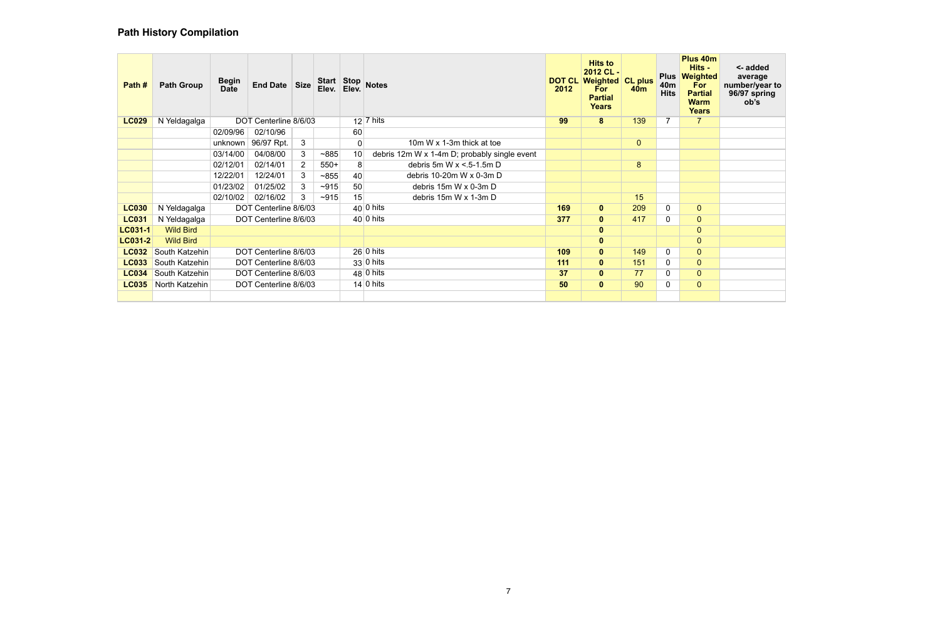| Path #         | <b>Path Group</b> | <b>Begin</b><br><b>Date</b> | <b>End Date</b>       | <b>Size</b>    | Elev.  | Elev.           | Start Stop Notes                             | 2012 | <b>Hits to</b><br>2012 CL-<br><b>DOT CL Weighted CL plus</b><br><b>For</b><br><b>Partial</b><br><b>Years</b> | <b>40m</b>     | <b>Plus</b><br>40 <sub>m</sub><br><b>Hits</b> | Plus 40m<br>Hits -<br>Weighted<br><b>For</b><br><b>Partial</b><br><b>Warm</b><br><b>Years</b> | <- added<br>average<br>number/year to<br>96/97 spring<br>ob's |
|----------------|-------------------|-----------------------------|-----------------------|----------------|--------|-----------------|----------------------------------------------|------|--------------------------------------------------------------------------------------------------------------|----------------|-----------------------------------------------|-----------------------------------------------------------------------------------------------|---------------------------------------------------------------|
| <b>LC029</b>   | N Yeldagalga      |                             | DOT Centerline 8/6/03 |                |        |                 | $12$ 7 hits                                  | 99   | 8                                                                                                            | 139            |                                               | $\mathbf{7}$                                                                                  |                                                               |
|                |                   | 02/09/96                    | 02/10/96              |                |        | 60              |                                              |      |                                                                                                              |                |                                               |                                                                                               |                                                               |
|                |                   | unknown                     | 96/97 Rpt.            | 3 <sup>1</sup> |        | 0               | 10m W x 1-3m thick at toe                    |      |                                                                                                              | $\overline{0}$ |                                               |                                                                                               |                                                               |
|                |                   | 03/14/00                    | 04/08/00              | 3              | ~1885  | 10              | debris 12m W x 1-4m D; probably single event |      |                                                                                                              |                |                                               |                                                                                               |                                                               |
|                |                   | 02/12/01                    | 02/14/01              | $\overline{2}$ | $550+$ | 8               | debris 5m W $x < 5-1.5$ m D                  |      |                                                                                                              | 8              |                                               |                                                                                               |                                                               |
|                |                   | 12/22/01                    | 12/24/01              | 3              | ~1855  | 40 <sup>1</sup> | debris 10-20m W x 0-3m D                     |      |                                                                                                              |                |                                               |                                                                                               |                                                               |
|                |                   | 01/23/02                    | 01/25/02              |                | $-915$ | 50              | debris 15m W x 0-3m D                        |      |                                                                                                              |                |                                               |                                                                                               |                                                               |
|                |                   | 02/10/02                    | 02/16/02              | 3              | $-915$ | 15              | debris 15m W x 1-3m D                        |      |                                                                                                              | 15             |                                               |                                                                                               |                                                               |
| <b>LC030</b>   | N Yeldagalga      |                             | DOT Centerline 8/6/03 |                |        |                 | $40 0 \text{ hits}$                          | 169  | $\mathbf{0}$                                                                                                 | 209            | $\mathbf 0$                                   | $\overline{0}$                                                                                |                                                               |
| <b>LC031</b>   | N Yeldagalga      |                             | DOT Centerline 8/6/03 |                |        |                 | $40 0$ hits                                  | 377  | $\mathbf{0}$                                                                                                 | 417            | $\mathbf 0$                                   | $\overline{0}$                                                                                |                                                               |
| <b>LC031-1</b> | <b>Wild Bird</b>  |                             |                       |                |        |                 |                                              |      | $\mathbf 0$                                                                                                  |                |                                               | $\overline{0}$                                                                                |                                                               |
| <b>LC031-2</b> | <b>Wild Bird</b>  |                             |                       |                |        |                 |                                              |      | $\mathbf 0$                                                                                                  |                |                                               | $\overline{0}$                                                                                |                                                               |
| <b>LC032</b>   | South Katzehin    |                             | DOT Centerline 8/6/03 |                |        |                 | $26 0 \text{ hits}$                          | 109  | $\mathbf{0}$                                                                                                 | 149            | $\mathbf 0$                                   | $\overline{0}$                                                                                |                                                               |
| <b>LC033</b>   | South Katzehin    |                             | DOT Centerline 8/6/03 |                |        |                 | $33 0 \text{ hits}$                          | 111  | $\mathbf{0}$                                                                                                 | 151            | $\mathbf 0$                                   | $\overline{0}$                                                                                |                                                               |
| <b>LC034</b>   | South Katzehin    |                             | DOT Centerline 8/6/03 |                |        |                 | $48 0 \text{ hits}$                          | 37   | $\mathbf{0}$                                                                                                 | 77             | 0                                             | $\overline{0}$                                                                                |                                                               |
| <b>LC035</b>   | North Katzehin    |                             | DOT Centerline 8/6/03 |                |        |                 | $14 0 \text{ hits}$                          | 50   | $\mathbf{0}$                                                                                                 | 90             | $\mathbf 0$                                   | $\overline{0}$                                                                                |                                                               |
|                |                   |                             |                       |                |        |                 |                                              |      |                                                                                                              |                |                                               |                                                                                               |                                                               |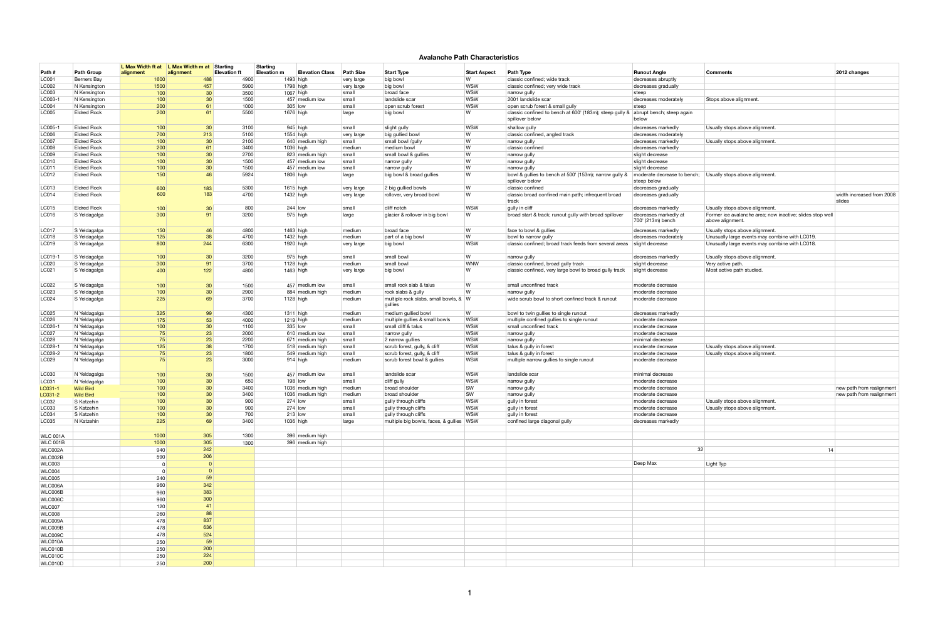#### **Avalanche Path Characteristics**

|                 |                    | L Max Width ft at L Max Width m at |           | Starting            |      | Starting           |                        |                  |                                          |                     |                                                                            |                                            |                                                                               |                           |
|-----------------|--------------------|------------------------------------|-----------|---------------------|------|--------------------|------------------------|------------------|------------------------------------------|---------------------|----------------------------------------------------------------------------|--------------------------------------------|-------------------------------------------------------------------------------|---------------------------|
| Path #          | <b>Path Group</b>  | alignment                          | alignment | <b>Elevation ft</b> |      | <b>Elevation m</b> | <b>Elevation Class</b> | <b>Path Size</b> | <b>Start Type</b>                        | <b>Start Aspect</b> | <b>Path Type</b>                                                           | <b>Runout Angle</b>                        | <b>Comments</b>                                                               | 2012 changes              |
| LC001           | Berners Bay        | 1600                               |           | 488                 | 4900 |                    | $1493$ high            | very large       | big bowl                                 | W                   | classic confined; wide track                                               | decreases abruptly                         |                                                                               |                           |
| LC002           | N Kensington       | 1500                               |           | 457                 | 5900 |                    | $1798$ high            | very large       | big bowl                                 | <b>WSW</b>          | classic confined; very wide track                                          | decreases gradually                        |                                                                               |                           |
| LC003           | N Kensington       | 100                                |           | 30 <sup>°</sup>     | 3500 |                    | $1067$ high            | small            | broad face                               | <b>WSW</b>          | narrow gully                                                               | steep                                      |                                                                               |                           |
| LC003-1         | N Kensington       | 100                                |           | 30                  | 1500 |                    | 457 medium low         | small            | landslide scar                           | <b>WSW</b>          | 2001 landslide scar                                                        | decreases moderately                       | Stops above alignment.                                                        |                           |
| LC004           | N Kensington       | 200                                |           | 61                  | 1000 |                    | $305$ low              | small            | open scrub forest                        | <b>WSW</b>          | open scrub forest & small gully                                            | steep                                      |                                                                               |                           |
| LC005           | <b>Eldred Rock</b> | 200                                |           | 61                  | 5500 |                    | 1676 high              | large            | big bowl                                 | l W                 | classic confined to bench at 600' (183m); steep gully &<br>spillover below | abrupt bench; steep again<br>below         |                                                                               |                           |
| LC005-1         | <b>Eldred Rock</b> | 100                                |           | 30 <sup>°</sup>     | 3100 |                    | $945$ high             | small            | slight gully                             | <b>WSW</b>          | shallow gully                                                              | decreases markedly                         | Usually stops above alignment.                                                |                           |
| LC006           | <b>Eldred Rock</b> | 700                                |           | 213                 | 5100 |                    | $1554$ high            | very large       | big gullied bowl                         | W                   | classic confined, angled track                                             | decreases moderately                       |                                                                               |                           |
| <b>LC007</b>    | <b>Eldred Rock</b> | 100                                |           | 30                  | 2100 |                    | 640 medium high        | small            | small bowl /gully                        | W                   | narrow gully                                                               | decreases markedly                         | Usually stops above alignment.                                                |                           |
| <b>LC008</b>    | <b>Eldred Rock</b> | 200                                |           | 61                  | 3400 |                    | 1036 high              | medium           | medium bowl                              | W                   | classic confined                                                           | decreases markedly                         |                                                                               |                           |
| LC009           | <b>Eldred Rock</b> | 100                                |           | 30 <sup>°</sup>     | 2700 |                    | 823 medium high        | small            | small bowl & gullies                     | W                   | narrow gully                                                               | slight decrease                            |                                                                               |                           |
| LC010           | <b>Eldred Rock</b> | 100                                |           | 30 <sup>1</sup>     | 1500 |                    | 457 medium low         | small            | narrow gully                             | W                   | narrow gully                                                               | slight decrease                            |                                                                               |                           |
| LC011           | <b>Eldred Rock</b> | 100                                |           | 30                  | 1500 |                    | 457 medium low         | small            | narrow gully                             | W                   | narrow gully                                                               | slight decrease                            |                                                                               |                           |
| LC012           | <b>Eldred Rock</b> | 150                                |           | 46                  | 5924 |                    | 1806 high              | large            | big bowl & broad gullies                 | l W                 | bowl & gullies to bench at 500' (153m); narrow gully &<br>spillover below  | moderate decrease to bench;<br>steep below | Usually stops above alignment.                                                |                           |
| LC013           | <b>Eldred Rock</b> | 600                                |           | 183                 | 5300 |                    | $1615$ high            | very large       | 2 big gullied bowls                      | $\mathsf{W}$        | classic confined                                                           | decreases gradually                        |                                                                               |                           |
| LC014           | <b>Eldred Rock</b> | 600                                |           | 183                 | 4700 |                    | 1432 high              | very large       | rollover, very broad bowl                | l W                 | classic broad confined main path; infrequent broad                         | decreases gradually                        |                                                                               | width increased from 2008 |
|                 |                    |                                    |           |                     |      |                    |                        |                  |                                          |                     | track                                                                      |                                            |                                                                               | slides                    |
| LC015           | <b>Eldred Rock</b> | 100                                |           | 30                  | 800  |                    | $244$ low              | small            | cliff notch                              | <b>WSW</b>          | gully in cliff                                                             | decreases markedly                         | Usually stops above alignment.                                                |                           |
| LC016           | S Yeldagalga       | 300                                |           | 91                  | 3200 |                    | $975$ high             | large            | glacier & rollover in big bowl           | W                   | broad start & track; runout gully with broad spillover                     | decreases markedly at<br>700' (213m) bench | Former ice avalanche area; now inactive; slides stop well<br>above alignment. |                           |
| <b>LC017</b>    | S Yeldagalga       | 150                                |           | 46                  | 4800 |                    | $1463$ high            | medium           | broad face                               | W                   | face to bowl & gullies                                                     | decreases markedly                         | Usually stops above alignment.                                                |                           |
| LC018           | S Yeldagalga       | 125                                |           | 38                  | 4700 |                    | 1432 high              | medium           | part of a big bowl                       | W                   | bowl to narrow gully                                                       | decreases moderately                       | Unusually large events may combine with LC019.                                |                           |
| LC019           | S Yeldagalga       | 800                                |           | 244                 | 6300 |                    | 1920 high              | very large       | big bowl                                 | <b>WSW</b>          | classic confined; broad track feeds from several areas                     | slight decrease                            | Unusually large events may combine with LC018.                                |                           |
| LC019-1         | S Yeldagalga       | 100                                |           | 30                  | 3200 |                    | 975 high               | small            | small bowl                               | W                   | narrow gully                                                               | decreases markedly                         | Usually stops above alignment.                                                |                           |
| LC020           | S Yeldagalga       | 300                                |           | 91                  | 3700 |                    | $1128$ high            | medium           | small bowl                               | <b>WNW</b>          | classic confined, broad gully track                                        | slight decrease                            | Very active path.                                                             |                           |
| LC021           | S Yeldagalga       | 400                                |           | 122                 | 4800 |                    | $1463$ high            | very large       | big bowl                                 | W                   | classic confined, very large bowl to broad gully track                     | slight decrease                            | Most active path studied.                                                     |                           |
| LC022           | S Yeldagalga       | 100                                |           | 30                  | 1500 |                    | 457 medium low         | small            | small rock slab & talus                  | W                   | small unconfined track                                                     | moderate decrease                          |                                                                               |                           |
| LC023           | S Yeldagalga       | 100                                |           | 30                  | 2900 |                    | 884   medium high      | medium           | rock slabs & gully                       | W                   | narrow gully                                                               | moderate decrease                          |                                                                               |                           |
| LC024           | S Yeldagalga       | 225                                |           | 69                  | 3700 |                    | $1128$ high            | medium           | multiple rock slabs, small bowls, & W    |                     | wide scrub bowl to short confined track & runout                           | moderate decrease                          |                                                                               |                           |
|                 |                    |                                    |           |                     |      |                    |                        |                  | gullies                                  |                     |                                                                            |                                            |                                                                               |                           |
| LC025           | N Yeldagalga       | 325                                |           | 99                  | 4300 |                    | $1311$ high            | medium           | medium gullied bowl                      | $\overline{w}$      | bowl to twin gullies to single runout                                      | decreases markedly                         |                                                                               |                           |
| LC026           | N Yeldagalga       | 175                                |           | 53                  | 4000 |                    | $1219$ high            | medium           | multiple gullies & small bowls           | <b>WSW</b>          | multiple confined gullies to single runout                                 | moderate decrease                          |                                                                               |                           |
| LC026-1         | N Yeldagalga       | 100                                |           | 30 <sup>°</sup>     | 1100 |                    | $335$ low              | small            | small cliff & talus                      | <b>WSW</b>          | small unconfined track                                                     | moderate decrease                          |                                                                               |                           |
| LC027           | N Yeldagalga       | 75                                 |           | 23                  | 2000 |                    | 610 medium low         | small            | narrow gully                             | <b>WSW</b>          | narrow gully                                                               | moderate decrease                          |                                                                               |                           |
| LC028           | N Yeldagalga       | 75                                 |           | 23                  | 2200 |                    | 671 medium high        | small            | 2 narrow gullies                         | <b>WSW</b>          | narrow gully                                                               | minimal decrease                           |                                                                               |                           |
| LC028-1         | N Yeldagalga       | 125                                |           | 38                  | 1700 |                    | 518 medium high        | small            | scrub forest, gully, & cliff             | <b>WSW</b>          | talus & gully in forest                                                    | moderate decrease                          | Usually stops above alignment.                                                |                           |
| LC028-2         | N Yeldagalga       | 75                                 |           | 23                  | 1800 |                    | 549 medium high        | small            | scrub forest, gully, & cliff             | <b>WSW</b>          | talus & gully in forest                                                    | moderate decrease                          | Usually stops above alignment.                                                |                           |
| LC029           | N Yeldagalga       | 75                                 |           | 23                  | 3000 |                    | $914$ high             | medium           | scrub forest bowl & gullies              | <b>WSW</b>          | multiple narrow gullies to single runout                                   | moderate decrease                          |                                                                               |                           |
| LC030           | N Yeldagalga       | 100                                |           | 30                  | 1500 |                    | 457 medium low         | small            | landslide scar                           | <b>WSW</b>          | landslide scar                                                             | minimal decrease                           |                                                                               |                           |
| LC031           | N Yeldagalga       | 100                                |           | 30                  | 650  |                    | 198 low                | small            | cliff gully                              | <b>WSW</b>          | narrow gully                                                               | moderate decrease                          |                                                                               |                           |
| LC031-1         | <b>Wild Bird</b>   | 100                                |           | 30 <sup>°</sup>     | 3400 |                    | 1036 medium high       | medium           | broad shoulder                           | <b>SW</b>           | narrow gully                                                               | moderate decrease                          |                                                                               | new path from realignment |
| LC031-2         | <b>Wild Bird</b>   | 100                                |           | 30                  | 3400 |                    | 1036 medium high       | medium           | broad shoulder                           | <b>SW</b>           | narrow gully                                                               | moderate decrease                          |                                                                               | new path from realignment |
| LC032           | S Katzehin         | 100                                |           | 30                  | 900  |                    | $274$ low              | small            | gully through cliffs                     | <b>WSW</b>          | gully in forest                                                            | moderate decrease                          | Usually stops above alignment.                                                |                           |
| LC033           | S Katzehin         | 100                                |           | 30 <sup>°</sup>     | 900  |                    | $274$ low              | small            | gully through cliffs                     | <b>WSW</b>          | gully in forest                                                            | moderate decrease                          | Usually stops above alignment.                                                |                           |
| LC034           | S Katzehin         | 100                                |           | 30                  | 700  |                    | $213$ low              | small            | gully through cliffs                     | <b>WSW</b>          | gully in forest                                                            | moderate decrease                          |                                                                               |                           |
| LC035           | N Katzehin         | 225                                |           | 69                  | 3400 |                    | 1036 high              | large            | multiple big bowls, faces, & gullies WSW |                     | confined large diagonal gully                                              | decreases markedly                         |                                                                               |                           |
|                 |                    |                                    |           |                     |      |                    |                        |                  |                                          |                     |                                                                            |                                            |                                                                               |                           |
| <b>WLC 001A</b> |                    | 1000                               |           | 305                 | 1300 |                    | 396 medium high        |                  |                                          |                     |                                                                            |                                            |                                                                               |                           |
| <b>WLC 001B</b> |                    | 1000                               |           | 305                 | 1300 |                    | 396 medium high        |                  |                                          |                     |                                                                            |                                            |                                                                               |                           |
| WLC002A         |                    | 940                                |           | 242                 |      |                    |                        |                  |                                          |                     |                                                                            | 32                                         | 14                                                                            |                           |
| WLC002B         |                    | 590                                |           | 206                 |      |                    |                        |                  |                                          |                     |                                                                            |                                            |                                                                               |                           |
| WLC003          |                    | 0                                  |           | $\Omega$            |      |                    |                        |                  |                                          |                     |                                                                            | Deep Max                                   | Light Typ                                                                     |                           |
| WLC004          |                    | $\Omega$                           |           | $\vert 0 \vert$     |      |                    |                        |                  |                                          |                     |                                                                            |                                            |                                                                               |                           |
|                 |                    |                                    |           | 59                  |      |                    |                        |                  |                                          |                     |                                                                            |                                            |                                                                               |                           |
| <b>WLC005</b>   |                    | 240                                |           |                     |      |                    |                        |                  |                                          |                     |                                                                            |                                            |                                                                               |                           |
| WLC006A         |                    | 960                                |           | 342                 |      |                    |                        |                  |                                          |                     |                                                                            |                                            |                                                                               |                           |
| WLC006B         |                    | 960                                |           | 383                 |      |                    |                        |                  |                                          |                     |                                                                            |                                            |                                                                               |                           |
| WLC006C         |                    | 960                                |           | 300                 |      |                    |                        |                  |                                          |                     |                                                                            |                                            |                                                                               |                           |
| <b>WLC007</b>   |                    | 120                                |           | 41                  |      |                    |                        |                  |                                          |                     |                                                                            |                                            |                                                                               |                           |
| <b>WLC008</b>   |                    | 260                                |           | 88                  |      |                    |                        |                  |                                          |                     |                                                                            |                                            |                                                                               |                           |
| WLC009A         |                    | 478                                |           | 837                 |      |                    |                        |                  |                                          |                     |                                                                            |                                            |                                                                               |                           |
| WLC009B         |                    | 478                                |           | 636                 |      |                    |                        |                  |                                          |                     |                                                                            |                                            |                                                                               |                           |
| WLC009C         |                    | 478                                |           | 524                 |      |                    |                        |                  |                                          |                     |                                                                            |                                            |                                                                               |                           |
| WLC010A         |                    | 250                                |           | 59                  |      |                    |                        |                  |                                          |                     |                                                                            |                                            |                                                                               |                           |
| WLC010B         |                    | 250                                |           | 200                 |      |                    |                        |                  |                                          |                     |                                                                            |                                            |                                                                               |                           |
| WLC010C         |                    | 250                                |           | 224                 |      |                    |                        |                  |                                          |                     |                                                                            |                                            |                                                                               |                           |
| WLC010D         |                    | 250                                |           | 200                 |      |                    |                        |                  |                                          |                     |                                                                            |                                            |                                                                               |                           |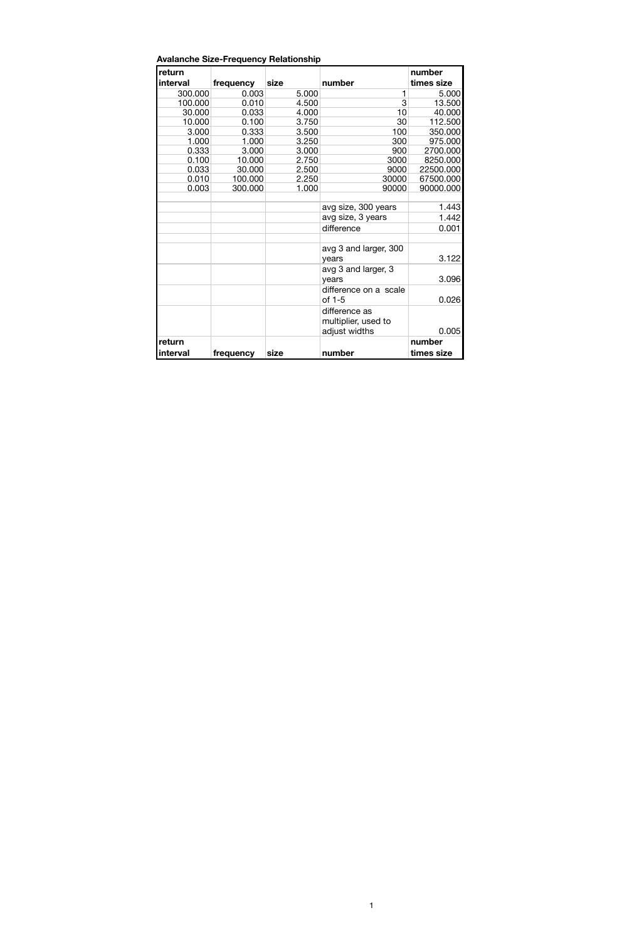| return   |           |       |                       | number     |
|----------|-----------|-------|-----------------------|------------|
| interval | frequency | size  | number                | times size |
| 300.000  | 0.003     | 5.000 | 1                     | 5.000      |
| 100.000  | 0.010     | 4.500 | 3                     | 13.500     |
| 30.000   | 0.033     | 4.000 | 10                    | 40.000     |
| 10.000   | 0.100     | 3.750 | 30                    | 112.500    |
| 3.000    | 0.333     | 3.500 | 100                   | 350.000    |
| 1.000    | 1.000     | 3.250 | 300                   | 975.000    |
| 0.333    | 3.000     | 3.000 | 900                   | 2700.000   |
| 0.100    | 10.000    | 2.750 | 3000                  | 8250.000   |
| 0.033    | 30.000    | 2.500 | 9000                  | 22500.000  |
| 0.010    | 100.000   | 2.250 | 30000                 | 67500.000  |
| 0.003    | 300.000   | 1.000 | 90000                 | 90000.000  |
|          |           |       |                       |            |
|          |           |       | avg size, 300 years   | 1.443      |
|          |           |       | avg size, 3 years     | 1.442      |
|          |           |       | difference            | 0.001      |
|          |           |       |                       |            |
|          |           |       | avg 3 and larger, 300 |            |
|          |           |       | years                 | 3.122      |
|          |           |       | avg 3 and larger, 3   |            |
|          |           |       | years                 | 3.096      |
|          |           |       | difference on a scale |            |
|          |           |       | of 1-5                | 0.026      |
|          |           |       |                       |            |
|          |           |       | difference as         |            |
|          |           |       | multiplier, used to   |            |
|          |           |       | adjust widths         | 0.005      |
| return   |           |       |                       | number     |
| interval | frequency | size  | number                | times size |

1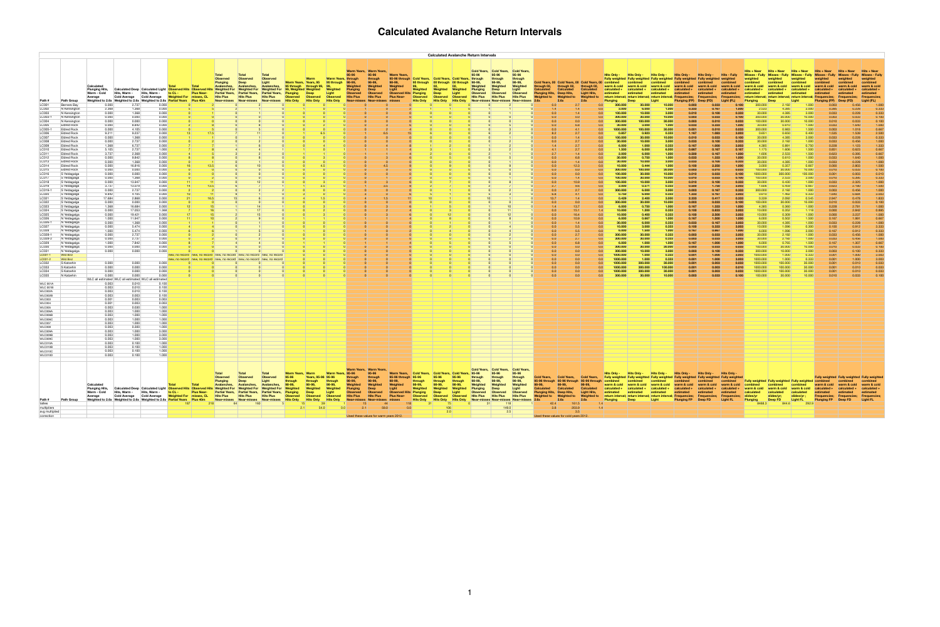|                                                                                                                                                                                                                                                                                                                                |                                                                                                                                                                                                                                                                                                                                                                                                                                                                                                                                                                                                                            |                                       |                                                                                                                                                                                                                                                                                                                                                                                                                                                                                          |                                                                                                                                                                                                                                                                                                                                                                                                                                                      |                                                                                                          |                                                                                                                                                          |              |                          |             |     |                                        |                           |                   |                                 | <b>Calculated Avalanche Return Intervals</b> |                             |        |                                                                                          |                                                  |                                        |                                                              |                                                                                                                                                                                                                                                                                                                                                                        |                                                                                                                                                                                                                                                                                                               |                                                                                                                                                                                                                                                                                                              |                                                                                                                                                                                                                                                                                                                                                 |                                                                                                                                                                                                                                                                                                                                                                                |                                                                                                                                                                                                                                                                                                                   |                                                                                                                                                                                                                                                                                                                                                        |                                                                                                                                                                                                                                                                                                     |                                                                                                                                                                                                                         |                                                                                                                                                                                                                                                                                                                 |                                                                                                                                                                  |                                                                                                                                                                                                                       |
|--------------------------------------------------------------------------------------------------------------------------------------------------------------------------------------------------------------------------------------------------------------------------------------------------------------------------------|----------------------------------------------------------------------------------------------------------------------------------------------------------------------------------------------------------------------------------------------------------------------------------------------------------------------------------------------------------------------------------------------------------------------------------------------------------------------------------------------------------------------------------------------------------------------------------------------------------------------------|---------------------------------------|------------------------------------------------------------------------------------------------------------------------------------------------------------------------------------------------------------------------------------------------------------------------------------------------------------------------------------------------------------------------------------------------------------------------------------------------------------------------------------------|------------------------------------------------------------------------------------------------------------------------------------------------------------------------------------------------------------------------------------------------------------------------------------------------------------------------------------------------------------------------------------------------------------------------------------------------------|----------------------------------------------------------------------------------------------------------|----------------------------------------------------------------------------------------------------------------------------------------------------------|--------------|--------------------------|-------------|-----|----------------------------------------|---------------------------|-------------------|---------------------------------|----------------------------------------------|-----------------------------|--------|------------------------------------------------------------------------------------------|--------------------------------------------------|----------------------------------------|--------------------------------------------------------------|------------------------------------------------------------------------------------------------------------------------------------------------------------------------------------------------------------------------------------------------------------------------------------------------------------------------------------------------------------------------|---------------------------------------------------------------------------------------------------------------------------------------------------------------------------------------------------------------------------------------------------------------------------------------------------------------|--------------------------------------------------------------------------------------------------------------------------------------------------------------------------------------------------------------------------------------------------------------------------------------------------------------|-------------------------------------------------------------------------------------------------------------------------------------------------------------------------------------------------------------------------------------------------------------------------------------------------------------------------------------------------|--------------------------------------------------------------------------------------------------------------------------------------------------------------------------------------------------------------------------------------------------------------------------------------------------------------------------------------------------------------------------------|-------------------------------------------------------------------------------------------------------------------------------------------------------------------------------------------------------------------------------------------------------------------------------------------------------------------|--------------------------------------------------------------------------------------------------------------------------------------------------------------------------------------------------------------------------------------------------------------------------------------------------------------------------------------------------------|-----------------------------------------------------------------------------------------------------------------------------------------------------------------------------------------------------------------------------------------------------------------------------------------------------|-------------------------------------------------------------------------------------------------------------------------------------------------------------------------------------------------------------------------|-----------------------------------------------------------------------------------------------------------------------------------------------------------------------------------------------------------------------------------------------------------------------------------------------------------------|------------------------------------------------------------------------------------------------------------------------------------------------------------------|-----------------------------------------------------------------------------------------------------------------------------------------------------------------------------------------------------------------------|
| Path #<br>LC001<br>LC002<br>LC003<br>LC003-1<br>LC004<br>LC005<br>LC006<br>LC007<br>LC008<br>LC009<br>LC010<br>LC011<br>LC012<br>LC013<br>LC014<br>LC015<br>LC016<br>LC018<br>LC019<br>LC019-1<br>$\sim$<br>LC023<br>LC024<br>LC025<br>LC026<br>LC028<br>LC028-2<br>LC029                                                      | <b>Path Group</b><br>Berners Bay<br>N Kensingtor<br>N Kensingtor<br>N Kensingtor<br>N Kensington<br><b>Eldred Rock</b><br><b>Eldred Rock</b><br>Eldred Rock<br><b>Eldred Rock</b><br><b>Eldred Rock</b><br><b>Eldred Rock</b><br><b>Eldred Rock</b><br>Eldred Rock<br>Eldred Rock<br><b>Eldred Rock</b><br><b>Eldred Rock</b><br><b>Eldred Rock</b><br>S Yeldagalga<br>S Yeldagalga<br>S Yeldagalga<br>S Yeldagalga<br>S Yeldagalga<br>$\sim$ $\sim$<br>reldagalg<br>S Yeldaqalqa<br>S Yeldagalg<br>S Yeldagalga<br>S Yeldagalga<br>l Yeldaqalq<br>N Yeldaqalo<br>N Yeldaɑalo<br>N Yeldaɑalo<br>N Yeldagalo<br>N Yeldagalg | Calculated<br><b>Weighted to 2.6x</b> | ⊪weighted<br>0.000<br>2.368<br>0.000<br>0.000<br>0.000<br>0.000<br>0.000<br>0.000<br>9.211<br>9.237<br>0.000<br>0.000<br>6.737<br>1.368<br>2.737<br>5.105<br>3.737<br>0.000<br>9.842<br>0.000<br>0.000<br>16.816<br>0.000<br>0.000<br>0.000<br>0.000<br>0.000<br>13.947<br>3.737<br>13.079<br>2.737<br>0.000<br>$\sim$ $\sim$ $\sim$<br>7.684<br>0.000<br>16.684<br>1.368<br>0.000<br>17.053<br>0.000<br>19.421<br>1.000<br>11.947<br>0.000<br>0.000<br>1.000<br>0.000<br>0.000<br>1.000 | weianted<br>2.737<br>0.000<br>0.000<br>1.368<br>0.000<br>1.368<br>0.000<br>0.000<br>0.000<br>8.842<br>4.105<br>0.000<br>1.368<br>2.737<br>0.000<br>0.000<br>2.368<br>0.000<br>1.368<br>0.000<br>0.000<br>0.000<br>0.000<br>1.368<br>0.000<br>$\sim$ $\sim$ $\sim$<br>4.105<br>0.000<br>2.868<br>0.000<br>0.000<br>0.000<br>1.368<br>0.000<br>0.000<br>1.368<br>5.474<br>0.000<br>5.474<br>2.737<br>0.000<br>2.737<br>0.000<br>7.842                  | 0.000<br>0.000<br>0.000<br>0.000<br>1.000<br>0.000<br>0.000<br>0.000<br>0.000<br>0.000<br>0.000<br>0.000 | <b>Total</b>                                                                                                                                             | <b>Total</b> | <b>Total</b><br>Observec |             | 6.5 | Warm Years. Warm Years.                |                           | <b>Warm Years</b> | ald Years.<br><b>35 through</b> |                                              | l Years. I Cold Years       | vear-r | Cold Years, Cold Years, Cold Years,<br>througr<br>Near-misses                            | 95-96<br>through<br>୬୪-୬୬,<br><b>Near-misses</b> |                                        | 6.8<br>12.3<br>10.9<br>13.7<br>16 4<br>10.9<br>5.5           | <b>300.000</b><br>3.000<br>100.000<br>300.000<br>300.000<br>30.000<br>1000.000<br>0.857<br>100.000<br>30.000<br>6.000<br>1.500<br>2.000<br>30.000<br>0.0<br>30.000<br>10.000<br>300.000<br>100.000<br>100.000<br>100.000<br>2.000<br>300.000<br>$- - - -$<br>300.000<br>6.000<br>10.000<br>10.000<br>6.000<br>30.000<br>10.000<br>6.000<br>300.000<br>300.000<br>6.000 | 30.000<br>6.000<br>10.000<br>30.000<br>100.000<br>3.000<br>100.000<br>0.923<br>30.000<br>10.000<br>1.00<br>6.000<br>6.000<br>0.750<br>10.000<br>0.444<br>100.000<br>30.000<br>30.000<br>10.000<br>0.571<br>6.000<br>0.000<br>30.000<br>0.750<br>0.400<br>0.667<br>6.000<br>3.000<br>1.500<br>30.000<br>30.000 | 10.000<br>1.000<br>3.000<br>10.000<br>30.000<br>1.000<br>30.000<br>0.333<br>10.000<br>3.000<br>0.333<br>6.000<br>1.000<br>1.000<br>3.000<br>1.000<br>30.000<br>10.000<br>10.000<br>3.000<br>0.333<br>3.000<br>10.000<br>1.000<br>0.333<br>0.333<br>1000<br>0.333<br>0.333<br>1.000<br>0.333<br>0.333<br>1000 | 0.003<br>0.333<br>$\sqrt{0.010}$<br>0.003<br>0.003<br>0.033<br>0.001<br>1.167<br>0.010<br>0.033<br>0.167<br>0.667<br>$\vert 0.500 \vert$<br>0.033<br>0.033<br>0.100<br>0.003<br> 0.010 <br>0.010<br>0.010<br>0.500<br>0.003<br>$\sim$ $\sim$<br>0.003<br>0.167<br>0.100<br>0.100<br>0.167<br>0.033<br>0.100<br>0.167<br>0.003<br>0.003<br>0.167 | 0.033<br>0.167<br>0.100<br>0.033<br>0.010<br>0.333<br>0.010<br>1.083<br>0.033<br>0.100<br>1.000<br>0.167<br>0.167<br>1.333<br>0.100<br>2.250<br>0.010<br>$\vert 0.033 \vert$<br>$\vert 0.033 \vert$<br>0.100<br>1.750<br>0.167<br>0.417<br>$\vert 0.033 \vert$<br>1.333<br>0.833<br>2.500<br>1.500<br>0.167<br>$\vert$ 0.333<br>0.667<br>0.033<br>$\vert 0.033 \vert$<br>1.000 | 1.000<br>0.333<br>0.100<br>0.033<br>1.000<br>0.033<br>3.003<br>0.100<br>0.333<br>3.003<br>0.167<br>1.000<br>1.000<br>0.333<br>1.000<br>0.033<br>0.100<br>0.100<br>0.333<br>3.003<br>0.333<br>$ -$<br>0.333<br>0.100<br>1.000<br>3.003<br>3.003<br>1.000 <sub>l</sub><br>3.003<br>1.000<br>3.003<br>3.003<br>1.000 | 300.000<br>2.533<br> 0.000 <br>300.000<br>100.000<br>30.000<br>300.000<br>0.651<br> 0.000 <br>80.000  <br>4.385<br>1.175<br>1.606  <br> 0.000 <br> 0.000 <br>3.000<br>100.000<br>1000.000<br>100.000<br> 0.000 <br>1.606<br>300.000<br>0.339<br>100.000<br>4.385<br>0.000<br>0.0001<br>6.000<br>0.000<br>10.000<br>6.000<br>30.000<br> 0.000 <br> 0000 | 4.385<br>4.385<br>30.000<br>30.000<br>0.610<br>0.983<br>0.650<br>4.385<br>0.891<br>1.606<br>2.533.<br>0.610<br>4.385<br>0.357<br>30.000<br>300.000<br>2.533<br>0.430<br>0.459<br>'.192<br>2.092<br>30.000<br>0.360<br>0.352<br>0.309<br>0.502<br>4.385<br>1.096<br>1.096<br>2.192<br>2.192<br>0.765 | 1.00<br>0.000<br>10.000<br>1.000<br>1.500<br>0.400<br>1.000<br>1.500<br>1.500<br>1.000<br>1.000<br>0.667<br>10.000<br>100.000<br>3.000<br>1.000<br>0.66<br>10.000<br>1.500<br>0.300<br>3.000<br>1.000<br>1.000<br>1,500 | <b>Plunging</b><br>0.003<br>0.395<br>0.033<br>0.003<br>0.010<br>0.033<br>0.003<br>1.535<br>0.033<br>0.033<br>0.228<br>0.851<br>0.623<br>0.033<br>0.033<br>0.000<br>0.010<br>0.001<br>0.010<br>0.033<br>0.623<br>0.003<br>0.228<br>0.000<br>0.000<br>0.167<br>0.033<br>0.100<br>0.167<br>0.033<br>0.033<br>0.167 | 0.228<br>0.228<br>0.033<br>0.033<br>1.018<br>1.539  <br>0.228<br>0.456<br>1.123<br>0.623<br>0.395<br>1.640<br>0.228<br>2.803<br>0.033<br>0.395<br>2.325<br>2.180 | Freauencia<br>Light (FL)<br>1.000<br>0.333<br>0.333<br>0.100<br>0.100<br>1.000<br>0.667<br>2.500<br>0.333<br>1,000<br>1.333<br>0.667<br>0.667<br>1.000<br>1,000<br>1.500<br>0.100<br>0.010<br>0.333<br>1.000<br>1.500 |
| LC031<br>LC032<br>LC033<br>LC034<br>LC035<br><b>WLC 001A</b><br><b>WLC 001B</b><br>WLC002A<br>WLC002E<br>WLC003<br>WLC004<br><b>WLC005</b><br>WLC006A<br>WLC006B<br>WLC006C<br>WLC007<br><b>WLC008</b><br>WLC009A<br>WLC009B<br>WLC009C<br>WLC010A<br>WLC010B<br>WLC010C<br>WLC010D<br><b>Path #</b><br>tallies<br>multipliers | N Yeldaqalq<br>N Yeldagalga<br><b>Wild Bird</b><br><b>Wild Bird</b><br>S Katzehir<br>S Katzehi<br>S Katzehin<br>N Katzehin<br><b>Path Group</b>                                                                                                                                                                                                                                                                                                                                                                                                                                                                            | Calculated                            | 0.000<br>0.000<br>0.000<br>0.000<br>0.000<br>0.000<br>0.000<br>0.010<br>0.003<br>0.003<br>0.010<br>0.003<br>0.003<br>0.003<br>0.001<br>0.001<br>0.003<br>0.003<br>0.003<br>0.003<br>0.003<br>0.003<br>0.003<br>0.003<br>0.003<br>$0.003$<br>$0.003$<br>0.003                                                                                                                                                                                                                             | 0.000<br>0.000<br>0.000<br>0.000<br>0.000<br>0.000<br>0.000<br>0.000<br>WLC all estimated WLC all estimated WLC all estimated<br>0.100<br>0.100<br>0.010<br>0.100<br>0.100<br>0.003<br>0.003<br>1.000<br>0.030<br>1.000<br>1.000<br>1.000<br>1.000<br>1.000<br>1.000<br>1.000<br>0.300<br>1.000<br>1.000<br>3.000<br>1.000<br>0.100<br>1.000<br>0.100<br>0.100<br>1.000<br>0.100<br>Weighted to 2.6x Weighted to 2.6x Weighted to 2.6x Partial Years | 0.000<br>0.000<br>0.000<br>0.003<br>0.003<br>1.000<br>1.000<br>3.000<br>3.000<br>1.000<br>1.000          | new, no record new, no record new, no record new, no record new, no record<br>new, no record new, no record new, no record new, no record new, no record |              |                          | 54.0<br>2.1 |     | Warm Years, Warm Years.<br>2.1         | througl<br>98-99,<br>59.0 |                   |                                 | 106                                          | l Years. I Cold Year<br>2.0 |        | Cold Years, Cold Years, Cold Years,<br>95-96<br>through<br>98-99,<br>118<br>149.0<br>2.5 | 95-96<br>through<br>∣Near-misses                 | 0.0<br>2.6x<br>42.4<br>3.8             | 0.0<br>0.0<br>0.0<br>2.6x<br>$161.5$ $\vert$<br>203.9<br>3.5 | 300.000<br>300.000<br>1000.000<br>1000.000<br>1000.000<br>1000.000<br>. വ<br>1000.000<br>300,000<br>Plunaina                                                                                                                                                                                                                                                           | 30.000<br>10.000<br>1.000<br>1.000<br>300.000<br>300.000<br>300.000<br>30.000                                                                                                                                                                                                                                 | 30.000<br>3.000<br>0.333<br>0.333<br>30.000<br>100.000<br>30.000<br>10.000                                                                                                                                                                                                                                   | 0.003<br>0.003<br>0.001<br>0.001<br>0.001<br>0.001<br>0.001<br>0.003                                                                                                                                                                                                                                                                            | 0.033<br> 0.100 <br>1.000<br>1.000<br>0.003<br>0.003<br>0.003<br>0.033<br>Deep FD                                                                                                                                                                                                                                                                                              | 0.033<br>0.333<br>3.003 <sub>1</sub><br>0.100                                                                                                                                                                                                                                                                     | 100.000<br>300.000<br>1000.000<br>1000.000<br>000.000<br>000.000<br>000.000<br>100,000<br>Plunging<br>8468.3                                                                                                                                                                                                                                           | 30.000<br>10.000<br>1.000<br>1.000<br>00.000<br>100.000<br>00.000<br>0.000<br>Deep FD<br>844.6                                                                                                                                                                                                      | 0.000<br>3.000<br>0.333<br>0.333<br>80.000<br>80.000<br>30.000<br>0.000<br><b>Light FL</b><br>292                                                                                                                       | 0.003<br>0.001<br>0.001<br>0.001<br>0.001<br>0.001<br>0.010<br><b>Plunging FP</b>                                                                                                                                                                                                                               | Deep FD                                                                                                                                                          | / weighted   Fully weig<br><b>Frequencie</b><br><b>Light FL</b>                                                                                                                                                       |
| avg multiplied<br>correction                                                                                                                                                                                                                                                                                                   |                                                                                                                                                                                                                                                                                                                                                                                                                                                                                                                                                                                                                            |                                       |                                                                                                                                                                                                                                                                                                                                                                                                                                                                                          |                                                                                                                                                                                                                                                                                                                                                                                                                                                      |                                                                                                          |                                                                                                                                                          |              |                          |             |     | Used these values for warm years 2012. |                           |                   |                                 |                                              |                             |        |                                                                                          |                                                  | Used these values for cold years 2012. |                                                              |                                                                                                                                                                                                                                                                                                                                                                        |                                                                                                                                                                                                                                                                                                               |                                                                                                                                                                                                                                                                                                              |                                                                                                                                                                                                                                                                                                                                                 |                                                                                                                                                                                                                                                                                                                                                                                |                                                                                                                                                                                                                                                                                                                   |                                                                                                                                                                                                                                                                                                                                                        |                                                                                                                                                                                                                                                                                                     |                                                                                                                                                                                                                         |                                                                                                                                                                                                                                                                                                                 |                                                                                                                                                                  |                                                                                                                                                                                                                       |

# **Calculated Avalanche Return Intervals**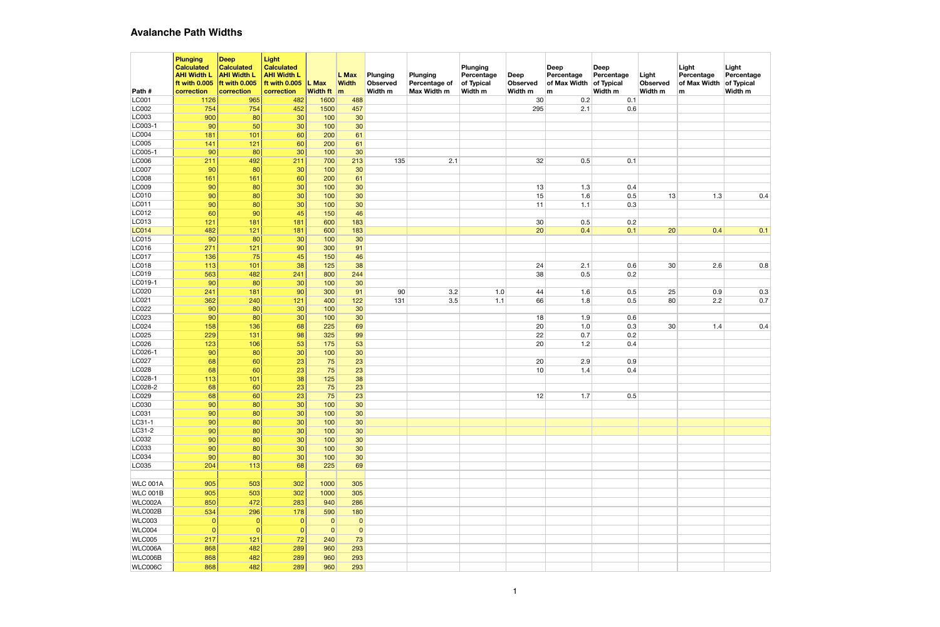|                              | <b>Plunging</b><br><b>Calculated</b><br><b>AHI Width L</b><br>ft with 0.005 | Deep<br><b>Calculated</b><br><b>AHI Width L</b><br>ft with 0.005 | <b>Light</b><br><b>Calculated</b><br><b>AHI Width L</b><br>ft with 0.005 | L Max             | L Max<br><b>Width</b> | Plunging<br>Observed | <b>Plunging</b><br>Percentage of | Plunging<br>Percentage<br>of Typical | <b>Deep</b><br><b>Observed</b> | Deep<br>Percentage<br>of Max Width | Deep<br>Percentage<br>of Typical | Light<br><b>Observed</b> | Light<br>Percentage<br>of Max Width | Light<br>Percentage<br>of Typical |
|------------------------------|-----------------------------------------------------------------------------|------------------------------------------------------------------|--------------------------------------------------------------------------|-------------------|-----------------------|----------------------|----------------------------------|--------------------------------------|--------------------------------|------------------------------------|----------------------------------|--------------------------|-------------------------------------|-----------------------------------|
| Path#                        | correction                                                                  | correction                                                       | correction                                                               | <b>Width ft</b> m |                       | Width m              | Max Width m                      | Width m                              | Width m                        | lm.                                | Width m                          | Width m                  | m                                   | Width m                           |
| LC001                        | 1126                                                                        | 965                                                              | 482                                                                      | 1600              | 488                   |                      |                                  |                                      | 30                             | 0.2                                | 0.1                              |                          |                                     |                                   |
| LC002                        | 754                                                                         | 754                                                              | 452                                                                      | 1500              | 457                   |                      |                                  |                                      | 295                            | 2.1                                | 0.6                              |                          |                                     |                                   |
| LC003<br>LC003-1             | 900                                                                         | 80                                                               | 30                                                                       | 100               | 30                    |                      |                                  |                                      |                                |                                    |                                  |                          |                                     |                                   |
| <b>LC004</b>                 | 90<br>181                                                                   | 50<br>101                                                        | 30<br>60                                                                 | 100<br>200        | 30<br>61              |                      |                                  |                                      |                                |                                    |                                  |                          |                                     |                                   |
| <b>LC005</b>                 | 141                                                                         | $121$                                                            | 60                                                                       | 200               | 61                    |                      |                                  |                                      |                                |                                    |                                  |                          |                                     |                                   |
| LC005-1                      | 90                                                                          | 80                                                               | 30                                                                       | 100               | 30                    |                      |                                  |                                      |                                |                                    |                                  |                          |                                     |                                   |
| <b>LC006</b>                 | 211                                                                         | 492                                                              | 211                                                                      | 700               | 213                   | 135                  | 2.1                              |                                      | 32                             | 0.5                                | 0.1                              |                          |                                     |                                   |
| <b>LC007</b>                 | 90                                                                          | 80                                                               | 30                                                                       | 100               | 30                    |                      |                                  |                                      |                                |                                    |                                  |                          |                                     |                                   |
| <b>LC008</b>                 | 161                                                                         | 161                                                              | 60                                                                       | 200               | 61                    |                      |                                  |                                      |                                |                                    |                                  |                          |                                     |                                   |
| LC009                        | 90                                                                          | 80                                                               | 30                                                                       | 100               | 30                    |                      |                                  |                                      | 13                             | 1.3                                | 0.4                              |                          |                                     |                                   |
| LC010                        | 90                                                                          | 80                                                               | 30                                                                       | 100               | 30                    |                      |                                  |                                      | 15                             | 1.6                                | 0.5                              | 13                       | 1.3                                 | 0.4                               |
| LC011                        | 90                                                                          | 80                                                               | 30                                                                       | 100               | 30                    |                      |                                  |                                      | 11                             | 1.1                                | 0.3                              |                          |                                     |                                   |
| LC012                        | 60                                                                          | 90                                                               | 45                                                                       | 150               | 46                    |                      |                                  |                                      |                                |                                    |                                  |                          |                                     |                                   |
| LC013                        | 121                                                                         | 181                                                              | 181                                                                      | 600               | 183                   |                      |                                  |                                      | 30                             | 0.5                                | 0.2                              |                          |                                     |                                   |
| <b>LC014</b>                 | 482                                                                         | $121$                                                            | 181                                                                      | 600               | 183                   |                      |                                  |                                      | 20                             | 0.4                                | 0.1                              | 20                       | 0.4                                 | 0.1                               |
| LC015                        | 90                                                                          | 80                                                               | 30                                                                       | 100               | 30                    |                      |                                  |                                      |                                |                                    |                                  |                          |                                     |                                   |
| LC016                        | 271                                                                         | $121$                                                            | 90                                                                       | 300               | 91                    |                      |                                  |                                      |                                |                                    |                                  |                          |                                     |                                   |
| <b>LC017</b><br><b>LC018</b> | 136<br>113                                                                  | 75<br>101                                                        | 45<br>38                                                                 | 150<br>125        | 46<br>38              |                      |                                  |                                      | 24                             | 2.1                                | 0.6                              | 30                       | 2.6                                 | 0.8                               |
| LC019                        | 563                                                                         | 482                                                              | 241                                                                      | 800               | 244                   |                      |                                  |                                      | 38                             | 0.5                                | 0.2                              |                          |                                     |                                   |
| LC019-1                      | 90                                                                          | 80                                                               | 30                                                                       | 100               | 30                    |                      |                                  |                                      |                                |                                    |                                  |                          |                                     |                                   |
| LC020                        | 241                                                                         | 181                                                              | 90                                                                       | 300               | 91                    | 90                   | 3.2                              | 1.0                                  | 44                             | 1.6                                | 0.5                              | 25                       | 0.9                                 | 0.3                               |
| LC021                        | 362                                                                         | 240                                                              | $121$                                                                    | 400               | $122$                 | 131                  | 3.5                              | 1.1                                  | 66                             | 1.8                                | 0.5                              | 80                       | 2.2                                 | 0.7                               |
| LC022                        | 90                                                                          | 80                                                               | 30                                                                       | 100               | 30                    |                      |                                  |                                      |                                |                                    |                                  |                          |                                     |                                   |
| LC023                        | 90                                                                          | 80                                                               | 30                                                                       | 100               | 30                    |                      |                                  |                                      | 18                             | 1.9                                | 0.6                              |                          |                                     |                                   |
| LC024                        | 158                                                                         | 136                                                              | 68                                                                       | 225               | 69                    |                      |                                  |                                      | 20                             | 1.0                                | 0.3                              | 30                       | 1.4                                 | 0.4                               |
| LC025                        | 229                                                                         | 131                                                              | 98                                                                       | 325               | 99                    |                      |                                  |                                      | 22                             | 0.7                                | 0.2                              |                          |                                     |                                   |
| LC026                        | 123                                                                         | 106                                                              | 53                                                                       | 175               | 53                    |                      |                                  |                                      | 20                             | 1.2                                | 0.4                              |                          |                                     |                                   |
| LC026-1                      | 90                                                                          | 80                                                               | 30                                                                       | 100               | 30                    |                      |                                  |                                      |                                |                                    |                                  |                          |                                     |                                   |
| LC027                        | 68                                                                          | 60                                                               | 23                                                                       | 75                | 23                    |                      |                                  |                                      | 20                             | 2.9                                | 0.9                              |                          |                                     |                                   |
| LC028                        | 68                                                                          | 60                                                               | 23                                                                       | 75                | 23                    |                      |                                  |                                      | 10                             | 1.4                                | 0.4                              |                          |                                     |                                   |
| LC028-1                      | $113$                                                                       | $101$                                                            | 38                                                                       | 125               | 38                    |                      |                                  |                                      |                                |                                    |                                  |                          |                                     |                                   |
| LC028-2<br>LC029             | 68<br>68                                                                    | 60<br>60                                                         | 23<br>23                                                                 | 75<br>75          | 23<br>23              |                      |                                  |                                      | 12                             | 1.7                                | 0.5                              |                          |                                     |                                   |
| LC030                        | 90                                                                          | 80                                                               | 30                                                                       | 100               | 30 <sub>2</sub>       |                      |                                  |                                      |                                |                                    |                                  |                          |                                     |                                   |
| LC031                        | 90                                                                          | 80                                                               | 30                                                                       | 100               | 30 <sub>2</sub>       |                      |                                  |                                      |                                |                                    |                                  |                          |                                     |                                   |
| LC31-1                       | 90                                                                          | 80                                                               | 30                                                                       | 100               | 30 <sub>2</sub>       |                      |                                  |                                      |                                |                                    |                                  |                          |                                     |                                   |
| LC31-2                       | 90                                                                          | 80                                                               | 30                                                                       | 100               | 30 <sub>2</sub>       |                      |                                  |                                      |                                |                                    |                                  |                          |                                     |                                   |
| LC032                        | 90                                                                          | 80                                                               | 30                                                                       | 100               | 30 <sup>°</sup>       |                      |                                  |                                      |                                |                                    |                                  |                          |                                     |                                   |
| LC033                        | 90                                                                          | 80                                                               | 30                                                                       | 100               | 30 <sub>2</sub>       |                      |                                  |                                      |                                |                                    |                                  |                          |                                     |                                   |
| LC034                        | 90                                                                          | 80                                                               | 30                                                                       | 100               | 30 <sub>2</sub>       |                      |                                  |                                      |                                |                                    |                                  |                          |                                     |                                   |
| LC035                        | 204                                                                         | 113                                                              | 68                                                                       | 225               | 69                    |                      |                                  |                                      |                                |                                    |                                  |                          |                                     |                                   |
|                              |                                                                             |                                                                  |                                                                          |                   |                       |                      |                                  |                                      |                                |                                    |                                  |                          |                                     |                                   |
| WLC 001A                     | 905                                                                         | 503                                                              | 302                                                                      | 1000              | 305                   |                      |                                  |                                      |                                |                                    |                                  |                          |                                     |                                   |
| WLC 001B                     | 905                                                                         | 503                                                              | 302                                                                      | 1000              | 305                   |                      |                                  |                                      |                                |                                    |                                  |                          |                                     |                                   |
| WLC002A                      | 850                                                                         | 472                                                              | 283                                                                      | 940               | 286                   |                      |                                  |                                      |                                |                                    |                                  |                          |                                     |                                   |
| WLC002B                      | 534                                                                         | 296                                                              | 178                                                                      | 590               | 180                   |                      |                                  |                                      |                                |                                    |                                  |                          |                                     |                                   |
| WLC003                       | $\Omega$                                                                    | $\mathbf{0}$                                                     | $\mathbf{0}$                                                             | 0                 | $\pmb{0}$             |                      |                                  |                                      |                                |                                    |                                  |                          |                                     |                                   |
| WLC004                       | $\Omega$                                                                    | 0                                                                | $\mathbf{0}$                                                             | $\mathbf{0}$      | $\overline{0}$        |                      |                                  |                                      |                                |                                    |                                  |                          |                                     |                                   |
| WLC005                       | 217                                                                         | $121$                                                            | 72                                                                       | 240               | 73                    |                      |                                  |                                      |                                |                                    |                                  |                          |                                     |                                   |
| WLC006A                      | 868                                                                         | 482                                                              | 289                                                                      | 960               | 293                   |                      |                                  |                                      |                                |                                    |                                  |                          |                                     |                                   |
| WLC006B                      | 868                                                                         | 482                                                              | 289                                                                      | 960               | 293                   |                      |                                  |                                      |                                |                                    |                                  |                          |                                     |                                   |
| WLC006C                      | 868                                                                         | 482                                                              | 289                                                                      | 960               | 293                   |                      |                                  |                                      |                                |                                    |                                  |                          |                                     |                                   |

#### **Avalanche Path Widths**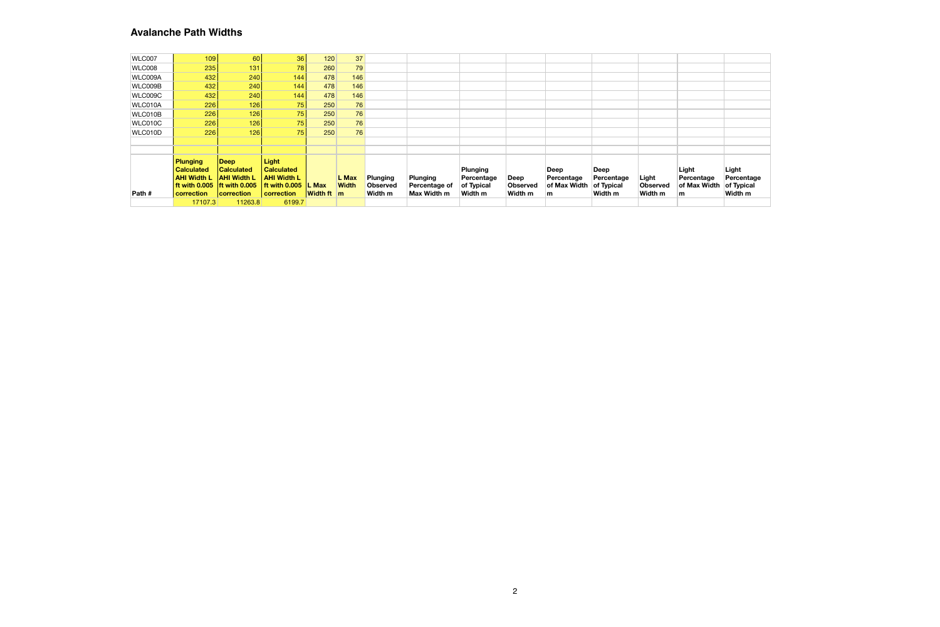|         | 17107.3                                        | 11263.8                                 | 6199.7                                  |                                   |              |                            |                              |                               |                            |                    |                       |                     |                     |                       |
|---------|------------------------------------------------|-----------------------------------------|-----------------------------------------|-----------------------------------|--------------|----------------------------|------------------------------|-------------------------------|----------------------------|--------------------|-----------------------|---------------------|---------------------|-----------------------|
| Path #  | If with $0.005$ Ift with $0.005$<br>correction | <b>correction</b>                       | l ft with 0.005<br>correction           | <b>L</b> Max<br><b>Width ft</b> m | <b>Width</b> | <b>Observed</b><br>Width m | Percentage of<br>Max Width m | of Typical<br>Width m         | <b>Observed</b><br>Width m | of Max Width<br>m  | of Typical<br>Width m | Observed<br>Width m | of Max Width<br>m   | of Typical<br>Width m |
|         | <b>Calculated</b><br><b>AHI Width L</b>        | <b>Calculated</b><br><b>AHI Width L</b> | <b>Calculated</b><br><b>AHI Width L</b> |                                   | L Max        | Plunging                   | <b>Plunging</b>              | <b>Plunging</b><br>Percentage | Deep                       | Deep<br>Percentage | Deep<br>Percentage    | Light               | Light<br>Percentage | Light<br>Percentage   |
|         | <b>Plunging</b>                                | Deep                                    | <b>Light</b>                            |                                   |              |                            |                              |                               |                            |                    |                       |                     |                     |                       |
|         |                                                |                                         |                                         |                                   |              |                            |                              |                               |                            |                    |                       |                     |                     |                       |
|         |                                                |                                         |                                         |                                   |              |                            |                              |                               |                            |                    |                       |                     |                     |                       |
| WLC010D | 226                                            | 126                                     | 75                                      | 250                               | 76           |                            |                              |                               |                            |                    |                       |                     |                     |                       |
| WLC010C | 226                                            | 126                                     | 75                                      | 250                               | 76           |                            |                              |                               |                            |                    |                       |                     |                     |                       |
| WLC010B | 226                                            | 126                                     | 75                                      | 250                               | 76           |                            |                              |                               |                            |                    |                       |                     |                     |                       |
| WLC010A | 226                                            | 126                                     | 75                                      | 250                               | 76           |                            |                              |                               |                            |                    |                       |                     |                     |                       |
| WLC009C | 432                                            | 240                                     | 144                                     | 478                               | 146          |                            |                              |                               |                            |                    |                       |                     |                     |                       |
| WLC009B | 432                                            | 240                                     | 144.                                    | 478                               | 146          |                            |                              |                               |                            |                    |                       |                     |                     |                       |
| WLC009A | 432                                            | 240                                     | 144                                     | 478                               | 146          |                            |                              |                               |                            |                    |                       |                     |                     |                       |
| WLC008  | 235                                            | 131                                     | 78                                      | 260                               | 79           |                            |                              |                               |                            |                    |                       |                     |                     |                       |
| WLC007  | 109                                            | 60                                      | 36                                      | 120                               | 37           |                            |                              |                               |                            |                    |                       |                     |                     |                       |

#### **Avalanche Path Widths**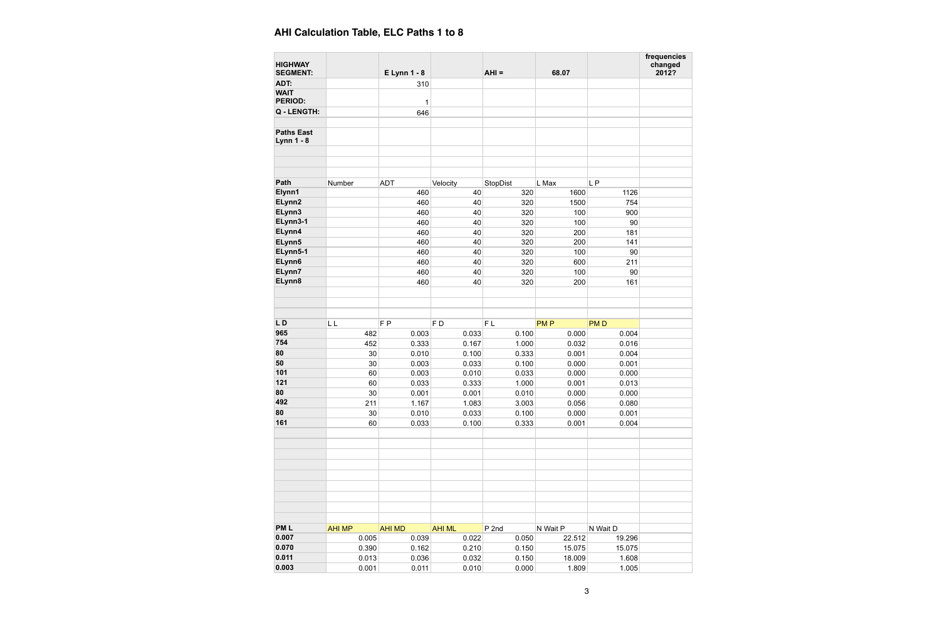| <b>HIGHWAY</b>                         |               |                     |               |          |            |            | frequencies<br>changed |
|----------------------------------------|---------------|---------------------|---------------|----------|------------|------------|------------------------|
| <b>SEGMENT:</b>                        |               | <b>E Lynn 1 - 8</b> |               | $AHI =$  | 68.07      |            | 2012?                  |
| ADT:                                   |               | 310                 |               |          |            |            |                        |
| <b>WAIT</b>                            |               |                     |               |          |            |            |                        |
| <b>PERIOD:</b>                         |               | 1                   |               |          |            |            |                        |
| Q - LENGTH:                            |               | 646                 |               |          |            |            |                        |
|                                        |               |                     |               |          |            |            |                        |
| <b>Paths East</b><br><b>Lynn 1 - 8</b> |               |                     |               |          |            |            |                        |
|                                        |               |                     |               |          |            |            |                        |
|                                        |               |                     |               |          |            |            |                        |
|                                        |               |                     |               |          |            |            |                        |
| Path                                   | Number        | <b>ADT</b>          | Velocity      | StopDist | L Max      | LP         |                        |
| Elynn1                                 |               | 460                 | 40            | 320      | 1600       | 1126       |                        |
| ELynn2                                 |               | 460                 | 40            | 320      | 1500       | 754        |                        |
| ELynn3                                 |               | 460                 | 40            | 320      | 100        | 900        |                        |
| ELynn3-1                               |               | 460                 | 40            | 320      | 100        | 90         |                        |
| ELynn4                                 |               | 460                 | 40            | 320      | 200        | 181        |                        |
| ELynn5                                 |               | 460                 | 40            | 320      | 200        | 141        |                        |
| ELynn5-1                               |               | 460                 | 40            | 320      | 100        | 90         |                        |
| ELynn6                                 |               | 460                 | 40            | 320      | 600        | 211        |                        |
| ELynn7                                 |               | 460                 | 40            | 320      | 100        | 90         |                        |
| ELynn8                                 |               | 460                 | 40            | 320      | 200        | 161        |                        |
|                                        |               |                     |               |          |            |            |                        |
|                                        |               |                     |               |          |            |            |                        |
|                                        |               |                     |               |          |            |            |                        |
| LD                                     | LL            | F <sub>P</sub>      | FD            | FL       | <b>PMP</b> | <b>PMD</b> |                        |
| 965                                    | 482           | 0.003               | 0.033         | 0.100    | 0.000      | 0.004      |                        |
| 754                                    | 452           | 0.333               | 0.167         | 1.000    | 0.032      | 0.016      |                        |
| 80                                     | 30            | 0.010               | 0.100         | 0.333    | 0.001      | 0.004      |                        |
| 50                                     | 30            | 0.003               | 0.033         | 0.100    | 0.000      | 0.001      |                        |
| 101                                    | 60            | 0.003               | 0.010         | 0.033    | 0.000      | 0.000      |                        |
| 121                                    | 60            | 0.033               | 0.333         | 1.000    | 0.001      | 0.013      |                        |
| 80                                     | 30            | 0.001               | 0.001         | 0.010    | 0.000      | 0.000      |                        |
| 492                                    | 211           | 1.167               | 1.083         | 3.003    | 0.056      | 0.080      |                        |
| 80                                     | 30            | 0.010               | 0.033         | 0.100    | 0.000      | 0.001      |                        |
| 161                                    | 60            | 0.033               | 0.100         | 0.333    | 0.001      | 0.004      |                        |
|                                        |               |                     |               |          |            |            |                        |
|                                        |               |                     |               |          |            |            |                        |
|                                        |               |                     |               |          |            |            |                        |
|                                        |               |                     |               |          |            |            |                        |
|                                        |               |                     |               |          |            |            |                        |
|                                        |               |                     |               |          |            |            |                        |
|                                        |               |                     |               |          |            |            |                        |
|                                        |               |                     |               |          |            |            |                        |
|                                        |               |                     |               |          |            |            |                        |
| <b>PML</b>                             | <b>AHI MP</b> | <b>AHI MD</b>       | <b>AHI ML</b> | $P$ 2nd  | N Wait P   | N Wait D   |                        |
| 0.007                                  | 0.005         | 0.039               | 0.022         | 0.050    | 22.512     | 19.296     |                        |
| 0.070                                  | 0.390         | 0.162               | 0.210         | 0.150    | 15.075     | 15.075     |                        |
| 0.011                                  | 0.013         | 0.036               | 0.032         | 0.150    | 18.009     | 1.608      |                        |
| 0.003                                  | 0.001         | 0.011               | 0.010         | 0.000    | 1.809      | 1.005      |                        |

| AHI Calculation Table, ELC Paths 1 to 8 |  |  |  |  |  |  |
|-----------------------------------------|--|--|--|--|--|--|
|-----------------------------------------|--|--|--|--|--|--|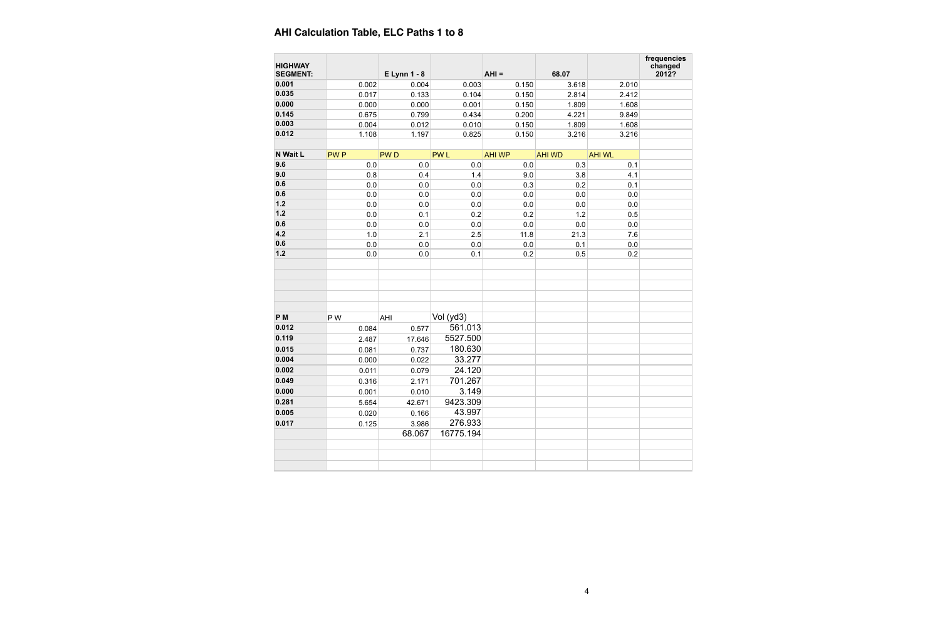| <b>HIGHWAY</b><br><b>SEGMENT:</b> |            | <b>E Lynn 1 - 8</b> |            | $AHI =$       | 68.07         |               | fred<br>$c$ |
|-----------------------------------|------------|---------------------|------------|---------------|---------------|---------------|-------------|
| 0.001                             | 0.002      | 0.004               | 0.003      | 0.150         | 3.618         | 2.010         |             |
| 0.035                             | 0.017      | 0.133               | 0.104      | 0.150         | 2.814         | 2.412         |             |
| 0.000                             | 0.000      | 0.000               | 0.001      | 0.150         | 1.809         | 1.608         |             |
| 0.145                             | 0.675      | 0.799               | 0.434      | 0.200         | 4.221         | 9.849         |             |
| 0.003                             | 0.004      | 0.012               | 0.010      | 0.150         | 1.809         | 1.608         |             |
| 0.012                             | 1.108      | 1.197               | 0.825      | 0.150         | 3.216         | 3.216         |             |
| N Wait L                          | <b>PWP</b> | <b>PWD</b>          | <b>PWL</b> | <b>AHI WP</b> | <b>AHI WD</b> | <b>AHI WL</b> |             |
| 9.6                               | 0.0        | 0.0                 | 0.0        | 0.0           | 0.3           | 0.1           |             |
| 9.0                               | 0.8        | 0.4                 | 1.4        | 9.0           | 3.8           | 4.1           |             |
| 0.6                               | 0.0        | $0.0\,$             | 0.0        | 0.3           | 0.2           | 0.1           |             |
| 0.6                               | 0.0        | 0.0                 | 0.0        | 0.0           | 0.0           | 0.0           |             |
| $1.2$                             | 0.0        | 0.0                 | 0.0        | 0.0           | 0.0           | 0.0           |             |
| $1.2$                             | 0.0        | 0.1                 | 0.2        | 0.2           | 1.2           | 0.5           |             |
| 0.6                               | 0.0        | $0.0\,$             | $0.0\,$    | 0.0           | 0.0           | $0.0\,$       |             |
| 4.2                               | 1.0        | 2.1                 | 2.5        | 11.8          | 21.3          | 7.6           |             |
| 0.6                               | 0.0        | 0.0                 | 0.0        | 0.0           | 0.1           | 0.0           |             |
| $1.2$                             | 0.0        | 0.0                 | 0.1        | 0.2           | 0.5           | 0.2           |             |
| P <sub>M</sub>                    | P W        | AHI                 | Vol (yd3)  |               |               |               |             |
| 0.012                             | 0.084      | 0.577               | 561.013    |               |               |               |             |
| 0.119                             | 2.487      | 17.646              | 5527.500   |               |               |               |             |
| 0.015                             | 0.081      | 0.737               | 180.630    |               |               |               |             |
| 0.004                             | 0.000      | 0.022               | 33.277     |               |               |               |             |
| 0.002                             | 0.011      | 0.079               | 24.120     |               |               |               |             |
| 0.049                             | 0.316      | 2.171               | 701.267    |               |               |               |             |
| 0.000                             | 0.001      | 0.010               | 3.149      |               |               |               |             |
| 0.281                             |            |                     | 9423.309   |               |               |               |             |
| 0.005                             | 5.654      | 42.671              | 43.997     |               |               |               |             |
| 0.017                             | 0.020      | 0.166               | 276.933    |               |               |               |             |
|                                   | 0.125      | 3.986               |            |               |               |               |             |
|                                   |            | 68.067              | 16775.194  |               |               |               |             |
|                                   |            |                     |            |               |               |               |             |
|                                   |            |                     |            |               |               |               |             |
|                                   |            |                     |            |               |               |               |             |

| frequencies<br>changed<br>2012? |  |  |  |  |  |  |  |  |
|---------------------------------|--|--|--|--|--|--|--|--|
|                                 |  |  |  |  |  |  |  |  |
|                                 |  |  |  |  |  |  |  |  |
|                                 |  |  |  |  |  |  |  |  |
|                                 |  |  |  |  |  |  |  |  |
|                                 |  |  |  |  |  |  |  |  |
|                                 |  |  |  |  |  |  |  |  |
|                                 |  |  |  |  |  |  |  |  |
|                                 |  |  |  |  |  |  |  |  |
|                                 |  |  |  |  |  |  |  |  |
|                                 |  |  |  |  |  |  |  |  |
|                                 |  |  |  |  |  |  |  |  |
|                                 |  |  |  |  |  |  |  |  |
|                                 |  |  |  |  |  |  |  |  |
|                                 |  |  |  |  |  |  |  |  |
|                                 |  |  |  |  |  |  |  |  |
|                                 |  |  |  |  |  |  |  |  |
|                                 |  |  |  |  |  |  |  |  |
|                                 |  |  |  |  |  |  |  |  |
|                                 |  |  |  |  |  |  |  |  |
|                                 |  |  |  |  |  |  |  |  |
|                                 |  |  |  |  |  |  |  |  |
|                                 |  |  |  |  |  |  |  |  |
|                                 |  |  |  |  |  |  |  |  |
|                                 |  |  |  |  |  |  |  |  |
|                                 |  |  |  |  |  |  |  |  |
|                                 |  |  |  |  |  |  |  |  |
|                                 |  |  |  |  |  |  |  |  |
|                                 |  |  |  |  |  |  |  |  |
|                                 |  |  |  |  |  |  |  |  |
|                                 |  |  |  |  |  |  |  |  |
|                                 |  |  |  |  |  |  |  |  |
|                                 |  |  |  |  |  |  |  |  |
|                                 |  |  |  |  |  |  |  |  |
|                                 |  |  |  |  |  |  |  |  |
|                                 |  |  |  |  |  |  |  |  |
|                                 |  |  |  |  |  |  |  |  |

# **AHI Calculation Table, ELC Paths 1 to 8**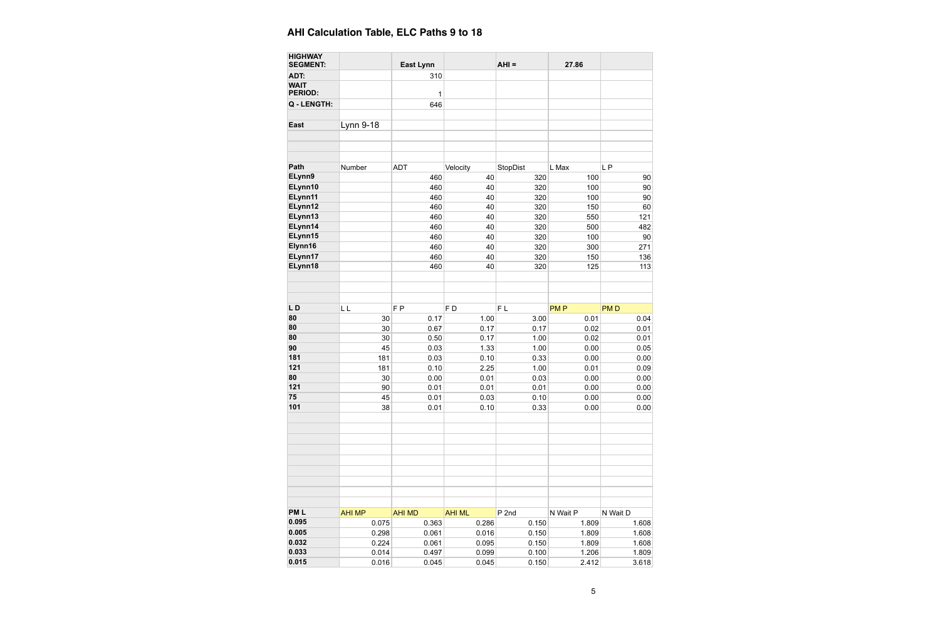| <b>HIGHWAY</b><br><b>SEGMENT:</b> |               | <b>East Lynn</b> |                | $AHI =$  | 27.86      |            |
|-----------------------------------|---------------|------------------|----------------|----------|------------|------------|
| ADT:                              |               | 310              |                |          |            |            |
| <b>WAIT</b><br><b>PERIOD:</b>     |               | 1                |                |          |            |            |
| Q - LENGTH:                       |               | 646              |                |          |            |            |
| <b>East</b>                       | Lynn 9-18     |                  |                |          |            |            |
|                                   |               |                  |                |          |            |            |
| Path                              | Number        | <b>ADT</b>       | Velocity       | StopDist | L Max      | LP         |
| ELynn9                            |               | 460              | 40             | 320      | 100        | 90         |
| ELynn10                           |               | 460              | 40             | 320      | 100        | 90         |
| ELynn11                           |               | 460              | 40             | 320      | 100        | 90         |
| ELynn12                           |               | 460              | 40             | 320      | 150        | 60         |
| ELynn13                           |               | 460              | 40             | 320      | 550        | 121        |
| ELynn14                           |               | 460              | 40             | 320      | 500        | 482        |
| ELynn15                           |               | 460              | 40             | 320      | 100        | 90         |
| Elynn16                           |               | 460              | 40             | 320      | 300        | 271        |
| ELynn17                           |               | 460              | 40             | 320      | 150        | 136        |
| ELynn18                           |               | 460              | 40             | 320      | 125        | 113        |
|                                   |               |                  |                |          |            |            |
| LD                                | LL            | F <sub>P</sub>   | F <sub>D</sub> | FL       | <b>PMP</b> | <b>PMD</b> |
| 80                                | 30            | 0.17             | 1.00           | 3.00     | 0.01       | 0.04       |
| 80                                | 30            | 0.67             | 0.17           | 0.17     | 0.02       | 0.01       |
| 80                                | 30            | 0.50             | 0.17           | 1.00     | 0.02       | 0.01       |
| 90                                | 45            | 0.03             | 1.33           | 1.00     | 0.00       | 0.05       |
| 181                               | 181           | 0.03             | 0.10           | 0.33     | 0.00       | 0.00       |
| 121                               | 181           | 0.10             | 2.25           | 1.00     | 0.01       | 0.09       |
| 80                                | 30            | 0.00             | 0.01           | 0.03     | 0.00       | 0.00       |
| 121                               | 90            | 0.01             | 0.01           | 0.01     | 0.00       | 0.00       |
| 75                                | 45            | 0.01             | 0.03           | 0.10     | 0.00       | 0.00       |
| 101                               | 38            | 0.01             | 0.10           | 0.33     | 0.00       | 0.00       |
|                                   |               |                  |                |          |            |            |
| <b>PML</b>                        | <b>AHI MP</b> | <b>AHI MD</b>    | <b>AHI ML</b>  | P 2nd    | N Wait P   | N Wait D   |
| 0.095                             | 0.075         | 0.363            | 0.286          | 0.150    | 1.809      | 1.608      |
| 0.005                             | 0.298         | 0.061            | 0.016          | 0.150    | 1.809      | 1.608      |
| 0.032                             | 0.224         | 0.061            | 0.095          | 0.150    | 1.809      | 1.608      |
| 0.033                             | 0.014         | 0.497            | 0.099          | 0.100    | 1.206      | 1.809      |
| 0.015                             | 0.016         | 0.045            | 0.045          | 0.150    | 2.412      | 3.618      |

# **AHI Calculation Table, ELC Paths 9 to 18**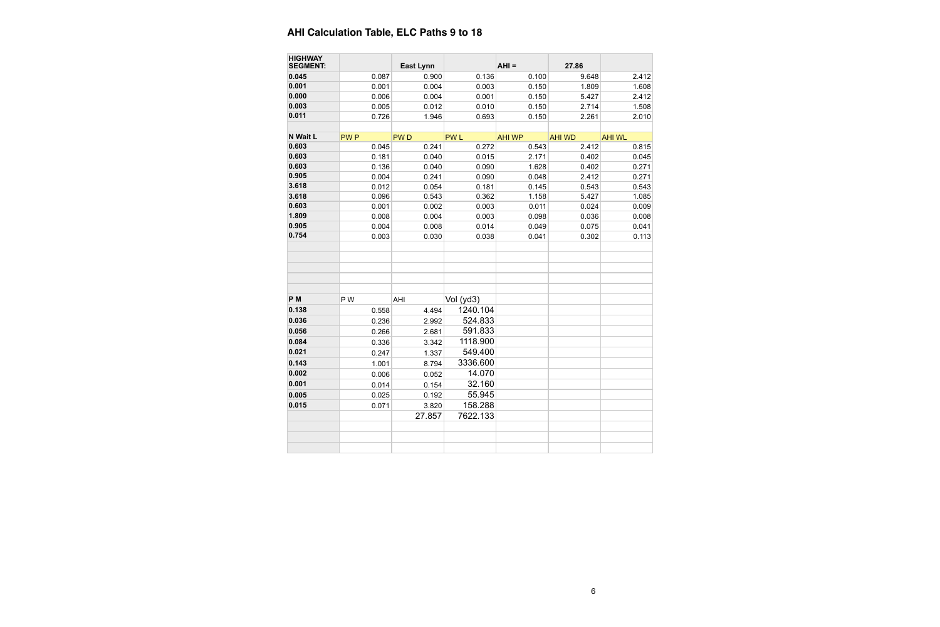| <b>HIGHWAY</b><br><b>SEGMENT:</b> |            | <b>East Lynn</b> |            | $AHI =$       | 27.86         |               |
|-----------------------------------|------------|------------------|------------|---------------|---------------|---------------|
| 0.045                             | 0.087      | 0.900            | 0.136      | 0.100         | 9.648         | 2.412         |
| 0.001                             | 0.001      | 0.004            | 0.003      | 0.150         | 1.809         | 1.608         |
| 0.000                             | 0.006      | 0.004            | 0.001      | 0.150         | 5.427         | 2.412         |
| 0.003                             | 0.005      | 0.012            | 0.010      | 0.150         | 2.714         | 1.508         |
| 0.011                             | 0.726      | 1.946            | 0.693      | 0.150         | 2.261         | 2.010         |
| N Wait L                          | <b>PWP</b> | <b>PWD</b>       | <b>PWL</b> | <b>AHI WP</b> | <b>AHI WD</b> | <b>AHI WL</b> |
| 0.603                             | 0.045      | 0.241            | 0.272      | 0.543         | 2.412         | 0.815         |
| 0.603                             | 0.181      | 0.040            | 0.015      | 2.171         | 0.402         | 0.045         |
| 0.603                             | 0.136      | 0.040            | 0.090      | 1.628         | 0.402         | 0.271         |
| 0.905                             | 0.004      | 0.241            | 0.090      | 0.048         | 2.412         | 0.271         |
| 3.618                             | 0.012      | 0.054            | 0.181      | 0.145         | 0.543         | 0.543         |
| 3.618                             | 0.096      | 0.543            | 0.362      | 1.158         | 5.427         | 1.085         |
| 0.603                             | 0.001      | 0.002            | 0.003      | 0.011         | 0.024         | 0.009         |
| 1.809                             | 0.008      | 0.004            | 0.003      | 0.098         | 0.036         | 0.008         |
| 0.905                             | 0.004      | 0.008            | 0.014      | 0.049         | 0.075         | 0.041         |
| 0.754                             | 0.003      | 0.030            | 0.038      | 0.041         | 0.302         | 0.113         |
|                                   |            |                  |            |               |               |               |
| P <sub>M</sub>                    | P W        | AHI              | Vol (yd3)  |               |               |               |
| 0.138                             | 0.558      | 4.494            | 1240.104   |               |               |               |
| 0.036                             | 0.236      | 2.992            | 524.833    |               |               |               |
| 0.056                             | 0.266      | 2.681            | 591.833    |               |               |               |
| 0.084                             | 0.336      | 3.342            | 1118.900   |               |               |               |
| 0.021                             | 0.247      | 1.337            | 549.400    |               |               |               |
| 0.143                             | 1.001      | 8.794            | 3336.600   |               |               |               |
| 0.002                             | 0.006      | 0.052            | 14.070     |               |               |               |
| 0.001                             | 0.014      |                  | 32.160     |               |               |               |
| 0.005                             |            | 0.154            | 55.945     |               |               |               |
| 0.015                             | 0.025      | 0.192            | 158.288    |               |               |               |
|                                   | 0.071      | 3.820            |            |               |               |               |
|                                   |            | 27.857           | 7622.133   |               |               |               |
|                                   |            |                  |            |               |               |               |
|                                   |            |                  |            |               |               |               |

# **AHI Calculation Table, ELC Paths 9 to 18**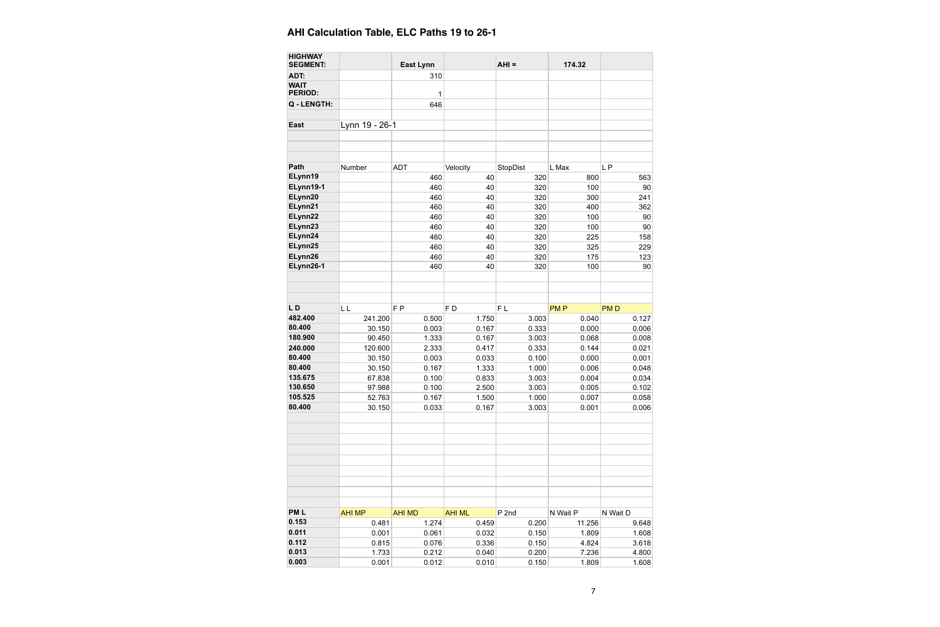| <b>HIGHWAY</b><br><b>SEGMENT:</b> |                        | <b>East Lynn</b>       |                        | $AHI =$                   | 174.32             |                         |
|-----------------------------------|------------------------|------------------------|------------------------|---------------------------|--------------------|-------------------------|
| ADT:                              |                        | 310                    |                        |                           |                    |                         |
| <b>WAIT</b><br><b>PERIOD:</b>     |                        | 1                      |                        |                           |                    |                         |
| Q - LENGTH:                       |                        | 646                    |                        |                           |                    |                         |
| <b>East</b>                       | Lynn 19 - 26-1         |                        |                        |                           |                    |                         |
|                                   |                        |                        |                        |                           |                    |                         |
| Path                              | Number                 | <b>ADT</b>             | Velocity               | StopDist                  | L Max              | <b>LP</b>               |
| ELynn19                           |                        | 460                    | 40                     | 320                       | 800                | 563                     |
| ELynn19-1                         |                        | 460                    | 40                     | 320                       | 100                | 90                      |
| ELynn20                           |                        | 460                    | 40                     | 320                       | 300                | 241                     |
| ELynn21                           |                        | 460                    | 40                     | 320                       | 400                | 362                     |
| ELynn22                           |                        | 460                    | 40                     | 320                       | 100                | 90                      |
| ELynn23                           |                        | 460                    | 40                     | 320                       | 100                | 90                      |
| ELynn24                           |                        | 460                    | 40                     | 320                       | 225                | 158                     |
| ELynn25                           |                        | 460                    | 40                     | 320                       | 325                | 229                     |
| ELynn26                           |                        | 460                    | 40                     | 320                       | 175                | 123                     |
| ELynn26-1                         |                        | 460                    | 40                     | 320                       | 100                | 90                      |
|                                   |                        |                        |                        |                           |                    |                         |
| LD                                | L L                    | F <sub>P</sub>         | F <sub>D</sub>         | FL                        | <b>PMP</b>         | <b>PMD</b>              |
| 482.400                           | 241.200                | 0.500                  | 1.750                  | 3.003                     | 0.040              | 0.127                   |
| 80.400                            | 30.150                 | 0.003                  | 0.167                  | 0.333                     | 0.000              | 0.006                   |
| 180.900                           | 90.450                 | 1.333                  | 0.167                  | 3.003                     | 0.068              | 0.008                   |
| 240.000                           | 120.600                | 2.333                  | 0.417                  | 0.333                     | 0.144              | 0.021                   |
| 80.400                            | 30.150                 | 0.003                  | 0.033                  | 0.100                     | 0.000              | 0.001                   |
| 80.400                            | 30.150                 | 0.167                  | 1.333                  | 1.000                     | 0.006              | 0.048                   |
| 135.675                           | 67.838                 | 0.100                  | 0.833                  | 3.003                     | 0.004              | 0.034                   |
| 130.650                           | 97.988                 | 0.100                  | 2.500                  | 3.003                     | 0.005              | 0.102                   |
| 105.525                           | 52.763                 | 0.167                  | 1.500                  | 1.000                     | 0.007              | 0.058                   |
| 80.400                            | 30.150                 | 0.033                  | 0.167                  | 3.003                     | 0.001              | 0.006                   |
|                                   |                        |                        |                        |                           |                    |                         |
| <b>PML</b><br>0.153               | <b>AHI MP</b><br>0.481 | <b>AHI MD</b><br>1.274 | <b>AHI ML</b><br>0.459 | P <sub>2nd</sub><br>0.200 | N Wait P<br>11.256 | N Wait D<br>9.648       |
|                                   |                        |                        |                        |                           |                    |                         |
|                                   |                        |                        |                        |                           |                    |                         |
|                                   | 0.001                  | 0.061                  | 0.032                  | 0.150                     | 1.809              |                         |
| 0.011<br>0.112<br>0.013           | 0.815<br>1.733         | 0.076<br>0.212         | 0.336<br>0.040         | 0.150<br>0.200            | 4.824<br>7.236     | 1.608<br>3.618<br>4.800 |

#### **AHI Calculation Table, ELC Paths 19 to 26-1**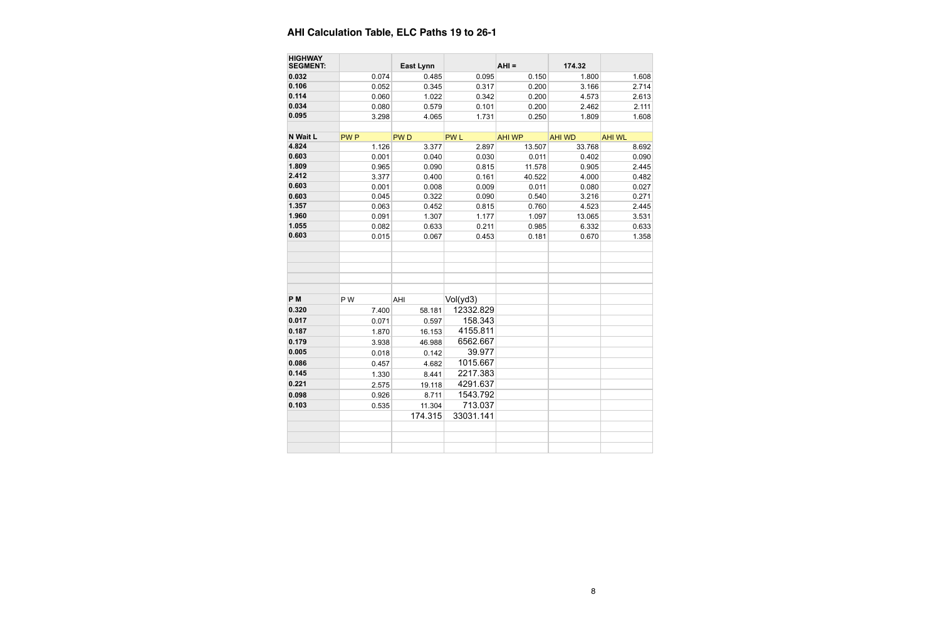| <b>HIGHWAY</b><br><b>SEGMENT:</b> |             | <b>East Lynn</b> |                       | $AHI =$       | 174.32        |               |
|-----------------------------------|-------------|------------------|-----------------------|---------------|---------------|---------------|
| 0.032                             | 0.074       | 0.485            | 0.095                 | 0.150         | 1.800         | 1.608         |
| 0.106                             | 0.052       | 0.345            | 0.317                 | 0.200         | 3.166         | 2.714         |
| 0.114                             | 0.060       | 1.022            | 0.342                 | 0.200         | 4.573         | 2.613         |
| 0.034                             | 0.080       | 0.579            | 0.101                 | 0.200         | 2.462         | 2.111         |
| 0.095                             | 3.298       | 4.065            | 1.731                 | 0.250         | 1.809         | 1.608         |
|                                   |             |                  |                       |               |               |               |
| N Wait L                          | <b>PWP</b>  | <b>PWD</b>       | <b>PWL</b>            | <b>AHI WP</b> | <b>AHI WD</b> | <b>AHI WL</b> |
| 4.824                             | 1.126       | 3.377            | 2.897                 | 13.507        | 33.768        | 8.692         |
| 0.603                             | 0.001       | 0.040            | 0.030                 | 0.011         | 0.402         | 0.090         |
| 1.809                             | 0.965       | 0.090            | 0.815                 | 11.578        | 0.905         | 2.445         |
| 2.412                             | 3.377       | 0.400            | 0.161                 | 40.522        | 4.000         | 0.482         |
| 0.603                             | 0.001       | 0.008            | 0.009                 | 0.011         | 0.080         | 0.027         |
| 0.603                             | 0.045       | 0.322            | 0.090                 | 0.540         | 3.216         | 0.271         |
| 1.357                             | 0.063       | 0.452            | 0.815                 | 0.760         | 4.523         | 2.445         |
| 1.960                             | 0.091       | 1.307            | 1.177                 | 1.097         | 13.065        | 3.531         |
| 1.055                             | 0.082       | 0.633            | 0.211                 | 0.985         | 6.332         | 0.633         |
| 0.603                             | 0.015       | 0.067            | 0.453                 | 0.181         | 0.670         | 1.358         |
| P <sub>M</sub><br>0.320           | PW<br>7.400 | AHI<br>58.181    | Vol(yd3)<br>12332.829 |               |               |               |
| 0.017                             | 0.071       | 0.597            | 158.343               |               |               |               |
| 0.187                             | 1.870       | 16.153           | 4155.811              |               |               |               |
| 0.179                             | 3.938       | 46.988           | 6562.667              |               |               |               |
| 0.005                             | 0.018       | 0.142            | 39.977                |               |               |               |
| 0.086                             | 0.457       | 4.682            | 1015.667              |               |               |               |
| 0.145                             | 1.330       | 8.441            | 2217.383              |               |               |               |
| 0.221                             | 2.575       | 19.118           | 4291.637              |               |               |               |
| 0.098                             | 0.926       | 8.711            | 1543.792              |               |               |               |
| 0.103                             | 0.535       | 11.304           | 713.037               |               |               |               |
|                                   |             | 174.315          | 33031.141             |               |               |               |
|                                   |             |                  |                       |               |               |               |
|                                   |             |                  |                       |               |               |               |
|                                   |             |                  |                       |               |               |               |
|                                   |             |                  |                       |               |               |               |

# **AHI Calculation Table, ELC Paths 19 to 26-1**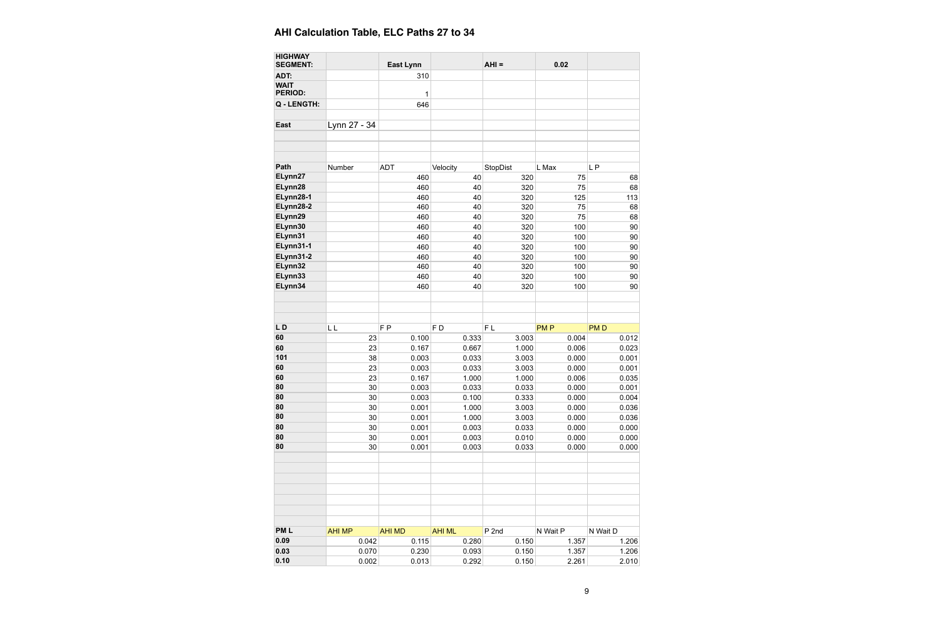| <b>HIGHWAY</b><br><b>SEGMENT:</b> |               | <b>East Lynn</b> |                | $AHI =$        | 0.02       |            |
|-----------------------------------|---------------|------------------|----------------|----------------|------------|------------|
| ADT:                              |               | 310              |                |                |            |            |
| <b>WAIT</b><br><b>PERIOD:</b>     |               | 1                |                |                |            |            |
| Q - LENGTH:                       |               | 646              |                |                |            |            |
| <b>East</b>                       | Lynn 27 - 34  |                  |                |                |            |            |
|                                   |               |                  |                |                |            |            |
| Path                              | Number        | <b>ADT</b>       | Velocity       | StopDist       | L Max      | LP         |
| ELynn27                           |               | 460              | 40             | 320            | 75         | 68         |
| ELynn28                           |               | 460              | 40             | 320            | 75         | 68         |
| ELynn28-1                         |               | 460              | 40             | 320            | 125        | 113        |
| ELynn28-2                         |               | 460              | 40             | 320            | 75         | 68         |
| ELynn29                           |               | 460              | 40             | 320            | 75         | 68         |
| ELynn30                           |               | 460              | 40             | 320            | 100        | 90         |
| ELynn31                           |               | 460              | 40             | 320            | 100        | 90         |
| ELynn31-1                         |               | 460              | 40             | 320            | 100        | 90         |
| ELynn31-2                         |               | 460              | 40             | 320            | 100        | 90         |
| ELynn32                           |               | 460              | 40             | 320            | 100        | 90         |
| ELynn33                           |               | 460              | 40             | 320            | 100        | 90         |
| ELynn34                           |               | 460              | 40             | 320            | 100        | 90         |
|                                   |               |                  |                |                |            |            |
| LD                                | LL            | F <sub>P</sub>   | F <sub>D</sub> | F <sub>L</sub> | <b>PMP</b> | <b>PMD</b> |
| 60                                | 23            | 0.100            | 0.333          | 3.003          | 0.004      | 0.012      |
| 60                                | 23            | 0.167            | 0.667          | 1.000          | 0.006      | 0.023      |
| 101                               | 38            | 0.003            | 0.033          | 3.003          | 0.000      | 0.001      |
| 60                                | 23            | 0.003            | 0.033          | 3.003          | 0.000      | 0.001      |
| 60                                | 23            | 0.167            | 1.000          | 1.000          | 0.006      | 0.035      |
| 80                                | 30            | 0.003            | 0.033          | 0.033          | 0.000      | 0.001      |
| 80                                | 30            | 0.003            | 0.100          | 0.333          | 0.000      | 0.004      |
| 80                                | 30            | 0.001            | 1.000          | 3.003          | 0.000      | 0.036      |
| 80                                | 30            | 0.001            | 1.000          | 3.003          | 0.000      | 0.036      |
| 80                                | 30            | 0.001            | 0.003          | 0.033          | 0.000      | 0.000      |
| 80                                | 30            | 0.001            | 0.003          | 0.010          | 0.000      | 0.000      |
| 80                                | 30            | 0.001            | 0.003          | 0.033          | 0.000      | 0.000      |
|                                   |               |                  |                |                |            |            |
| <b>PML</b>                        | <b>AHI MP</b> | <b>AHI MD</b>    | <b>AHI ML</b>  | $P$ 2nd        | N Wait P   | N Wait D   |
| 0.09                              | 0.042         | 0.115            | 0.280          | 0.150          | 1.357      | 1.206      |
| 0.03                              | 0.070         | 0.230            | 0.093          | 0.150          | 1.357      | 1.206      |
| 0.10                              | 0.002         | 0.013            | 0.292          | 0.150          | 2.261      | 2.010      |
|                                   |               |                  |                |                |            |            |

# **AHI Calculation Table, ELC Paths 27 to 34**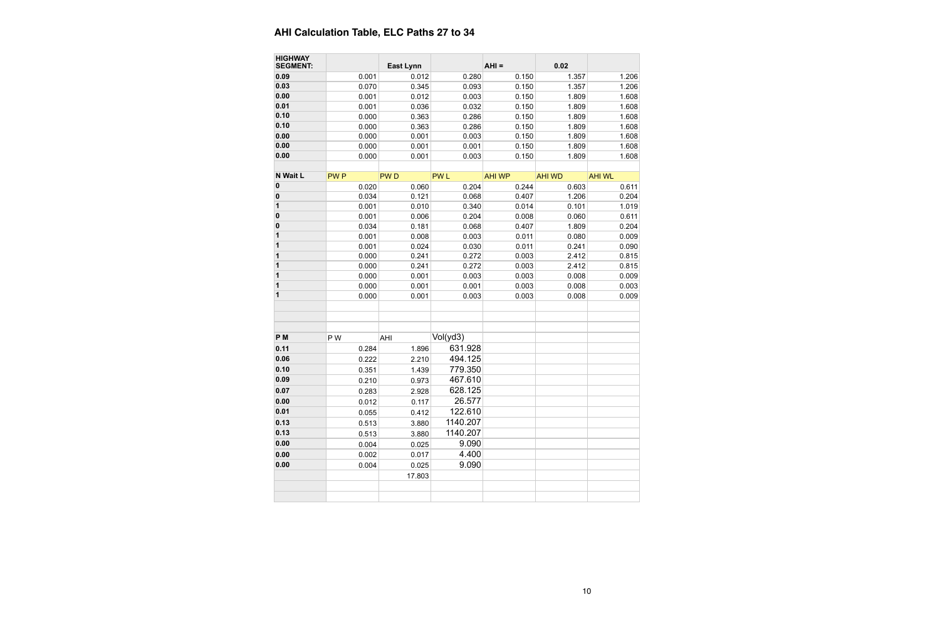| <b>HIGHWAY</b><br><b>SEGMENT:</b> |                | <b>East Lynn</b> |                | $AHI =$        | 0.02           |                |
|-----------------------------------|----------------|------------------|----------------|----------------|----------------|----------------|
| 0.09                              |                |                  |                |                |                |                |
| 0.03                              | 0.001          | 0.012            | 0.280          | 0.150          | 1.357          | 1.206          |
| 0.00                              | 0.070          | 0.345            | 0.093          | 0.150<br>0.150 | 1.357          | 1.206          |
| 0.01                              | 0.001          | 0.012            | 0.003<br>0.032 |                | 1.809          | 1.608          |
| 0.10                              | 0.001          | 0.036            |                | 0.150          | 1.809          | 1.608          |
| 0.10                              | 0.000          | 0.363            | 0.286          | 0.150          | 1.809          | 1.608          |
| 0.00                              | 0.000<br>0.000 | 0.363<br>0.001   | 0.286<br>0.003 | 0.150<br>0.150 | 1.809<br>1.809 | 1.608<br>1.608 |
| 0.00                              | 0.000          | 0.001            | 0.001          | 0.150          | 1.809          | 1.608          |
| 0.00                              | 0.000          | 0.001            | 0.003          | 0.150          | 1.809          | 1.608          |
|                                   |                |                  |                |                |                |                |
| N Wait L                          | <b>PWP</b>     | <b>PWD</b>       | <b>PWL</b>     | <b>AHI WP</b>  | <b>AHI WD</b>  | <b>AHI WL</b>  |
| $\bf{0}$                          | 0.020          | 0.060            | 0.204          | 0.244          | 0.603          | 0.611          |
| $\bf{0}$                          | 0.034          | 0.121            | 0.068          | 0.407          | 1.206          | 0.204          |
| 1                                 | 0.001          | 0.010            | 0.340          | 0.014          | 0.101          | 1.019          |
| $\bf{0}$                          | 0.001          | 0.006            | 0.204          | 0.008          | 0.060          | 0.611          |
| 0                                 | 0.034          | 0.181            | 0.068          | 0.407          | 1.809          | 0.204          |
| 1                                 | 0.001          | 0.008            | 0.003          | 0.011          | 0.080          | 0.009          |
| 1                                 | 0.001          | 0.024            | 0.030          | 0.011          | 0.241          | 0.090          |
| 1                                 | 0.000          | 0.241            | 0.272          | 0.003          | 2.412          | 0.815          |
| 1                                 | 0.000          | 0.241            | 0.272          | 0.003          | 2.412          | 0.815          |
| 1                                 | 0.000          | 0.001            | 0.003          | 0.003          | 0.008          | 0.009          |
| 1                                 | 0.000          | 0.001            | 0.001          | 0.003          | 0.008          | 0.003          |
| 1                                 | 0.000          | 0.001            | 0.003          | 0.003          | 0.008          | 0.009          |
|                                   |                |                  |                |                |                |                |
|                                   |                |                  |                |                |                |                |
|                                   |                |                  |                |                |                |                |
| P <sub>M</sub>                    | P W            | AHI              | Vol(yd3)       |                |                |                |
| 0.11                              | 0.284          | 1.896            | 631.928        |                |                |                |
| 0.06                              | 0.222          | 2.210            | 494.125        |                |                |                |
| 0.10                              | 0.351          | 1.439            | 779.350        |                |                |                |
| 0.09                              | 0.210          | 0.973            | 467.610        |                |                |                |
| 0.07                              | 0.283          | 2.928            | 628.125        |                |                |                |
| 0.00                              | 0.012          | 0.117            | 26.577         |                |                |                |
| 0.01                              | 0.055          | 0.412            | 122.610        |                |                |                |
| 0.13                              | 0.513          | 3.880            | 1140.207       |                |                |                |
| 0.13                              | 0.513          | 3.880            | 1140.207       |                |                |                |
| 0.00                              | 0.004          | 0.025            | 9.090          |                |                |                |
| 0.00                              | 0.002          | 0.017            | 4.400          |                |                |                |
| 0.00                              |                |                  | 9.090          |                |                |                |
|                                   | 0.004          | 0.025            |                |                |                |                |
|                                   |                | 17.803           |                |                |                |                |
|                                   |                |                  |                |                |                |                |
|                                   |                |                  |                |                |                |                |

# **AHI Calculation Table, ELC Paths 27 to 34**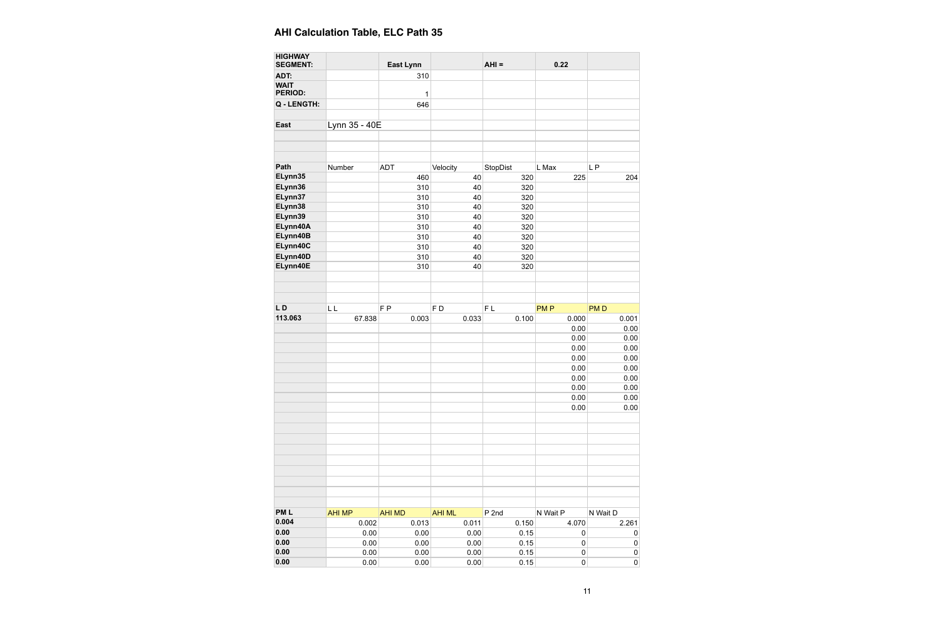| <b>HIGHWAY</b><br><b>SEGMENT:</b> |               | <b>East Lynn</b> |               | $AHI =$          | 0.22       |            |
|-----------------------------------|---------------|------------------|---------------|------------------|------------|------------|
| ADT:                              |               | 310              |               |                  |            |            |
| <b>WAIT</b><br><b>PERIOD:</b>     |               | 1                |               |                  |            |            |
| Q - LENGTH:                       |               | 646              |               |                  |            |            |
| <b>East</b>                       | Lynn 35 - 40E |                  |               |                  |            |            |
|                                   |               |                  |               |                  |            |            |
| Path                              | Number        | <b>ADT</b>       | Velocity      | StopDist         | L Max      | LP         |
| ELynn35                           |               | 460              | 40            | 320              | 225        | 204        |
| ELynn36                           |               | 310              | 40            | 320              |            |            |
| ELynn37                           |               | 310              | 40            | 320              |            |            |
| ELynn38                           |               | 310              | 40            | 320              |            |            |
| ELynn39                           |               | 310              | 40            | 320              |            |            |
| ELynn40A                          |               | 310              | 40            | 320              |            |            |
| ELynn40B                          |               | 310              | 40            | 320              |            |            |
| ELynn40C                          |               | 310              | 40            | 320              |            |            |
| ELynn40D                          |               | 310              | 40            | 320              |            |            |
| ELynn40E                          |               | 310              | 40            | 320              |            |            |
|                                   |               |                  |               |                  |            |            |
|                                   |               |                  |               |                  |            |            |
|                                   |               |                  |               |                  |            |            |
| LD                                | LL            | F <sub>P</sub>   | FD            | FL               | <b>PMP</b> | <b>PMD</b> |
| 113.063                           | 67.838        | 0.003            | 0.033         | 0.100            | 0.000      | 0.001      |
|                                   |               |                  |               |                  | 0.00       | 0.00       |
|                                   |               |                  |               |                  | 0.00       | 0.00       |
|                                   |               |                  |               |                  |            |            |
|                                   |               |                  |               |                  | 0.00       | 0.00       |
|                                   |               |                  |               |                  | 0.00       | 0.00       |
|                                   |               |                  |               |                  | 0.00       | 0.00       |
|                                   |               |                  |               |                  | 0.00       | 0.00       |
|                                   |               |                  |               |                  | 0.00       | 0.00       |
|                                   |               |                  |               |                  | 0.00       | 0.00       |
|                                   |               |                  |               |                  | 0.00       | 0.00       |
|                                   |               |                  |               |                  |            |            |
|                                   |               |                  |               |                  |            |            |
|                                   |               |                  |               |                  |            |            |
|                                   |               |                  |               |                  |            |            |
|                                   |               |                  |               |                  |            |            |
|                                   |               |                  |               |                  |            |            |
|                                   |               |                  |               |                  |            |            |
|                                   |               |                  |               |                  |            |            |
|                                   |               |                  |               |                  |            |            |
| <b>PML</b>                        | <b>AHI MP</b> | <b>AHI MD</b>    | <b>AHI ML</b> | P <sub>2nd</sub> | N Wait P   | N Wait D   |
| 0.004                             | 0.002         | 0.013            | 0.011         | 0.150            | 4.070      | 2.261      |
| 0.00                              | 0.00          | 0.00             | 0.00          | 0.15             | 0          | $\pmb{0}$  |
| 0.00                              | 0.00          | 0.00             | 0.00          | 0.15             | $\pmb{0}$  | $\pmb{0}$  |
| 0.00                              | 0.00          | 0.00             | 0.00          | 0.15             | $\pmb{0}$  | $\pmb{0}$  |
| 0.00                              | 0.00          | 0.00             | 0.00          | 0.15             | $\pmb{0}$  | $\pmb{0}$  |
|                                   |               |                  |               |                  |            |            |

# **AHI Calculation Table, ELC Path 35**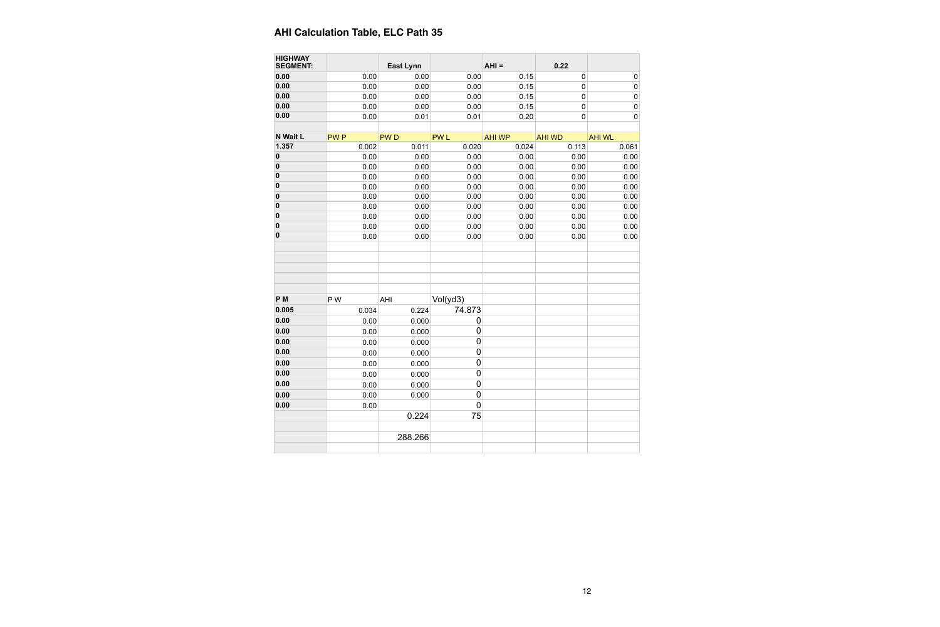| <b>HIGHWAY</b><br><b>SEGMENT:</b> |            | <b>East Lynn</b> |                  | $AHI =$       | 0.22          |               |
|-----------------------------------|------------|------------------|------------------|---------------|---------------|---------------|
| 0.00                              | 0.00       | 0.00             | 0.00             | 0.15          | $\pmb{0}$     | $\mathbf 0$   |
| 0.00                              | 0.00       | 0.00             | 0.00             | 0.15          | $\pmb{0}$     | $\mathbf{0}$  |
| 0.00                              | 0.00       | 0.00             | 0.00             | 0.15          | $\pmb{0}$     | $\mathbf{0}$  |
| 0.00                              | 0.00       | 0.00             | 0.00             | 0.15          | $\pmb{0}$     | $\mathbf 0$   |
| 0.00                              | 0.00       | 0.01             | 0.01             | 0.20          | $\mathbf 0$   | $\mathbf 0$   |
|                                   |            |                  |                  |               |               |               |
| N Wait L                          | <b>PWP</b> | <b>PWD</b>       | <b>PWL</b>       | <b>AHI WP</b> | <b>AHI WD</b> | <b>AHI WL</b> |
| 1.357                             | 0.002      | 0.011            | 0.020            | 0.024         | 0.113         | 0.061         |
| 0                                 | 0.00       | 0.00             | 0.00             | 0.00          | 0.00          | 0.00          |
| $\bf{0}$                          | 0.00       | 0.00             | 0.00             | 0.00          | 0.00          | 0.00          |
| $\bf{0}$                          | 0.00       | 0.00             | 0.00             | 0.00          | 0.00          | 0.00          |
| 0                                 | 0.00       | 0.00             | 0.00             | 0.00          | 0.00          | 0.00          |
| 0                                 | 0.00       | 0.00             | 0.00             | 0.00          | 0.00          | 0.00          |
| $\bf{0}$                          | 0.00       | 0.00             | 0.00             | 0.00          | 0.00          | 0.00          |
| 0                                 | 0.00       | 0.00             | 0.00             | 0.00          | 0.00          | 0.00          |
| 0                                 | 0.00       | 0.00             | 0.00             | 0.00          | 0.00          | 0.00          |
| $\bf{0}$                          | 0.00       | 0.00             | 0.00             | 0.00          | 0.00          | 0.00          |
|                                   |            |                  |                  |               |               |               |
| P <sub>M</sub>                    | P W        | AHI              | Vol(yd3)         |               |               |               |
| 0.005                             | 0.034      | 0.224            | 74.873           |               |               |               |
| 0.00                              | 0.00       | 0.000            | 0                |               |               |               |
| 0.00                              | 0.00       | 0.000            | $\mathbf 0$      |               |               |               |
| 0.00                              | 0.00       | 0.000            | $\boldsymbol{0}$ |               |               |               |
| 0.00                              | 0.00       | 0.000            | $\mathbf 0$      |               |               |               |
| 0.00                              | 0.00       | 0.000            | $\pmb{0}$        |               |               |               |
| 0.00                              | 0.00       | 0.000            | $\mathbf 0$      |               |               |               |
| 0.00                              | 0.00       | 0.000            | $\boldsymbol{0}$ |               |               |               |
| 0.00                              | 0.00       | 0.000            | $\mathbf 0$      |               |               |               |
| 0.00                              | 0.00       |                  | $\mathbf 0$      |               |               |               |
|                                   |            | 0.224            | 75               |               |               |               |
|                                   |            |                  |                  |               |               |               |
|                                   |            | 288.266          |                  |               |               |               |
|                                   |            |                  |                  |               |               |               |

# **AHI Calculation Table, ELC Path 35**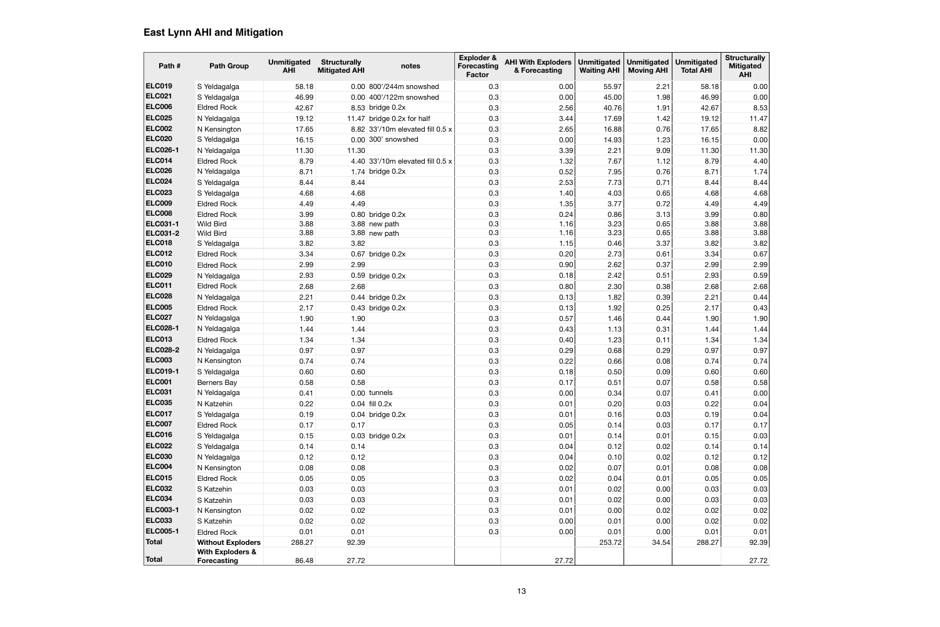| Path #                             | <b>Path Group</b>                                 | <b>Unmitigated</b><br><b>AHI</b> | <b>Structurally</b><br><b>Mitigated AHI</b> | notes                            | Exploder &<br><b>Forecasting</b><br><b>Factor</b> | <b>AHI With Exploders</b><br>& Forecasting | <b>Unmitigated</b><br><b>Waiting AHI</b> | <b>Unmitigated</b><br><b>Moving AHI</b> | <b>Unmitigated</b><br><b>Total AHI</b> | <b>Structurally</b><br><b>Mitigated</b><br><b>AHI</b> |
|------------------------------------|---------------------------------------------------|----------------------------------|---------------------------------------------|----------------------------------|---------------------------------------------------|--------------------------------------------|------------------------------------------|-----------------------------------------|----------------------------------------|-------------------------------------------------------|
| <b>ELC019</b>                      | S Yeldagalga                                      | 58.18                            |                                             | 0.00 800'/244m snowshed          | 0.3                                               | 0.00                                       | 55.97                                    | 2.21                                    | 58.18                                  | 0.00                                                  |
| <b>ELC021</b>                      | S Yeldagalga                                      | 46.99                            | 0.00                                        | 400'/122m snowshed               | 0.3                                               | 0.00                                       | 45.00                                    | 1.98                                    | 46.99                                  | 0.00                                                  |
| <b>ELC006</b>                      | <b>Eldred Rock</b>                                | 42.67                            |                                             | 8.53 bridge 0.2x                 | 0.3                                               | 2.56                                       | 40.76                                    | 1.91                                    | 42.67                                  | 8.53                                                  |
| <b>ELC025</b>                      | N Yeldagalga                                      | 19.12                            |                                             | 11.47 bridge 0.2x for half       | 0.3                                               | 3.44                                       | 17.69                                    | 1.42                                    | 19.12                                  | 11.47                                                 |
| <b>ELC002</b>                      | N Kensington                                      | 17.65                            |                                             | 8.82 33'/10m elevated fill 0.5 x | 0.3                                               | 2.65                                       | 16.88                                    | 0.76                                    | 17.65                                  | 8.82                                                  |
| <b>ELC020</b>                      | S Yeldagalga                                      | 16.15                            |                                             | 0.00 300' snowshed               | 0.3                                               | 0.00                                       | 14.93                                    | 1.23                                    | 16.15                                  | 0.00                                                  |
| <b>ELC026-1</b>                    | N Yeldagalga                                      | 11.30                            | 11.30                                       |                                  | 0.3                                               | 3.39                                       | 2.21                                     | 9.09                                    | 11.30                                  | 11.30                                                 |
| <b>ELC014</b>                      | <b>Eldred Rock</b>                                | 8.79                             |                                             | 4.40 33'/10m elevated fill 0.5 x | 0.3                                               | 1.32                                       | 7.67                                     | 1.12                                    | 8.79                                   | 4.40                                                  |
| <b>ELC026</b>                      | N Yeldagalga                                      | 8.71                             |                                             | 1.74 bridge $0.2x$               | 0.3                                               | 0.52                                       | 7.95                                     | 0.76                                    | 8.71                                   | 1.74                                                  |
| <b>ELC024</b>                      | S Yeldagalga                                      | 8.44                             | 8.44                                        |                                  | 0.3                                               | 2.53                                       | 7.73                                     | 0.71                                    | 8.44                                   | 8.44                                                  |
| <b>ELC023</b>                      | S Yeldagalga                                      | 4.68                             | 4.68                                        |                                  | 0.3                                               | 1.40                                       | 4.03                                     | 0.65                                    | 4.68                                   | 4.68                                                  |
| <b>ELC009</b>                      | <b>Eldred Rock</b>                                | 4.49                             | 4.49                                        |                                  | 0.3                                               | 1.35                                       | 3.77                                     | 0.72                                    | 4.49                                   | 4.49                                                  |
| <b>ELC008</b>                      | <b>Eldred Rock</b>                                | 3.99                             |                                             | $0.80$ bridge $0.2x$             | 0.3                                               | 0.24                                       | 0.86                                     | 3.13                                    | 3.99                                   | 0.80                                                  |
| <b>ELC031-1</b><br><b>ELC031-2</b> | <b>Wild Bird</b><br><b>Wild Bird</b>              | 3.88<br>3.88                     |                                             | 3.88 new path<br>3.88 new path   | 0.3<br>0.3                                        | 1.16<br>1.16                               | 3.23<br>3.23                             | 0.65<br>0.65                            | 3.88<br>3.88                           | 3.88<br>3.88                                          |
| <b>ELC018</b>                      | S Yeldagalga                                      | 3.82                             | 3.82                                        |                                  | 0.3                                               | 1.15                                       | 0.46                                     | 3.37                                    | 3.82                                   | 3.82                                                  |
| <b>ELC012</b>                      | <b>Eldred Rock</b>                                | 3.34                             |                                             | $0.67$ bridge $0.2x$             | 0.3                                               | 0.20                                       | 2.73                                     | 0.61                                    | 3.34                                   | 0.67                                                  |
| <b>ELC010</b>                      | <b>Eldred Rock</b>                                | 2.99                             | 2.99                                        |                                  | 0.3                                               | 0.90                                       | 2.62                                     | 0.37                                    | 2.99                                   | 2.99                                                  |
| <b>ELC029</b>                      | N Yeldagalga                                      | 2.93                             |                                             | $0.59$ bridge $0.2x$             | 0.3                                               | 0.18                                       | 2.42                                     | 0.51                                    | 2.93                                   | 0.59                                                  |
| ELC011                             | <b>Eldred Rock</b>                                | 2.68                             | 2.68                                        |                                  | 0.3                                               | 0.80                                       | 2.30                                     | 0.38                                    | 2.68                                   | 2.68                                                  |
| <b>ELC028</b>                      | N Yeldagalga                                      | 2.21                             |                                             | $0.44$ bridge $0.2x$             | 0.3                                               | 0.13                                       | 1.82                                     | 0.39                                    | 2.21                                   | 0.44                                                  |
| <b>ELC005</b>                      | <b>Eldred Rock</b>                                | 2.17                             |                                             | $0.43$ bridge $0.2x$             | 0.3                                               | 0.13                                       | 1.92                                     | 0.25                                    | 2.17                                   | 0.43                                                  |
| <b>ELC027</b>                      | N Yeldagalga                                      | 1.90                             | 1.90                                        |                                  | 0.3                                               | 0.57                                       | 1.46                                     | 0.44                                    | 1.90                                   | 1.90                                                  |
| <b>ELC028-1</b>                    | N Yeldagalga                                      | 1.44                             | 1.44                                        |                                  | 0.3                                               | 0.43                                       | 1.13                                     | 0.31                                    | 1.44                                   | 1.44                                                  |
| <b>ELC013</b>                      | <b>Eldred Rock</b>                                | 1.34                             | 1.34                                        |                                  | 0.3                                               | 0.40                                       | 1.23                                     | 0.11                                    | 1.34                                   | 1.34                                                  |
| <b>ELC028-2</b>                    | N Yeldagalga                                      | 0.97                             | 0.97                                        |                                  | 0.3                                               | 0.29                                       | 0.68                                     | 0.29                                    | 0.97                                   | 0.97                                                  |
| <b>ELC003</b>                      | N Kensington                                      | 0.74                             | 0.74                                        |                                  | 0.3                                               | 0.22                                       | 0.66                                     | 0.08                                    | 0.74                                   | 0.74                                                  |
| <b>ELC019-1</b>                    | S Yeldagalga                                      | 0.60                             | 0.60                                        |                                  | 0.3                                               | 0.18                                       | 0.50                                     | 0.09                                    | 0.60                                   | 0.60                                                  |
| ELC001                             | Berners Bay                                       | 0.58                             | 0.58                                        |                                  | 0.3                                               | 0.17                                       | 0.51                                     | 0.07                                    | 0.58                                   | 0.58                                                  |
| <b>ELC031</b>                      | N Yeldagalga                                      | 0.41                             |                                             | $0.00$ tunnels                   | 0.3                                               | 0.00                                       | 0.34                                     | 0.07                                    | 0.41                                   | 0.00                                                  |
| <b>ELC035</b>                      | N Katzehin                                        | 0.22                             |                                             | $0.04$ fill $0.2x$               | 0.3                                               | 0.01                                       | 0.20                                     | 0.03                                    | 0.22                                   | 0.04                                                  |
| <b>ELC017</b>                      | S Yeldagalga                                      | 0.19                             |                                             | $0.04$ bridge $0.2x$             | 0.3                                               | 0.01                                       | 0.16                                     | 0.03                                    | 0.19                                   | 0.04                                                  |
| <b>ELC007</b>                      | <b>Eldred Rock</b>                                | 0.17                             | 0.17                                        |                                  | 0.3                                               | 0.05                                       | 0.14                                     | 0.03                                    | 0.17                                   | 0.17                                                  |
| <b>ELC016</b>                      | S Yeldagalga                                      | 0.15                             |                                             | $0.03$ bridge $0.2x$             | 0.3                                               | 0.01                                       | 0.14                                     | 0.01                                    | 0.15                                   | 0.03                                                  |
| ELC022                             | S Yeldagalga                                      | 0.14                             | 0.14                                        |                                  | 0.3                                               | 0.04                                       | 0.12                                     | 0.02                                    | 0.14                                   | 0.14                                                  |
| <b>ELC030</b>                      | N Yeldagalga                                      | 0.12                             | 0.12                                        |                                  | 0.3                                               | 0.04                                       | 0.10                                     | 0.02                                    | 0.12                                   | 0.12                                                  |
| ELC004                             | N Kensington                                      | 0.08                             | 0.08                                        |                                  | 0.3                                               | 0.02                                       | 0.07                                     | 0.01                                    | 0.08                                   | 0.08                                                  |
| <b>ELC015</b>                      | <b>Eldred Rock</b>                                | 0.05                             | 0.05                                        |                                  | 0.3                                               | 0.02                                       | 0.04                                     | 0.01                                    | 0.05                                   | 0.05                                                  |
| <b>ELC032</b>                      | S Katzehin                                        | 0.03                             | 0.03                                        |                                  | 0.3                                               | 0.01                                       | 0.02                                     | 0.00                                    | 0.03                                   | 0.03                                                  |
| ELC034                             | S Katzehin                                        | 0.03                             | 0.03                                        |                                  | 0.3                                               | 0.01                                       | 0.02                                     | 0.00                                    | 0.03                                   | 0.03                                                  |
| <b>ELC003-1</b>                    | N Kensington                                      | 0.02                             | 0.02                                        |                                  | 0.3                                               | 0.01                                       | 0.00                                     | 0.02                                    | 0.02                                   | 0.02                                                  |
| <b>ELC033</b>                      | S Katzehin                                        | 0.02                             | 0.02                                        |                                  | 0.3                                               | 0.00                                       | 0.01                                     | 0.00                                    | 0.02                                   | 0.02                                                  |
| <b>ELC005-1</b>                    | <b>Eldred Rock</b>                                | 0.01                             | 0.01                                        |                                  | 0.3                                               | 0.00                                       | 0.01                                     | 0.00                                    | 0.01                                   | 0.01                                                  |
| Total                              | <b>Without Exploders</b>                          | 288.27                           | 92.39                                       |                                  |                                                   |                                            | 253.72                                   | 34.54                                   | 288.27                                 | 92.39                                                 |
| Total                              | <b>With Exploders &amp;</b><br><b>Forecasting</b> | 86.48                            | 27.72                                       |                                  |                                                   | 27.72                                      |                                          |                                         |                                        | 27.72                                                 |

# **East Lynn AHI and Mitigation**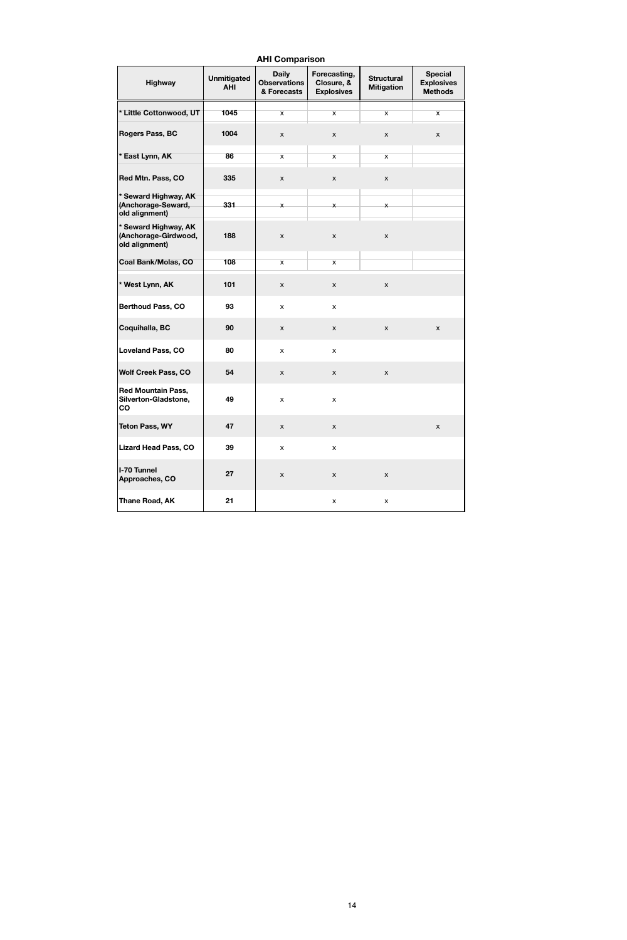|                                                                |                                  | <b>AHI Comparison</b>                              |                                                 |                                        |                                                       |
|----------------------------------------------------------------|----------------------------------|----------------------------------------------------|-------------------------------------------------|----------------------------------------|-------------------------------------------------------|
| <b>Highway</b>                                                 | <b>Unmitigated</b><br><b>AHI</b> | <b>Daily</b><br><b>Observations</b><br>& Forecasts | Forecasting,<br>Closure, &<br><b>Explosives</b> | <b>Structural</b><br><b>Mitigation</b> | <b>Special</b><br><b>Explosives</b><br><b>Methods</b> |
| * Little Cottonwood, UT                                        | 1045                             | $\overline{\mathsf{x}}$                            | $\overline{\mathsf{x}}$                         | $\overline{\mathsf{x}}$                | $\overline{\mathsf{x}}$                               |
| <b>Rogers Pass, BC</b>                                         | 1004                             | $\pmb{\mathsf{X}}$                                 | $\boldsymbol{\mathsf{X}}$                       | X                                      | $\boldsymbol{\mathsf{X}}$                             |
| * East Lynn, AK                                                | 86                               | $\mathsf{x}$                                       | $\overline{\mathsf{x}}$                         | $\mathsf X$                            |                                                       |
| Red Mtn. Pass, CO                                              | 335                              | $\pmb{\mathsf{X}}$                                 | $\boldsymbol{\mathsf{X}}$                       | $\pmb{\mathsf{X}}$                     |                                                       |
| * Seward Highway, AK<br>(Anchorage-Seward,<br>old alignment)   | 331                              | $\times$                                           | $\mathsf{x}$                                    | $\times$                               |                                                       |
| * Seward Highway, AK<br>(Anchorage-Girdwood,<br>old alignment) | 188                              | $\mathsf{x}$                                       | X                                               | $\mathsf{x}$                           |                                                       |
| <b>Coal Bank/Molas, CO</b>                                     | 108                              | $\overline{\mathbf{x}}$                            | $\overline{\mathsf{x}}$                         |                                        |                                                       |
| * West Lynn, AK                                                | 101                              | $\boldsymbol{\mathsf{X}}$                          | $\boldsymbol{\mathsf{X}}$                       | X                                      |                                                       |
| <b>Berthoud Pass, CO</b>                                       | 93                               | $\pmb{\mathsf{X}}$                                 | X                                               |                                        |                                                       |
| Coquihalla, BC                                                 | 90                               | $\boldsymbol{\mathsf{X}}$                          | $\boldsymbol{\mathsf{X}}$                       | $\pmb{\mathsf{X}}$                     | $\boldsymbol{\mathsf{X}}$                             |
| <b>Loveland Pass, CO</b>                                       | 80                               | X                                                  | X                                               |                                        |                                                       |
| <b>Wolf Creek Pass, CO</b>                                     | 54                               | $\mathsf{x}$                                       | X                                               | X                                      |                                                       |
| <b>Red Mountain Pass,</b><br>Silverton-Gladstone,<br>co        | 49                               | $\pmb{\mathsf{X}}$                                 | X                                               |                                        |                                                       |
| <b>Teton Pass, WY</b>                                          | 47                               | $\pmb{\mathsf{X}}$                                 | $\mathsf X$                                     |                                        | $\boldsymbol{\mathsf{X}}$                             |
| <b>Lizard Head Pass, CO</b>                                    | 39                               | $\pmb{\mathsf{X}}$                                 | $\pmb{\mathsf{X}}$                              |                                        |                                                       |
| <b>I-70 Tunnel</b><br>Approaches, CO                           | 27                               | $\pmb{\mathsf{X}}$                                 | $\mathsf X$                                     | X                                      |                                                       |
| Thane Road, AK                                                 | 21                               |                                                    | X                                               | X                                      |                                                       |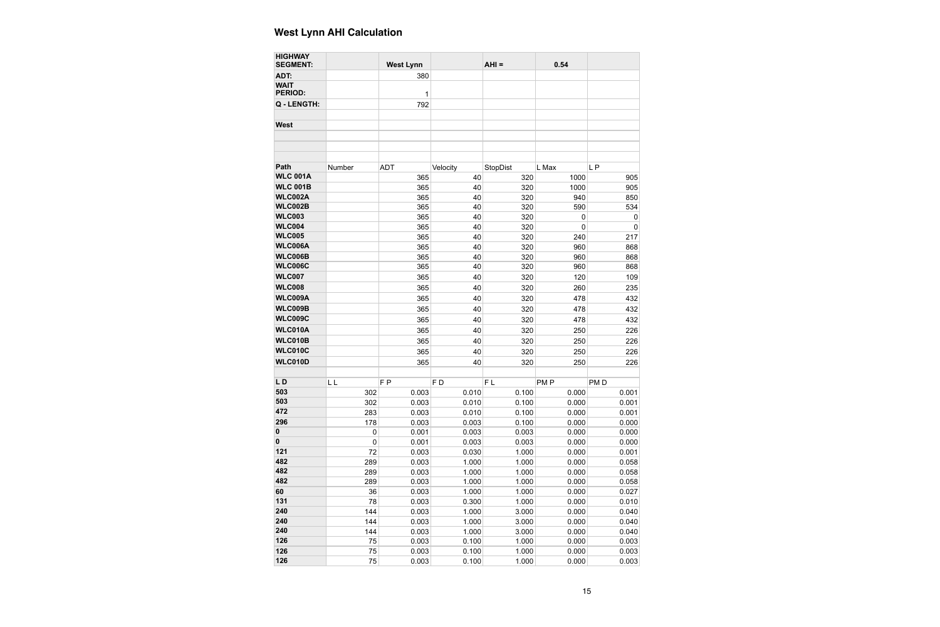| 380<br>1<br>792<br>L P<br>Number<br><b>ADT</b><br>Velocity<br>StopDist<br>L Max<br>365<br>40<br>320<br>1000<br>365<br>40<br>1000<br>320<br>365<br>40<br>320<br>940<br>365<br>40<br>320<br>590<br>365<br>40<br>320<br>0<br>365<br>40<br>320<br>0<br>365<br>40<br>320<br>240<br>365<br>40<br>320<br>960<br>365<br>320<br>40<br>960<br>365<br>40<br>320<br>960<br>365<br>40<br>320<br>120<br>365<br>40<br>320<br>260<br>365<br>432<br>40<br>320<br>478<br>WLC009B<br>432<br>365<br>40<br>320<br>478<br><b>WLC009C</b><br>365<br>40<br>320<br>478<br>432<br>WLC010A<br>226<br>365<br>40<br>320<br>250<br>WLC010B<br>365<br>40<br>320<br>250<br>226<br>WLC010C<br>365<br>320<br>226<br>40<br>250<br>WLC010D<br>365<br>320<br>250<br>226<br>40<br>LL<br>F <sub>P</sub><br>F <sub>D</sub><br>FL<br>PM <sub>P</sub><br>PM <sub>D</sub><br>302<br>0.003<br>0.100<br>0.010<br>0.000<br>302<br>0.003<br>0.010<br>0.100<br>0.000<br>283<br>0.003<br>0.000<br>0.010<br>0.100<br>178<br>0.003<br>0.000<br>0.003<br>0.100<br>0.001<br>0.000<br>$\pmb{0}$<br>0.003<br>0.003<br>$\pmb{0}$<br>0.001<br>0.003<br>0.000<br>0.003<br>0.003<br>0.030<br>0.000<br>72<br>1.000<br>0.003<br>0.000<br>289<br>1.000<br>1.000<br>289<br>0.003<br>1.000<br>0.000<br>1.000<br>0.003<br>0.000<br>289<br>1.000<br>1.000<br>0.003<br>1.000<br>0.000<br>36<br>1.000<br>0.003<br>0.300<br>0.000<br>78<br>1.000<br>0.003<br>144<br>1.000<br>0.000<br>3.000<br>0.003<br>1.000<br>3.000<br>0.000<br>144<br>0.003<br>144<br>1.000<br>0.000<br>3.000<br>75<br>0.003<br>0.100<br>0.000<br>1.000<br>75<br>0.003<br>0.100<br>1.000<br>0.000<br>0.003<br>0.100<br>0.000<br>75<br>1.000 | <b>HIGHWAY</b><br><b>SEGMENT:</b> | <b>West Lynn</b> | $AHI =$ | 0.54 |                |
|--------------------------------------------------------------------------------------------------------------------------------------------------------------------------------------------------------------------------------------------------------------------------------------------------------------------------------------------------------------------------------------------------------------------------------------------------------------------------------------------------------------------------------------------------------------------------------------------------------------------------------------------------------------------------------------------------------------------------------------------------------------------------------------------------------------------------------------------------------------------------------------------------------------------------------------------------------------------------------------------------------------------------------------------------------------------------------------------------------------------------------------------------------------------------------------------------------------------------------------------------------------------------------------------------------------------------------------------------------------------------------------------------------------------------------------------------------------------------------------------------------------------------------------------------------------------------------------------------------------------------------------------|-----------------------------------|------------------|---------|------|----------------|
|                                                                                                                                                                                                                                                                                                                                                                                                                                                                                                                                                                                                                                                                                                                                                                                                                                                                                                                                                                                                                                                                                                                                                                                                                                                                                                                                                                                                                                                                                                                                                                                                                                            | ADT:                              |                  |         |      |                |
|                                                                                                                                                                                                                                                                                                                                                                                                                                                                                                                                                                                                                                                                                                                                                                                                                                                                                                                                                                                                                                                                                                                                                                                                                                                                                                                                                                                                                                                                                                                                                                                                                                            | <b>WAIT</b><br><b>PERIOD:</b>     |                  |         |      |                |
|                                                                                                                                                                                                                                                                                                                                                                                                                                                                                                                                                                                                                                                                                                                                                                                                                                                                                                                                                                                                                                                                                                                                                                                                                                                                                                                                                                                                                                                                                                                                                                                                                                            | Q - LENGTH:                       |                  |         |      |                |
|                                                                                                                                                                                                                                                                                                                                                                                                                                                                                                                                                                                                                                                                                                                                                                                                                                                                                                                                                                                                                                                                                                                                                                                                                                                                                                                                                                                                                                                                                                                                                                                                                                            | <b>West</b>                       |                  |         |      |                |
|                                                                                                                                                                                                                                                                                                                                                                                                                                                                                                                                                                                                                                                                                                                                                                                                                                                                                                                                                                                                                                                                                                                                                                                                                                                                                                                                                                                                                                                                                                                                                                                                                                            |                                   |                  |         |      |                |
|                                                                                                                                                                                                                                                                                                                                                                                                                                                                                                                                                                                                                                                                                                                                                                                                                                                                                                                                                                                                                                                                                                                                                                                                                                                                                                                                                                                                                                                                                                                                                                                                                                            | Path                              |                  |         |      |                |
|                                                                                                                                                                                                                                                                                                                                                                                                                                                                                                                                                                                                                                                                                                                                                                                                                                                                                                                                                                                                                                                                                                                                                                                                                                                                                                                                                                                                                                                                                                                                                                                                                                            | <b>WLC 001A</b>                   |                  |         |      | 905            |
|                                                                                                                                                                                                                                                                                                                                                                                                                                                                                                                                                                                                                                                                                                                                                                                                                                                                                                                                                                                                                                                                                                                                                                                                                                                                                                                                                                                                                                                                                                                                                                                                                                            | <b>WLC 001B</b>                   |                  |         |      | 905            |
|                                                                                                                                                                                                                                                                                                                                                                                                                                                                                                                                                                                                                                                                                                                                                                                                                                                                                                                                                                                                                                                                                                                                                                                                                                                                                                                                                                                                                                                                                                                                                                                                                                            | <b>WLC002A</b>                    |                  |         |      | 850            |
|                                                                                                                                                                                                                                                                                                                                                                                                                                                                                                                                                                                                                                                                                                                                                                                                                                                                                                                                                                                                                                                                                                                                                                                                                                                                                                                                                                                                                                                                                                                                                                                                                                            | <b>WLC002B</b>                    |                  |         |      | 534            |
|                                                                                                                                                                                                                                                                                                                                                                                                                                                                                                                                                                                                                                                                                                                                                                                                                                                                                                                                                                                                                                                                                                                                                                                                                                                                                                                                                                                                                                                                                                                                                                                                                                            | <b>WLC003</b>                     |                  |         |      | $\mathbf 0$    |
|                                                                                                                                                                                                                                                                                                                                                                                                                                                                                                                                                                                                                                                                                                                                                                                                                                                                                                                                                                                                                                                                                                                                                                                                                                                                                                                                                                                                                                                                                                                                                                                                                                            | <b>WLC004</b>                     |                  |         |      | $\overline{0}$ |
|                                                                                                                                                                                                                                                                                                                                                                                                                                                                                                                                                                                                                                                                                                                                                                                                                                                                                                                                                                                                                                                                                                                                                                                                                                                                                                                                                                                                                                                                                                                                                                                                                                            | <b>WLC005</b>                     |                  |         |      | 217            |
|                                                                                                                                                                                                                                                                                                                                                                                                                                                                                                                                                                                                                                                                                                                                                                                                                                                                                                                                                                                                                                                                                                                                                                                                                                                                                                                                                                                                                                                                                                                                                                                                                                            | <b>WLC006A</b>                    |                  |         |      | 868            |
|                                                                                                                                                                                                                                                                                                                                                                                                                                                                                                                                                                                                                                                                                                                                                                                                                                                                                                                                                                                                                                                                                                                                                                                                                                                                                                                                                                                                                                                                                                                                                                                                                                            | <b>WLC006B</b>                    |                  |         |      | 868            |
|                                                                                                                                                                                                                                                                                                                                                                                                                                                                                                                                                                                                                                                                                                                                                                                                                                                                                                                                                                                                                                                                                                                                                                                                                                                                                                                                                                                                                                                                                                                                                                                                                                            | <b>WLC006C</b>                    |                  |         |      | 868            |
|                                                                                                                                                                                                                                                                                                                                                                                                                                                                                                                                                                                                                                                                                                                                                                                                                                                                                                                                                                                                                                                                                                                                                                                                                                                                                                                                                                                                                                                                                                                                                                                                                                            | <b>WLC007</b>                     |                  |         |      | 109            |
|                                                                                                                                                                                                                                                                                                                                                                                                                                                                                                                                                                                                                                                                                                                                                                                                                                                                                                                                                                                                                                                                                                                                                                                                                                                                                                                                                                                                                                                                                                                                                                                                                                            | <b>WLC008</b>                     |                  |         |      | 235            |
|                                                                                                                                                                                                                                                                                                                                                                                                                                                                                                                                                                                                                                                                                                                                                                                                                                                                                                                                                                                                                                                                                                                                                                                                                                                                                                                                                                                                                                                                                                                                                                                                                                            | <b>WLC009A</b>                    |                  |         |      |                |
|                                                                                                                                                                                                                                                                                                                                                                                                                                                                                                                                                                                                                                                                                                                                                                                                                                                                                                                                                                                                                                                                                                                                                                                                                                                                                                                                                                                                                                                                                                                                                                                                                                            |                                   |                  |         |      |                |
|                                                                                                                                                                                                                                                                                                                                                                                                                                                                                                                                                                                                                                                                                                                                                                                                                                                                                                                                                                                                                                                                                                                                                                                                                                                                                                                                                                                                                                                                                                                                                                                                                                            |                                   |                  |         |      |                |
|                                                                                                                                                                                                                                                                                                                                                                                                                                                                                                                                                                                                                                                                                                                                                                                                                                                                                                                                                                                                                                                                                                                                                                                                                                                                                                                                                                                                                                                                                                                                                                                                                                            |                                   |                  |         |      |                |
|                                                                                                                                                                                                                                                                                                                                                                                                                                                                                                                                                                                                                                                                                                                                                                                                                                                                                                                                                                                                                                                                                                                                                                                                                                                                                                                                                                                                                                                                                                                                                                                                                                            |                                   |                  |         |      |                |
|                                                                                                                                                                                                                                                                                                                                                                                                                                                                                                                                                                                                                                                                                                                                                                                                                                                                                                                                                                                                                                                                                                                                                                                                                                                                                                                                                                                                                                                                                                                                                                                                                                            |                                   |                  |         |      |                |
|                                                                                                                                                                                                                                                                                                                                                                                                                                                                                                                                                                                                                                                                                                                                                                                                                                                                                                                                                                                                                                                                                                                                                                                                                                                                                                                                                                                                                                                                                                                                                                                                                                            |                                   |                  |         |      |                |
|                                                                                                                                                                                                                                                                                                                                                                                                                                                                                                                                                                                                                                                                                                                                                                                                                                                                                                                                                                                                                                                                                                                                                                                                                                                                                                                                                                                                                                                                                                                                                                                                                                            |                                   |                  |         |      |                |
|                                                                                                                                                                                                                                                                                                                                                                                                                                                                                                                                                                                                                                                                                                                                                                                                                                                                                                                                                                                                                                                                                                                                                                                                                                                                                                                                                                                                                                                                                                                                                                                                                                            | LD                                |                  |         |      |                |
|                                                                                                                                                                                                                                                                                                                                                                                                                                                                                                                                                                                                                                                                                                                                                                                                                                                                                                                                                                                                                                                                                                                                                                                                                                                                                                                                                                                                                                                                                                                                                                                                                                            | 503                               |                  |         |      | 0.001          |
|                                                                                                                                                                                                                                                                                                                                                                                                                                                                                                                                                                                                                                                                                                                                                                                                                                                                                                                                                                                                                                                                                                                                                                                                                                                                                                                                                                                                                                                                                                                                                                                                                                            | 503                               |                  |         |      | 0.001          |
|                                                                                                                                                                                                                                                                                                                                                                                                                                                                                                                                                                                                                                                                                                                                                                                                                                                                                                                                                                                                                                                                                                                                                                                                                                                                                                                                                                                                                                                                                                                                                                                                                                            | 472                               |                  |         |      | 0.001          |
|                                                                                                                                                                                                                                                                                                                                                                                                                                                                                                                                                                                                                                                                                                                                                                                                                                                                                                                                                                                                                                                                                                                                                                                                                                                                                                                                                                                                                                                                                                                                                                                                                                            | 296                               |                  |         |      | 0.000          |
|                                                                                                                                                                                                                                                                                                                                                                                                                                                                                                                                                                                                                                                                                                                                                                                                                                                                                                                                                                                                                                                                                                                                                                                                                                                                                                                                                                                                                                                                                                                                                                                                                                            | $\pmb{0}$                         |                  |         |      | 0.000          |
|                                                                                                                                                                                                                                                                                                                                                                                                                                                                                                                                                                                                                                                                                                                                                                                                                                                                                                                                                                                                                                                                                                                                                                                                                                                                                                                                                                                                                                                                                                                                                                                                                                            | $\mathbf 0$                       |                  |         |      | 0.000          |
|                                                                                                                                                                                                                                                                                                                                                                                                                                                                                                                                                                                                                                                                                                                                                                                                                                                                                                                                                                                                                                                                                                                                                                                                                                                                                                                                                                                                                                                                                                                                                                                                                                            | 121                               |                  |         |      | 0.001          |
|                                                                                                                                                                                                                                                                                                                                                                                                                                                                                                                                                                                                                                                                                                                                                                                                                                                                                                                                                                                                                                                                                                                                                                                                                                                                                                                                                                                                                                                                                                                                                                                                                                            | 482                               |                  |         |      | 0.058          |
|                                                                                                                                                                                                                                                                                                                                                                                                                                                                                                                                                                                                                                                                                                                                                                                                                                                                                                                                                                                                                                                                                                                                                                                                                                                                                                                                                                                                                                                                                                                                                                                                                                            | 482                               |                  |         |      | 0.058          |
|                                                                                                                                                                                                                                                                                                                                                                                                                                                                                                                                                                                                                                                                                                                                                                                                                                                                                                                                                                                                                                                                                                                                                                                                                                                                                                                                                                                                                                                                                                                                                                                                                                            | 482                               |                  |         |      | 0.058          |
|                                                                                                                                                                                                                                                                                                                                                                                                                                                                                                                                                                                                                                                                                                                                                                                                                                                                                                                                                                                                                                                                                                                                                                                                                                                                                                                                                                                                                                                                                                                                                                                                                                            | 60                                |                  |         |      | 0.027          |
|                                                                                                                                                                                                                                                                                                                                                                                                                                                                                                                                                                                                                                                                                                                                                                                                                                                                                                                                                                                                                                                                                                                                                                                                                                                                                                                                                                                                                                                                                                                                                                                                                                            | 131                               |                  |         |      | 0.010          |
|                                                                                                                                                                                                                                                                                                                                                                                                                                                                                                                                                                                                                                                                                                                                                                                                                                                                                                                                                                                                                                                                                                                                                                                                                                                                                                                                                                                                                                                                                                                                                                                                                                            | 240                               |                  |         |      | 0.040          |
|                                                                                                                                                                                                                                                                                                                                                                                                                                                                                                                                                                                                                                                                                                                                                                                                                                                                                                                                                                                                                                                                                                                                                                                                                                                                                                                                                                                                                                                                                                                                                                                                                                            | 240                               |                  |         |      | 0.040          |
|                                                                                                                                                                                                                                                                                                                                                                                                                                                                                                                                                                                                                                                                                                                                                                                                                                                                                                                                                                                                                                                                                                                                                                                                                                                                                                                                                                                                                                                                                                                                                                                                                                            | 240                               |                  |         |      | 0.040          |
|                                                                                                                                                                                                                                                                                                                                                                                                                                                                                                                                                                                                                                                                                                                                                                                                                                                                                                                                                                                                                                                                                                                                                                                                                                                                                                                                                                                                                                                                                                                                                                                                                                            | 126                               |                  |         |      | 0.003          |
|                                                                                                                                                                                                                                                                                                                                                                                                                                                                                                                                                                                                                                                                                                                                                                                                                                                                                                                                                                                                                                                                                                                                                                                                                                                                                                                                                                                                                                                                                                                                                                                                                                            | 126                               |                  |         |      | 0.003          |
|                                                                                                                                                                                                                                                                                                                                                                                                                                                                                                                                                                                                                                                                                                                                                                                                                                                                                                                                                                                                                                                                                                                                                                                                                                                                                                                                                                                                                                                                                                                                                                                                                                            | 126                               |                  |         |      | 0.003          |

# **West Lynn AHI Calculation**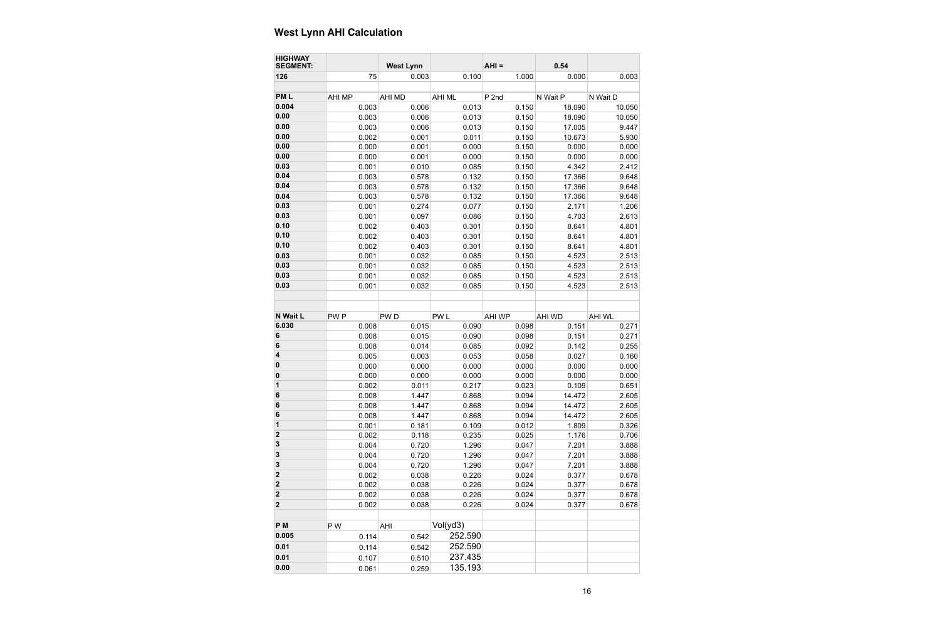| <b>HIGHWAY</b><br><b>SEGMENT:</b> |                 | <b>West Lynn</b> |                 | $AHI =$ | 0.54          |               |
|-----------------------------------|-----------------|------------------|-----------------|---------|---------------|---------------|
| 126                               | 75              | 0.003            | 0.100           | 1.000   | 0.000         | 0.003         |
|                                   |                 |                  |                 |         |               |               |
| PM <sub>L</sub>                   | <b>AHI MP</b>   | <b>AHI MD</b>    | <b>AHI ML</b>   | P 2nd   | N Wait P      | N Wait D      |
| 0.004                             | 0.003           | 0.006            | 0.013           | 0.150   | 18.090        | 10.050        |
| 0.00                              | 0.003           | 0.006            | 0.013           | 0.150   | 18.090        | 10.050        |
| 0.00                              | 0.003           | 0.006            | 0.013           | 0.150   | 17.005        | 9.447         |
| 0.00                              | 0.002           | 0.001            | 0.011           | 0.150   | 10.673        | 5.930         |
| 0.00                              | 0.000           | 0.001            | 0.000           | 0.150   | 0.000         | 0.000         |
| 0.00                              | 0.000           | 0.001            | 0.000           | 0.150   | 0.000         | 0.000         |
| 0.03                              | 0.001           | 0.010            | 0.085           | 0.150   | 4.342         | 2.412         |
| 0.04                              | 0.003           | 0.578            | 0.132           | 0.150   | 17.366        | 9.648         |
| 0.04                              | 0.003           | 0.578            | 0.132           | 0.150   | 17.366        | 9.648         |
| 0.04                              | 0.003           | 0.578            | 0.132           | 0.150   | 17.366        | 9.648         |
| 0.03                              | 0.001           | 0.274            | 0.077           | 0.150   | 2.171         | 1.206         |
| 0.03                              | 0.001           | 0.097            | 0.086           | 0.150   | 4.703         | 2.613         |
| 0.10                              | 0.002           | 0.403            | 0.301           | 0.150   | 8.641         | 4.801         |
| 0.10                              | 0.002           | 0.403            | 0.301           | 0.150   | 8.641         | 4.801         |
| 0.10                              | 0.002           | 0.403            | 0.301           | 0.150   | 8.641         | 4.801         |
| 0.03                              | 0.001           | 0.032            | 0.085           | 0.150   | 4.523         | 2.513         |
| 0.03                              | 0.001           | 0.032            | 0.085           | 0.150   | 4.523         | 2.513         |
| 0.03                              | 0.001           | 0.032            | 0.085           | 0.150   | 4.523         | 2.513         |
| 0.03                              | 0.001           | 0.032            | 0.085           | 0.150   | 4.523         | 2.513         |
|                                   |                 |                  |                 |         |               |               |
| N Wait L                          | PW <sub>P</sub> | PW <sub>D</sub>  | PW <sub>L</sub> | AHI WP  | <b>AHI WD</b> | <b>AHI WL</b> |
| 6.030                             | 0.008           | 0.015            | 0.090           | 0.098   | 0.151         | 0.271         |
| 6                                 | 0.008           | 0.015            | 0.090           | 0.098   | 0.151         | 0.271         |
| 6                                 | 0.008           | 0.014            | 0.085           | 0.092   | 0.142         | 0.255         |
| 4                                 | 0.005           | 0.003            | 0.053           | 0.058   | 0.027         | 0.160         |
| 0                                 | 0.000           | 0.000            | 0.000           | 0.000   | 0.000         | 0.000         |
| 0                                 | 0.000           | 0.000            | 0.000           | 0.000   | 0.000         | 0.000         |
| 1                                 | 0.002           | 0.011            | 0.217           | 0.023   | 0.109         | 0.651         |
| 6                                 | 0.008           | 1.447            | 0.868           | 0.094   | 14.472        | 2.605         |
| 6                                 | 0.008           | 1.447            | 0.868           | 0.094   | 14.472        | 2.605         |
| 6                                 | 0.008           | 1.447            | 0.868           | 0.094   | 14.472        | 2.605         |
| 1                                 | 0.001           | 0.181            | 0.109           | 0.012   | 1.809         | 0.326         |
| $\overline{\mathbf{c}}$           | 0.002           | 0.118            | 0.235           | 0.025   | 1.176         | 0.706         |
| 3                                 | 0.004           | 0.720            | 1.296           | 0.047   | 7.201         | 3.888         |
| 3                                 | 0.004           | 0.720            | 1.296           | 0.047   | 7.201         | 3.888         |
| 3                                 | 0.004           | 0.720            | 1.296           | 0.047   | 7.201         | 3.888         |
| 2                                 | 0.002           | 0.038            | 0.226           | 0.024   | 0.377         | 0.678         |
| $\overline{\mathbf{2}}$           | 0.002           | 0.038            | 0.226           | 0.024   | 0.377         | 0.678         |
| 2                                 | 0.002           | 0.038            | 0.226           | 0.024   | 0.377         | 0.678         |
| $\mathbf 2$                       | 0.002           | 0.038            | 0.226           | 0.024   | 0.377         | 0.678         |
| P <sub>M</sub>                    | P W             | AHI              | Vol(yd3)        |         |               |               |
| 0.005                             | 0.114           | 0.542            | 252.590         |         |               |               |
| 0.01                              | 0.114           | 0.542            | 252.590         |         |               |               |
| 0.01                              | 0.107           | 0.510            | 237.435         |         |               |               |
| 0.00                              | 0.061           | 0.259            | 135.193         |         |               |               |
|                                   |                 |                  |                 |         |               |               |

# **West Lynn AHI Calculation**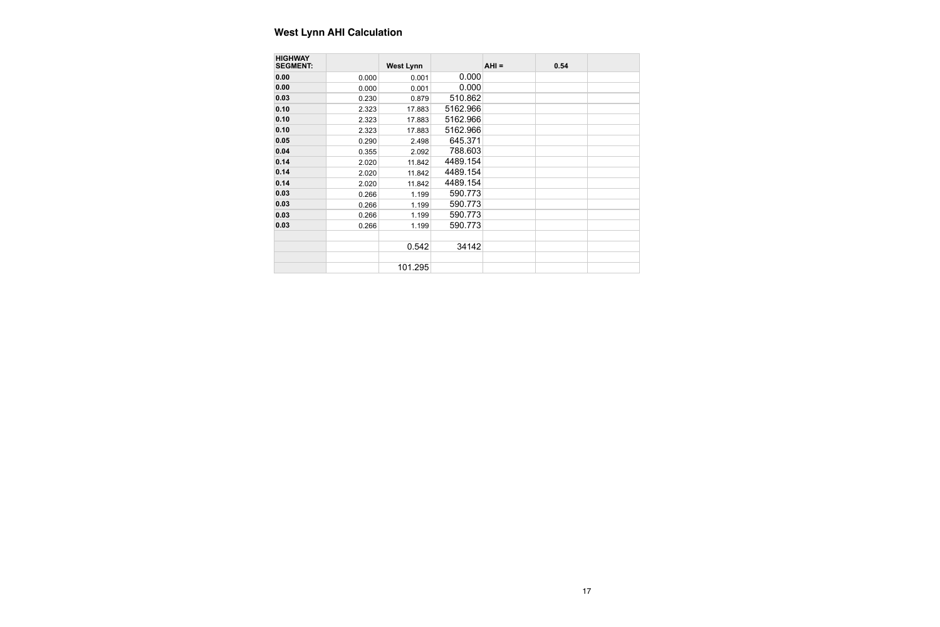| <b>HIGHWAY</b><br><b>SEGMENT:</b> |       | <b>West Lynn</b> |          | $AHI =$ | 0.54 |  |
|-----------------------------------|-------|------------------|----------|---------|------|--|
| 0.00                              | 0.000 | 0.001            | 0.000    |         |      |  |
| 0.00                              | 0.000 | 0.001            | 0.000    |         |      |  |
| 0.03                              | 0.230 | 0.879            | 510.862  |         |      |  |
| 0.10                              | 2.323 | 17.883           | 5162.966 |         |      |  |
| 0.10                              | 2.323 | 17.883           | 5162.966 |         |      |  |
| 0.10                              | 2.323 | 17.883           | 5162.966 |         |      |  |
| 0.05                              | 0.290 | 2.498            | 645.371  |         |      |  |
| 0.04                              | 0.355 | 2.092            | 788.603  |         |      |  |
| 0.14                              | 2.020 | 11.842           | 4489.154 |         |      |  |
| 0.14                              | 2.020 | 11.842           | 4489.154 |         |      |  |
| 0.14                              | 2.020 | 11.842           | 4489.154 |         |      |  |
| 0.03                              | 0.266 | 1.199            | 590.773  |         |      |  |
| 0.03                              | 0.266 | 1.199            | 590.773  |         |      |  |
| 0.03                              | 0.266 | 1.199            | 590.773  |         |      |  |
| 0.03                              | 0.266 | 1.199            | 590.773  |         |      |  |
|                                   |       |                  |          |         |      |  |
|                                   |       | 0.542            | 34142    |         |      |  |
|                                   |       |                  |          |         |      |  |
|                                   |       | 101.295          |          |         |      |  |

# **West Lynn AHI Calculation**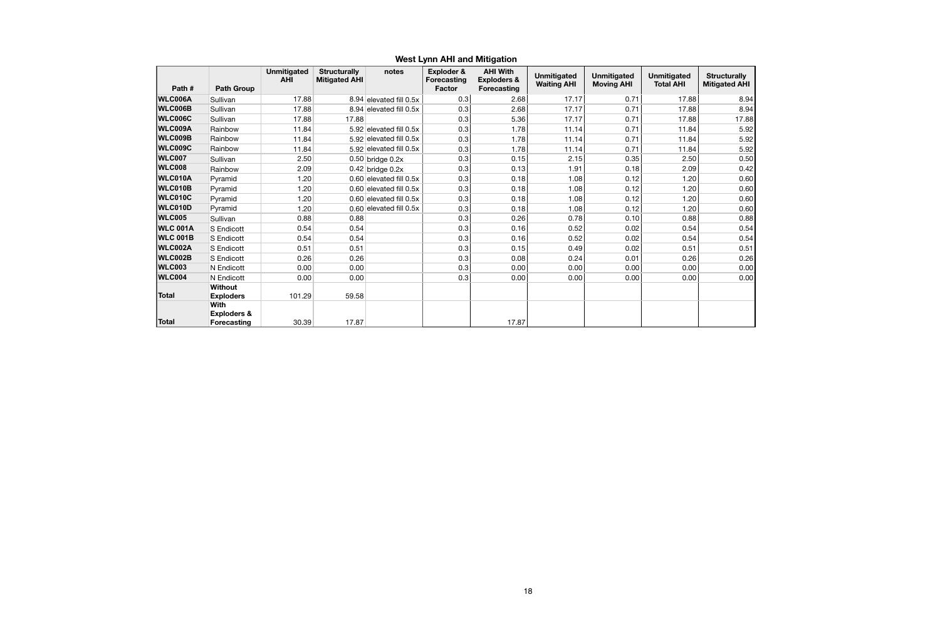#### **West Lynn AHI and Mitigation**

|                 |                                                             | <b>Unmitigated</b> | <b>Structurally</b>  | notes                       | Exploder &                          | <b>AHI With</b>                              | <b>Unmitigated</b> | <b>Unmitigated</b> | <b>Unmitigated</b> | <b>Structurally</b>  |
|-----------------|-------------------------------------------------------------|--------------------|----------------------|-----------------------------|-------------------------------------|----------------------------------------------|--------------------|--------------------|--------------------|----------------------|
| Path #          | <b>Path Group</b>                                           | <b>AHI</b>         | <b>Mitigated AHI</b> |                             | <b>Forecasting</b><br><b>Factor</b> | <b>Exploders &amp;</b><br><b>Forecasting</b> | <b>Waiting AHI</b> | <b>Moving AHI</b>  | <b>Total AHI</b>   | <b>Mitigated AHI</b> |
|                 |                                                             |                    |                      |                             |                                     |                                              |                    |                    |                    |                      |
| <b>WLC006A</b>  | Sullivan                                                    | 17.88              |                      | 8.94 elevated fill 0.5x     | 0.3                                 | 2.68                                         | 17.17              | 0.71               | 17.88              | 8.94                 |
| <b>WLC006B</b>  | Sullivan                                                    | 17.88              |                      | 8.94 elevated fill 0.5x     | 0.3                                 | 2.68                                         | 17.17              | 0.71               | 17.88              | 8.94                 |
| <b>WLC006C</b>  | Sullivan                                                    | 17.88              | 17.88                |                             | 0.3                                 | 5.36                                         | 17.17              | 0.71               | 17.88              | 17.88                |
| WLC009A         | Rainbow                                                     | 11.84              |                      | 5.92 elevated fill 0.5x     | 0.3                                 | 1.78                                         | 11.14              | 0.71               | 11.84              | 5.92                 |
| <b>WLC009B</b>  | Rainbow                                                     | 11.84              |                      | 5.92 elevated fill 0.5x     | 0.3                                 | 1.78                                         | 11.14              | 0.71               | 11.84              | 5.92                 |
| <b>WLC009C</b>  | Rainbow                                                     | 11.84              |                      | 5.92 elevated fill 0.5x     | 0.3                                 | 1.78                                         | 11.14              | 0.71               | 11.84              | 5.92                 |
| <b>WLC007</b>   | Sullivan                                                    | 2.50               |                      | $0.50$ bridge $0.2x$        | 0.3                                 | 0.15                                         | 2.15               | 0.35               | 2.50               | 0.50                 |
| <b>WLC008</b>   | Rainbow                                                     | 2.09               |                      | 0.42 bridge $0.2x$          | 0.3                                 | 0.13                                         | 1.91               | 0.18               | 2.09               | 0.42                 |
| <b>WLC010A</b>  | Pyramid                                                     | 1.20               |                      | $0.60$ elevated fill $0.5x$ | 0.3                                 | 0.18                                         | 1.08               | 0.12               | 1.20               | 0.60                 |
| WLC010B         | Pyramid                                                     | 1.20               |                      | 0.60 elevated fill $0.5x$   | 0.3                                 | 0.18                                         | 1.08               | 0.12               | 1.20               | 0.60                 |
| <b>WLC010C</b>  | Pyramid                                                     | 1.20               |                      | 0.60 elevated fill $0.5x$   | 0.3                                 | 0.18                                         | 1.08               | 0.12               | 1.20               | 0.60                 |
| <b>WLC010D</b>  | Pyramid                                                     | 1.20               |                      | 0.60 elevated fill $0.5x$   | 0.3                                 | 0.18                                         | 1.08               | 0.12               | 1.20               | 0.60                 |
| <b>WLC005</b>   | Sullivan                                                    | 0.88               | 0.88                 |                             | 0.3                                 | 0.26                                         | 0.78               | 0.10               | 0.88               | 0.88                 |
| <b>WLC 001A</b> | S Endicott                                                  | 0.54               | 0.54                 |                             | 0.3                                 | 0.16                                         | 0.52               | 0.02               | 0.54               | 0.54                 |
| <b>WLC 001B</b> | S Endicott                                                  | 0.54               | 0.54                 |                             | 0.3                                 | 0.16                                         | 0.52               | 0.02               | 0.54               | 0.54                 |
| <b>WLC002A</b>  | S Endicott                                                  | 0.51               | 0.51                 |                             | 0.3                                 | 0.15                                         | 0.49               | 0.02               | 0.51               | 0.51                 |
| <b>WLC002B</b>  | S Endicott                                                  | 0.26               | 0.26                 |                             | 0.3                                 | 0.08                                         | 0.24               | 0.01               | 0.26               | 0.26                 |
| <b>WLC003</b>   | N Endicott                                                  | 0.00               | 0.00                 |                             | 0.3                                 | 0.00                                         | 0.00               | 0.00               | 0.00               | 0.00                 |
| <b>WLC004</b>   | N Endicott                                                  | 0.00               | 0.00                 |                             | 0.3                                 | 0.00                                         | 0.00               | 0.00               | 0.00               | 0.00                 |
|                 | <b>Without</b>                                              |                    |                      |                             |                                     |                                              |                    |                    |                    |                      |
| <b>Total</b>    | <b>Exploders</b>                                            | 101.29             | 59.58                |                             |                                     |                                              |                    |                    |                    |                      |
| Total           | <b>With</b><br><b>Exploders &amp;</b><br><b>Forecasting</b> | 30.39              | 17.87                |                             |                                     | 17.87                                        |                    |                    |                    |                      |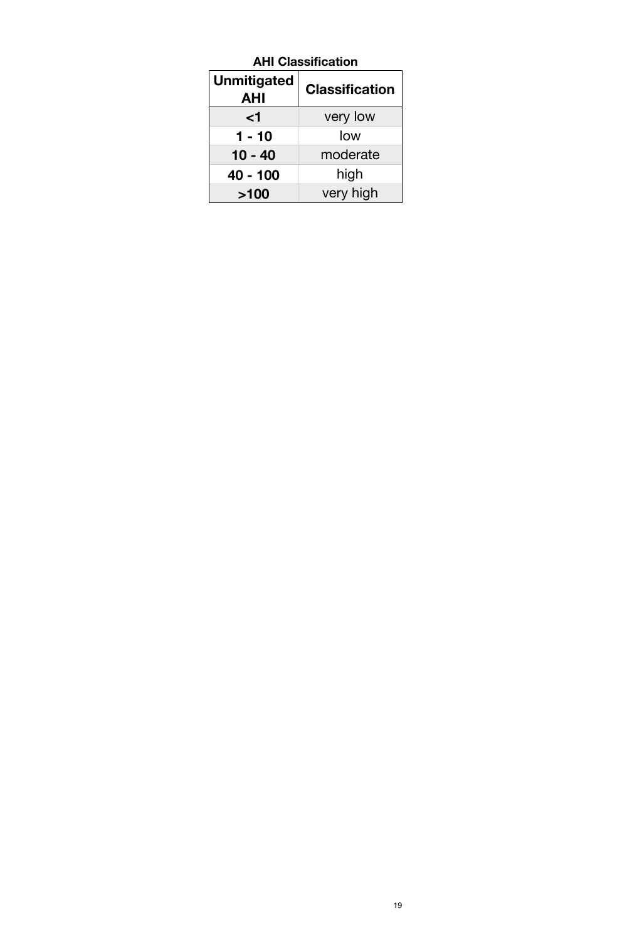| <b>AHI Classification</b>        |                       |  |  |  |
|----------------------------------|-----------------------|--|--|--|
| <b>Unmitigated</b><br><b>AHI</b> | <b>Classification</b> |  |  |  |
| ا>                               | very low              |  |  |  |
| $1 - 10$                         | low                   |  |  |  |
| $10 - 40$                        | moderate              |  |  |  |
| 40 - 100                         | high                  |  |  |  |
| >100                             | very high             |  |  |  |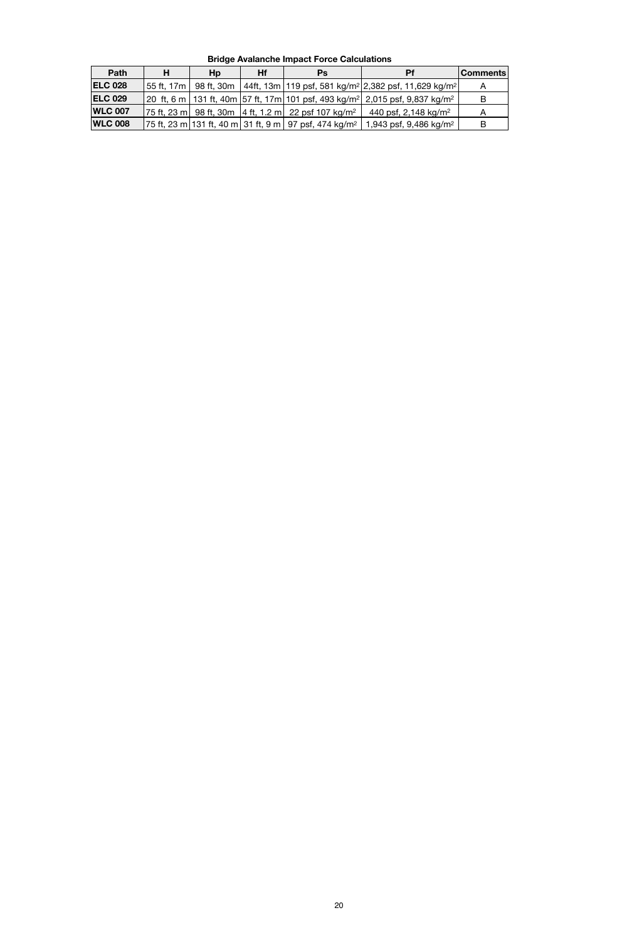| Path           | н          | Hp         | <b>Hf</b> | Ps                                                       | <b>Pf</b>                                                                         | <b>Comments</b> |
|----------------|------------|------------|-----------|----------------------------------------------------------|-----------------------------------------------------------------------------------|-----------------|
| <b>ELC 028</b> | 55 ft. 17m | 98 ft, 30m |           |                                                          | 44ft, 13m   119 psf, 581 kg/m <sup>2</sup>   2,382 psf, 11,629 kg/m <sup>2</sup>  |                 |
| <b>ELC 029</b> |            |            |           |                                                          | 20  ft, 6 m   131 ft, 40m  57 ft, 17m  101 psf, 493 kg/m²  2,015 psf, 9,837 kg/m² | B               |
| <b>WLC 007</b> |            |            |           | 75 ft, 23 m  98 ft, 30m  4 ft, 1.2 m  22 psf 107 kg/m²   | 440 psf, 2,148 kg/m <sup>2</sup>                                                  |                 |
| <b>WLC 008</b> |            |            |           | 75 ft, 23 m 131 ft, 40 m  31 ft, 9 m   97 psf, 474 kg/m² | 1,943 psf, 9,486 kg/m <sup>2</sup>                                                |                 |

**Bridge Avalanche Impact Force Calculations**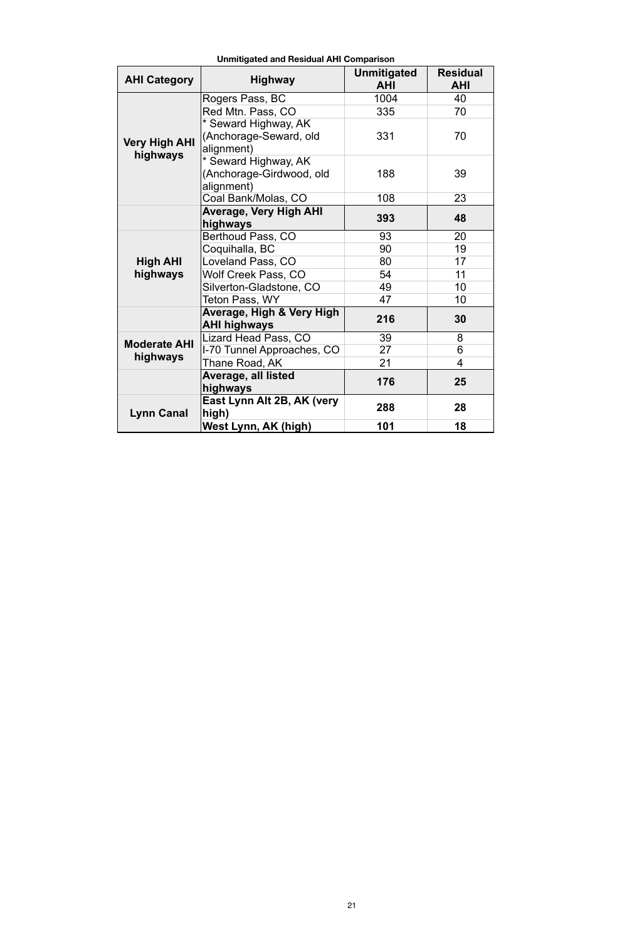| <b>AHI Category</b>  | <b>Highway</b>                                   | <b>Unmitigated</b><br><b>AHI</b> | <b>Residual</b><br><b>AHI</b> |
|----------------------|--------------------------------------------------|----------------------------------|-------------------------------|
|                      | Rogers Pass, BC                                  | 1004                             | 40                            |
|                      | Red Mtn. Pass, CO                                | 335                              | 70                            |
|                      | * Seward Highway, AK                             |                                  |                               |
| <b>Very High AHI</b> | (Anchorage-Seward, old<br>alignment)             | 331                              | 70                            |
| highways             | * Seward Highway, AK                             |                                  |                               |
|                      | (Anchorage-Girdwood, old<br>alignment)           | 188                              | 39                            |
|                      | Coal Bank/Molas, CO                              | 108                              | 23                            |
|                      | <b>Average, Very High AHI</b>                    | 393                              | 48                            |
|                      | highways                                         |                                  |                               |
|                      | Berthoud Pass, CO                                | 93                               | 20                            |
|                      | Coquihalla, BC                                   | 90                               | 19                            |
| <b>High AHI</b>      | Loveland Pass, CO                                | 80                               | 17                            |
| highways             | Wolf Creek Pass, CO                              | 54                               | 11                            |
|                      | Silverton-Gladstone, CO                          | 49                               | 10                            |
|                      | Teton Pass, WY                                   | 47                               | 10                            |
|                      | Average, High & Very High<br><b>AHI highways</b> | 216                              | 30                            |
| <b>Moderate AHI</b>  | Lizard Head Pass, CO                             | 39                               | 8                             |
| highways             | I-70 Tunnel Approaches, CO                       | 27                               | 6                             |
|                      | Thane Road, AK                                   | 21                               | $\overline{4}$                |
|                      | <b>Average, all listed</b><br>highways           | 176                              | 25                            |
| <b>Lynn Canal</b>    | East Lynn Alt 2B, AK (very<br>high)              | 288                              | 28                            |
|                      | West Lynn, AK (high)                             | 101                              | 18                            |

**Unmitigated and Residual AHI Comparison**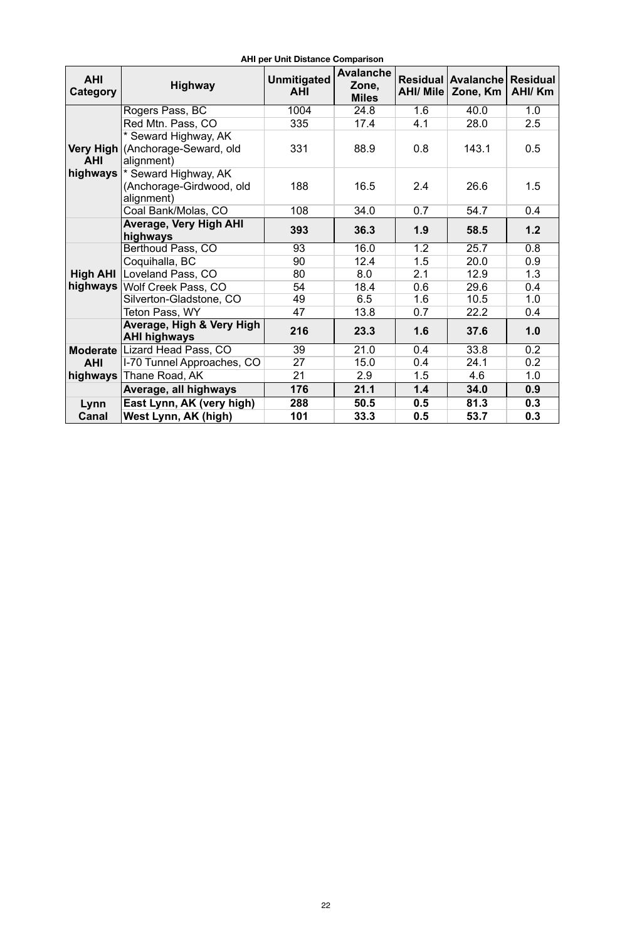| <b>AHI</b><br><b>Category</b> | <b>Highway</b>                     | <b>Unmitigated</b><br><b>AHI</b> | <b>Avalanche</b><br>Zone,<br><b>Miles</b> | <b>AHI/ Mile</b> | Residual   Avalanche  <br>Zone, Km | <b>Residual</b><br><b>AHI/Km</b> |
|-------------------------------|------------------------------------|----------------------------------|-------------------------------------------|------------------|------------------------------------|----------------------------------|
|                               | Rogers Pass, BC                    | 1004                             | 24.8                                      | 1.6              | 40.0                               | 1.0                              |
|                               | Red Mtn. Pass, CO                  | 335                              | 17.4                                      | 4.1              | 28.0                               | 2.5                              |
|                               | * Seward Highway, AK               |                                  |                                           |                  |                                    |                                  |
|                               | Very High   (Anchorage-Seward, old | 331                              | 88.9                                      | 0.8              | 143.1                              | 0.5                              |
| <b>AHI</b>                    | alignment)                         |                                  |                                           |                  |                                    |                                  |
| highways                      | * Seward Highway, AK               |                                  |                                           |                  |                                    |                                  |
|                               | (Anchorage-Girdwood, old           | 188                              | 16.5                                      | 2.4              | 26.6                               | 1.5                              |
|                               | alignment)                         |                                  |                                           |                  |                                    |                                  |
|                               | Coal Bank/Molas, CO                | 108                              | 34.0                                      | 0.7              | 54.7                               | 0.4                              |
|                               | <b>Average, Very High AHI</b>      | 393                              | 36.3                                      | 1.9              | 58.5                               | 1.2                              |
|                               | highways                           |                                  |                                           |                  |                                    |                                  |
|                               | Berthoud Pass, CO                  | 93                               | 16.0                                      | 1.2              | 25.7                               | 0.8                              |
|                               | Coquihalla, BC                     | 90                               | 12.4                                      | 1.5              | 20.0                               | 0.9                              |
| <b>High AHI</b>               | Loveland Pass, CO                  | 80                               | 8.0                                       | 2.1              | 12.9                               | 1.3                              |
| highways                      | Wolf Creek Pass, CO                | 54                               | 18.4                                      | 0.6              | 29.6                               | 0.4                              |
|                               | Silverton-Gladstone, CO            | 49                               | 6.5                                       | 1.6              | 10.5                               | 1.0                              |
|                               | Teton Pass, WY                     | 47                               | 13.8                                      | 0.7              | 22.2                               | 0.4                              |
|                               | Average, High & Very High          | 216                              | 23.3                                      | 1.6              | 37.6                               | 1.0                              |
|                               | <b>AHI highways</b>                |                                  |                                           |                  |                                    |                                  |
|                               | Moderate Lizard Head Pass, CO      | 39                               | 21.0                                      | 0.4              | 33.8                               | 0.2                              |
| <b>AHI</b>                    | I-70 Tunnel Approaches, CO         | 27                               | 15.0                                      | 0.4              | 24.1                               | 0.2                              |
| highways                      | Thane Road, AK                     | 21                               | 2.9                                       | 1.5              | 4.6                                | 1.0                              |
|                               | Average, all highways              | 176                              | 21.1                                      | 1.4              | 34.0                               | 0.9                              |
| Lynn                          | East Lynn, AK (very high)          | 288                              | 50.5                                      | 0.5              | 81.3                               | 0.3                              |
| <b>Canal</b>                  | West Lynn, AK (high)               | 101                              | 33.3                                      | 0.5              | 53.7                               | 0.3                              |

**AHI per Unit Distance Comparison**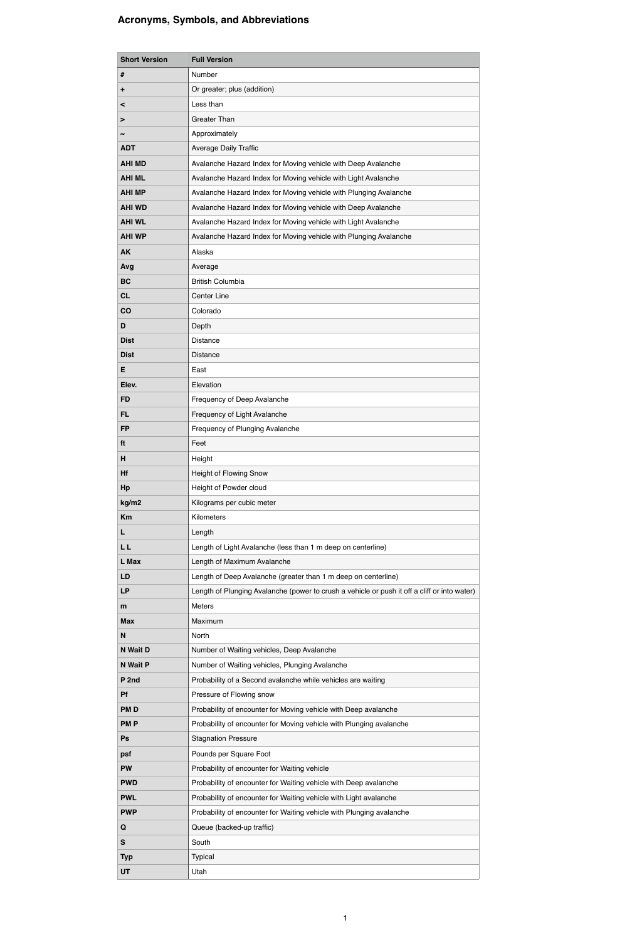| <b>Short Version</b>  | <b>Full Version</b>                                                                                              |
|-----------------------|------------------------------------------------------------------------------------------------------------------|
| #                     | Number                                                                                                           |
| ٠                     | Or greater; plus (addition)                                                                                      |
| $\,<\,$               | Less than                                                                                                        |
| >                     | <b>Greater Than</b>                                                                                              |
| $\tilde{\phantom{a}}$ | Approximately                                                                                                    |
| <b>ADT</b>            | <b>Average Daily Traffic</b>                                                                                     |
| <b>AHI MD</b>         | Avalanche Hazard Index for Moving vehicle with Deep Avalanche                                                    |
| <b>AHI ML</b>         | Avalanche Hazard Index for Moving vehicle with Light Avalanche                                                   |
| <b>AHI MP</b>         | Avalanche Hazard Index for Moving vehicle with Plunging Avalanche                                                |
| <b>AHI WD</b>         | Avalanche Hazard Index for Moving vehicle with Deep Avalanche                                                    |
| <b>AHI WL</b>         | Avalanche Hazard Index for Moving vehicle with Light Avalanche                                                   |
| <b>AHI WP</b>         | Avalanche Hazard Index for Moving vehicle with Plunging Avalanche                                                |
| <b>AK</b>             | Alaska                                                                                                           |
| Avg                   | Average                                                                                                          |
| <b>BC</b>             | <b>British Columbia</b>                                                                                          |
| <b>CL</b>             | <b>Center Line</b>                                                                                               |
| CO                    | Colorado                                                                                                         |
| D                     | Depth                                                                                                            |
| <b>Dist</b>           | Distance                                                                                                         |
| <b>Dist</b>           | Distance                                                                                                         |
| E                     | East                                                                                                             |
| Elev.                 | Elevation                                                                                                        |
| <b>FD</b>             | Frequency of Deep Avalanche                                                                                      |
| <b>FL</b>             | Frequency of Light Avalanche                                                                                     |
| <b>FP</b>             | Frequency of Plunging Avalanche                                                                                  |
| ft                    | Feet                                                                                                             |
| H                     | Height                                                                                                           |
| Hf                    | <b>Height of Flowing Snow</b>                                                                                    |
| Hp                    | Height of Powder cloud                                                                                           |
| kg/m2                 | Kilograms per cubic meter                                                                                        |
| Km                    | Kilometers                                                                                                       |
| L                     | Length                                                                                                           |
| <b>LL</b>             | Length of Light Avalanche (less than 1 m deep on centerline)                                                     |
| L Max                 | Length of Maximum Avalanche                                                                                      |
| <b>LD</b>             | Length of Deep Avalanche (greater than 1 m deep on centerline)                                                   |
| <b>LP</b>             | Length of Plunging Avalanche (power to crush a vehicle or push it off a cliff or into water)                     |
| m                     | <b>Meters</b>                                                                                                    |
| <b>Max</b>            | Maximum                                                                                                          |
| N                     | North                                                                                                            |
| <b>N</b> Wait D       | Number of Waiting vehicles, Deep Avalanche                                                                       |
| <b>N</b> Wait P       | Number of Waiting vehicles, Plunging Avalanche                                                                   |
| P <sub>2nd</sub>      | Probability of a Second avalanche while vehicles are waiting                                                     |
| <b>Pf</b>             | Pressure of Flowing snow                                                                                         |
| <b>PMD</b>            | Probability of encounter for Moving vehicle with Deep avalanche                                                  |
| <b>PMP</b>            | Probability of encounter for Moving vehicle with Plunging avalanche                                              |
| Ps                    | <b>Stagnation Pressure</b>                                                                                       |
|                       |                                                                                                                  |
| psf                   | Pounds per Square Foot                                                                                           |
| <b>PW</b>             | Probability of encounter for Waiting vehicle<br>Probability of encounter for Waiting vehicle with Deep avalanche |
| <b>PWD</b>            |                                                                                                                  |
| <b>PWL</b>            | Probability of encounter for Waiting vehicle with Light avalanche                                                |
| <b>PWP</b>            | Probability of encounter for Waiting vehicle with Plunging avalanche                                             |
| $\mathbf Q$           | Queue (backed-up traffic)                                                                                        |
| ${\sf S}$             | South                                                                                                            |
| <b>Typ</b>            | Typical                                                                                                          |
| UT                    | Utah                                                                                                             |

# **Acronyms, Symbols, and Abbreviations**